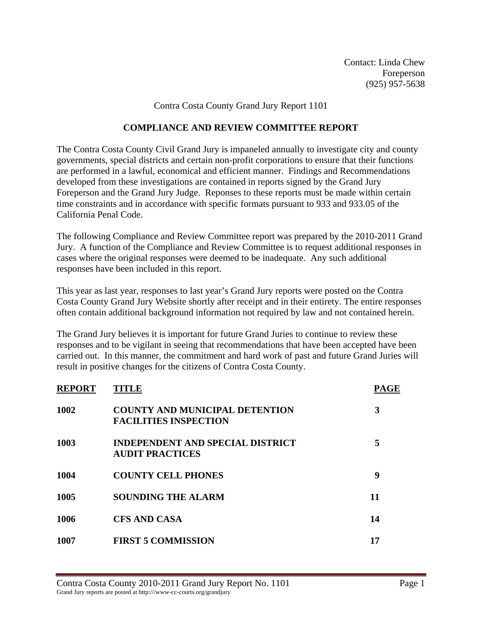Contact: Linda Chew Foreperson (925) 957-5638

Contra Costa County Grand Jury Report 1101

## **COMPLIANCE AND REVIEW COMMITTEE REPORT**

The Contra Costa County Civil Grand Jury is impaneled annually to investigate city and county governments, special districts and certain non-profit corporations to ensure that their functions are performed in a lawful, economical and efficient manner. Findings and Recommendations developed from these investigations are contained in reports signed by the Grand Jury Foreperson and the Grand Jury Judge. Reponses to these reports must be made within certain time constraints and in accordance with specific formats pursuant to 933 and 933.05 of the California Penal Code.

The following Compliance and Review Committee report was prepared by the 2010-2011 Grand Jury. A function of the Compliance and Review Committee is to request additional responses in cases where the original responses were deemed to be inadequate. Any such additional responses have been included in this report.

This year as last year, responses to last year's Grand Jury reports were posted on the Contra Costa County Grand Jury Website shortly after receipt and in their entirety. The entire responses often contain additional background information not required by law and not contained herein.

The Grand Jury believes it is important for future Grand Juries to continue to review these responses and to be vigilant in seeing that recommendations that have been accepted have been carried out. In this manner, the commitment and hard work of past and future Grand Juries will result in positive changes for the citizens of Contra Costa County.

| <b>REPORT</b> | <b>TITLE</b>                                                          | <b>PAGE</b> |
|---------------|-----------------------------------------------------------------------|-------------|
| 1002          | <b>COUNTY AND MUNICIPAL DETENTION</b><br><b>FACILITIES INSPECTION</b> | 3           |
| 1003          | <b>INDEPENDENT AND SPECIAL DISTRICT</b><br><b>AUDIT PRACTICES</b>     | 5           |
| 1004          | <b>COUNTY CELL PHONES</b>                                             | 9           |
| 1005          | <b>SOUNDING THE ALARM</b>                                             | 11          |
| 1006          | <b>CFS AND CASA</b>                                                   | 14          |
| 1007          | <b>FIRST 5 COMMISSION</b>                                             | 17          |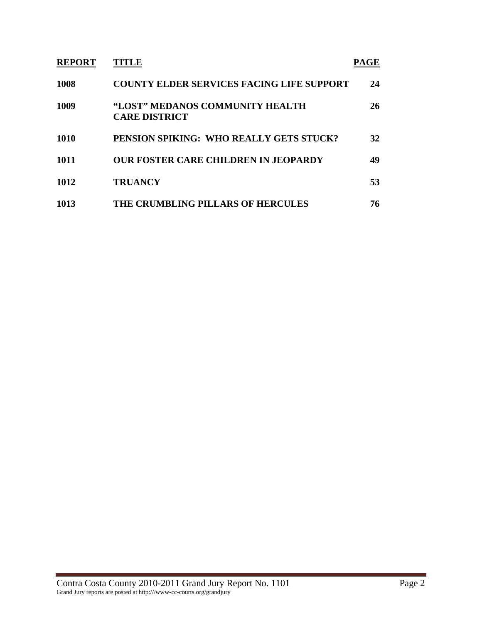| <b>REPORT</b> | TITLE                                                   | PAGE |
|---------------|---------------------------------------------------------|------|
| <b>1008</b>   | <b>COUNTY ELDER SERVICES FACING LIFE SUPPORT</b>        | 24   |
| 1009          | "LOST" MEDANOS COMMUNITY HEALTH<br><b>CARE DISTRICT</b> | 26   |
| <b>1010</b>   | PENSION SPIKING: WHO REALLY GETS STUCK?                 | 32   |
| 1011          | <b>OUR FOSTER CARE CHILDREN IN JEOPARDY</b>             | 49   |
| 1012          | <b>TRUANCY</b>                                          | 53   |
| 1013          | THE CRUMBLING PILLARS OF HERCULES                       | 76   |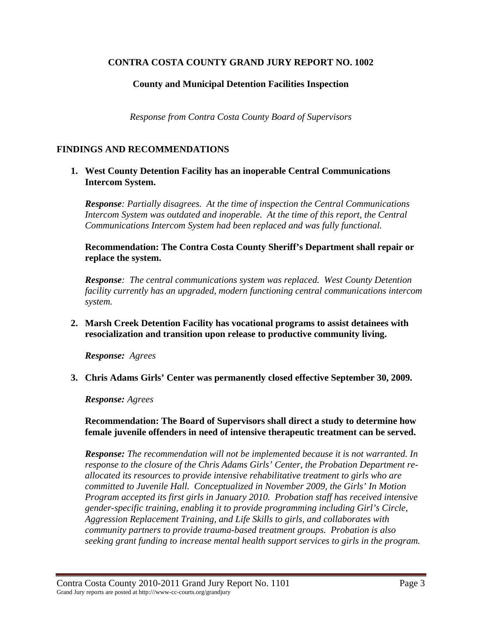## **County and Municipal Detention Facilities Inspection**

*Response from Contra Costa County Board of Supervisors* 

## **FINDINGS AND RECOMMENDATIONS**

**1. West County Detention Facility has an inoperable Central Communications Intercom System.** 

*Response: Partially disagrees. At the time of inspection the Central Communications Intercom System was outdated and inoperable. At the time of this report, the Central Communications Intercom System had been replaced and was fully functional.* 

**Recommendation: The Contra Costa County Sheriff's Department shall repair or replace the system.**

*Response: The central communications system was replaced. West County Detention facility currently has an upgraded, modern functioning central communications intercom system.* 

**2. Marsh Creek Detention Facility has vocational programs to assist detainees with resocialization and transition upon release to productive community living.** 

*Response: Agrees* 

**3. Chris Adams Girls' Center was permanently closed effective September 30, 2009.** 

*Response: Agrees*

**Recommendation: The Board of Supervisors shall direct a study to determine how female juvenile offenders in need of intensive therapeutic treatment can be served.** 

*Response: The recommendation will not be implemented because it is not warranted. In response to the closure of the Chris Adams Girls' Center, the Probation Department reallocated its resources to provide intensive rehabilitative treatment to girls who are committed to Juvenile Hall. Conceptualized in November 2009, the Girls' In Motion Program accepted its first girls in January 2010. Probation staff has received intensive gender-specific training, enabling it to provide programming including Girl's Circle, Aggression Replacement Training, and Life Skills to girls, and collaborates with community partners to provide trauma-based treatment groups. Probation is also seeking grant funding to increase mental health support services to girls in the program.*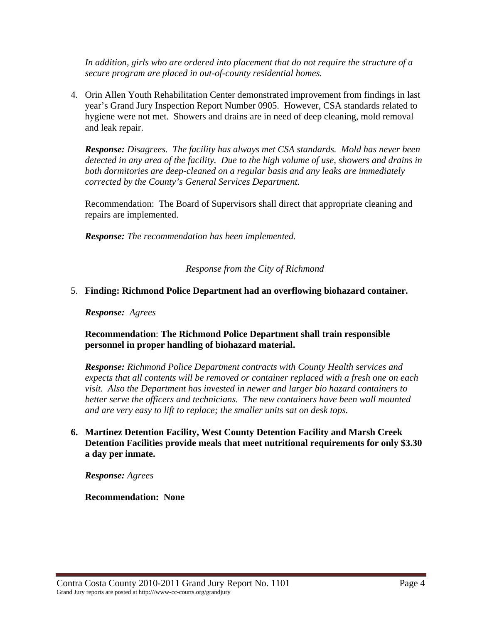*In addition, girls who are ordered into placement that do not require the structure of a secure program are placed in out-of-county residential homes.*

4. Orin Allen Youth Rehabilitation Center demonstrated improvement from findings in last year's Grand Jury Inspection Report Number 0905. However, CSA standards related to hygiene were not met. Showers and drains are in need of deep cleaning, mold removal and leak repair.

*Response: Disagrees. The facility has always met CSA standards. Mold has never been detected in any area of the facility. Due to the high volume of use, showers and drains in both dormitories are deep-cleaned on a regular basis and any leaks are immediately corrected by the County's General Services Department.* 

Recommendation: The Board of Supervisors shall direct that appropriate cleaning and repairs are implemented.

*Response: The recommendation has been implemented.*

*Response from the City of Richmond* 

### 5. **Finding: Richmond Police Department had an overflowing biohazard container.**

#### *Response: Agrees*

## **Recommendation**: **The Richmond Police Department shall train responsible personnel in proper handling of biohazard material.**

*Response: Richmond Police Department contracts with County Health services and expects that all contents will be removed or container replaced with a fresh one on each visit. Also the Department has invested in newer and larger bio hazard containers to*  better serve the officers and technicians. The new containers have been wall mounted *and are very easy to lift to replace; the smaller units sat on desk tops.* 

## **6. Martinez Detention Facility, West County Detention Facility and Marsh Creek Detention Facilities provide meals that meet nutritional requirements for only \$3.30 a day per inmate.**

*Response: Agrees* 

#### **Recommendation: None**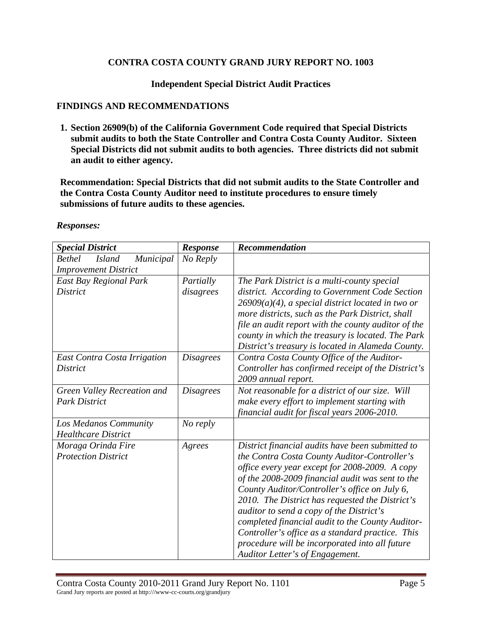**Independent Special District Audit Practices** 

#### **FINDINGS AND RECOMMENDATIONS**

**1. Section 26909(b) of the California Government Code required that Special Districts submit audits to both the State Controller and Contra Costa County Auditor. Sixteen Special Districts did not submit audits to both agencies. Three districts did not submit an audit to either agency.** 

**Recommendation: Special Districts that did not submit audits to the State Controller and the Contra Costa County Auditor need to institute procedures to ensure timely submissions of future audits to these agencies.** 

| <b>Special District</b>                     | <b>Response</b>  | <b>Recommendation</b>                                                                             |
|---------------------------------------------|------------------|---------------------------------------------------------------------------------------------------|
| Municipal<br><b>Bethel</b><br><b>Island</b> | No Reply         |                                                                                                   |
| <b>Improvement District</b>                 |                  |                                                                                                   |
| East Bay Regional Park                      | Partially        | The Park District is a multi-county special                                                       |
| <b>District</b>                             | disagrees        | district. According to Government Code Section                                                    |
|                                             |                  | $26909(a)(4)$ , a special district located in two or                                              |
|                                             |                  | more districts, such as the Park District, shall                                                  |
|                                             |                  | file an audit report with the county auditor of the                                               |
|                                             |                  | county in which the treasury is located. The Park                                                 |
|                                             |                  | District's treasury is located in Alameda County.                                                 |
| East Contra Costa Irrigation                | <b>Disagrees</b> | Contra Costa County Office of the Auditor-                                                        |
| District                                    |                  | Controller has confirmed receipt of the District's                                                |
|                                             |                  | 2009 annual report.                                                                               |
| Green Valley Recreation and                 | <i>Disagrees</i> | Not reasonable for a district of our size. Will                                                   |
| <b>Park District</b>                        |                  | make every effort to implement starting with                                                      |
|                                             |                  | financial audit for fiscal years 2006-2010.                                                       |
| Los Medanos Community                       | No reply         |                                                                                                   |
| <b>Healthcare District</b>                  |                  |                                                                                                   |
| Moraga Orinda Fire                          | Agrees           | District financial audits have been submitted to                                                  |
| <b>Protection District</b>                  |                  | the Contra Costa County Auditor-Controller's                                                      |
|                                             |                  | office every year except for 2008-2009. A copy                                                    |
|                                             |                  | of the 2008-2009 financial audit was sent to the<br>County Auditor/Controller's office on July 6, |
|                                             |                  | 2010. The District has requested the District's                                                   |
|                                             |                  | auditor to send a copy of the District's                                                          |
|                                             |                  | completed financial audit to the County Auditor-                                                  |
|                                             |                  | Controller's office as a standard practice. This                                                  |
|                                             |                  | procedure will be incorporated into all future                                                    |
|                                             |                  | Auditor Letter's of Engagement.                                                                   |

*Responses:*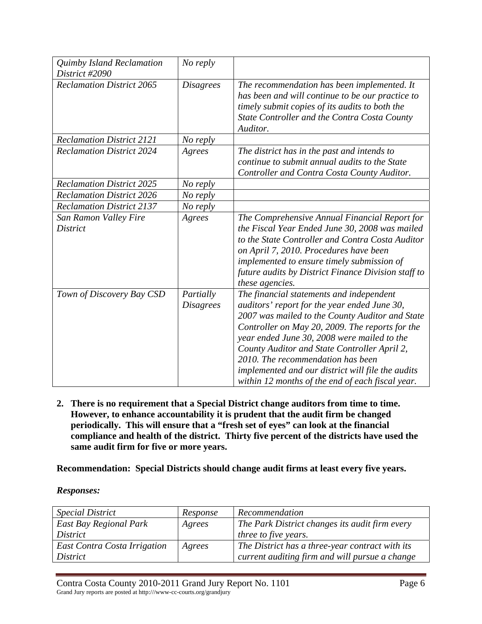| Quimby Island Reclamation<br>District #2090 | No reply                      |                                                                                                                                                                                                                                                                                                                                                                                                                                             |
|---------------------------------------------|-------------------------------|---------------------------------------------------------------------------------------------------------------------------------------------------------------------------------------------------------------------------------------------------------------------------------------------------------------------------------------------------------------------------------------------------------------------------------------------|
| <b>Reclamation District 2065</b>            | <b>Disagrees</b>              | The recommendation has been implemented. It<br>has been and will continue to be our practice to<br>timely submit copies of its audits to both the<br>State Controller and the Contra Costa County<br>Auditor.                                                                                                                                                                                                                               |
| <b>Reclamation District 2121</b>            | No reply                      |                                                                                                                                                                                                                                                                                                                                                                                                                                             |
| <b>Reclamation District 2024</b>            | Agrees                        | The district has in the past and intends to<br>continue to submit annual audits to the State<br>Controller and Contra Costa County Auditor.                                                                                                                                                                                                                                                                                                 |
| <b>Reclamation District 2025</b>            | No reply                      |                                                                                                                                                                                                                                                                                                                                                                                                                                             |
| <b>Reclamation District 2026</b>            | No reply                      |                                                                                                                                                                                                                                                                                                                                                                                                                                             |
| <b>Reclamation District 2137</b>            | No reply                      |                                                                                                                                                                                                                                                                                                                                                                                                                                             |
| San Ramon Valley Fire<br><b>District</b>    | Agrees                        | The Comprehensive Annual Financial Report for<br>the Fiscal Year Ended June 30, 2008 was mailed<br>to the State Controller and Contra Costa Auditor<br>on April 7, 2010. Procedures have been<br>implemented to ensure timely submission of<br>future audits by District Finance Division staff to<br>these agencies.                                                                                                                       |
| Town of Discovery Bay CSD                   | Partially<br><b>Disagrees</b> | The financial statements and independent<br>auditors' report for the year ended June 30,<br>2007 was mailed to the County Auditor and State<br>Controller on May 20, 2009. The reports for the<br>year ended June 30, 2008 were mailed to the<br>County Auditor and State Controller April 2,<br>2010. The recommendation has been<br>implemented and our district will file the audits<br>within 12 months of the end of each fiscal year. |

**2. There is no requirement that a Special District change auditors from time to time. However, to enhance accountability it is prudent that the audit firm be changed periodically. This will ensure that a "fresh set of eyes" can look at the financial compliance and health of the district. Thirty five percent of the districts have used the same audit firm for five or more years.** 

**Recommendation: Special Districts should change audit firms at least every five years.** 

*Responses:*

| <i>Special District</i>      | Response | Recommendation                                  |
|------------------------------|----------|-------------------------------------------------|
| East Bay Regional Park       | Agrees   | The Park District changes its audit firm every  |
| District                     |          | <i>three to five years.</i>                     |
| East Contra Costa Irrigation | Agrees   | The District has a three-year contract with its |
| <i>District</i>              |          | current auditing firm and will pursue a change  |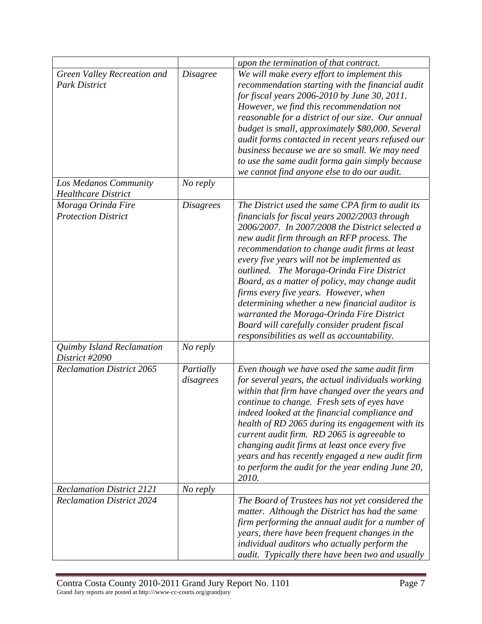|                                                     |                        | upon the termination of that contract.                                                                                                                                                                                                                                                                                                                                                                                                                                                                                                                                                                                                   |
|-----------------------------------------------------|------------------------|------------------------------------------------------------------------------------------------------------------------------------------------------------------------------------------------------------------------------------------------------------------------------------------------------------------------------------------------------------------------------------------------------------------------------------------------------------------------------------------------------------------------------------------------------------------------------------------------------------------------------------------|
| Green Valley Recreation and<br><b>Park District</b> | <i>Disagree</i>        | We will make every effort to implement this<br>recommendation starting with the financial audit<br>for fiscal years 2006-2010 by June 30, 2011.<br>However, we find this recommendation not<br>reasonable for a district of our size. Our annual<br>budget is small, approximately \$80,000. Several<br>audit forms contacted in recent years refused our<br>business because we are so small. We may need<br>to use the same audit forma gain simply because<br>we cannot find anyone else to do our audit.                                                                                                                             |
| Los Medanos Community<br><b>Healthcare District</b> | No reply               |                                                                                                                                                                                                                                                                                                                                                                                                                                                                                                                                                                                                                                          |
| Moraga Orinda Fire<br><b>Protection District</b>    | <b>Disagrees</b>       | The District used the same CPA firm to audit its<br>financials for fiscal years 2002/2003 through<br>2006/2007. In 2007/2008 the District selected a<br>new audit firm through an RFP process. The<br>recommendation to change audit firms at least<br>every five years will not be implemented as<br>outlined. The Moraga-Orinda Fire District<br>Board, as a matter of policy, may change audit<br>firms every five years. However, when<br>determining whether a new financial auditor is<br>warranted the Moraga-Orinda Fire District<br>Board will carefully consider prudent fiscal<br>responsibilities as well as accountability. |
| Quimby Island Reclamation<br>District #2090         | No reply               |                                                                                                                                                                                                                                                                                                                                                                                                                                                                                                                                                                                                                                          |
| <b>Reclamation District 2065</b>                    | Partially<br>disagrees | Even though we have used the same audit firm<br>for several years, the actual individuals working<br>within that firm have changed over the years and<br>continue to change. Fresh sets of eyes have<br>indeed looked at the financial compliance and<br>health of RD 2065 during its engagement with its<br>current audit firm. RD 2065 is agreeable to<br>changing audit firms at least once every five<br>years and has recently engaged a new audit firm<br>to perform the audit for the year ending June 20,<br>2010.                                                                                                               |
| <b>Reclamation District 2121</b>                    | No reply               |                                                                                                                                                                                                                                                                                                                                                                                                                                                                                                                                                                                                                                          |
| <b>Reclamation District 2024</b>                    |                        | The Board of Trustees has not yet considered the<br>matter. Although the District has had the same<br>firm performing the annual audit for a number of<br>years, there have been frequent changes in the<br>individual auditors who actually perform the<br>audit. Typically there have been two and usually                                                                                                                                                                                                                                                                                                                             |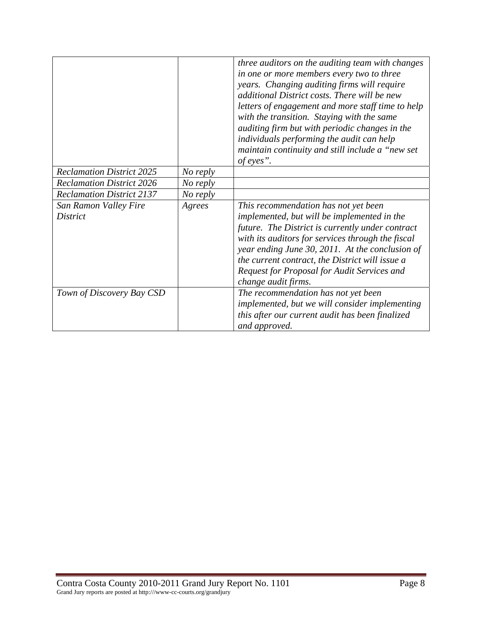|                                          |          | three auditors on the auditing team with changes<br>in one or more members every two to three<br>years. Changing auditing firms will require<br>additional District costs. There will be new<br>letters of engagement and more staff time to help<br>with the transition. Staying with the same<br>auditing firm but with periodic changes in the<br>individuals performing the audit can help<br>maintain continuity and still include a "new set<br>of eyes". |
|------------------------------------------|----------|-----------------------------------------------------------------------------------------------------------------------------------------------------------------------------------------------------------------------------------------------------------------------------------------------------------------------------------------------------------------------------------------------------------------------------------------------------------------|
| <b>Reclamation District 2025</b>         | No reply |                                                                                                                                                                                                                                                                                                                                                                                                                                                                 |
| <b>Reclamation District 2026</b>         | No reply |                                                                                                                                                                                                                                                                                                                                                                                                                                                                 |
| <b>Reclamation District 2137</b>         | No reply |                                                                                                                                                                                                                                                                                                                                                                                                                                                                 |
| San Ramon Valley Fire<br><i>District</i> | Agrees   | This recommendation has not yet been<br>implemented, but will be implemented in the<br>future. The District is currently under contract<br>with its auditors for services through the fiscal<br>year ending June 30, 2011. At the conclusion of<br>the current contract, the District will issue a<br>Request for Proposal for Audit Services and<br>change audit firms.                                                                                        |
| Town of Discovery Bay CSD                |          | The recommendation has not yet been<br>implemented, but we will consider implementing<br>this after our current audit has been finalized<br>and approved.                                                                                                                                                                                                                                                                                                       |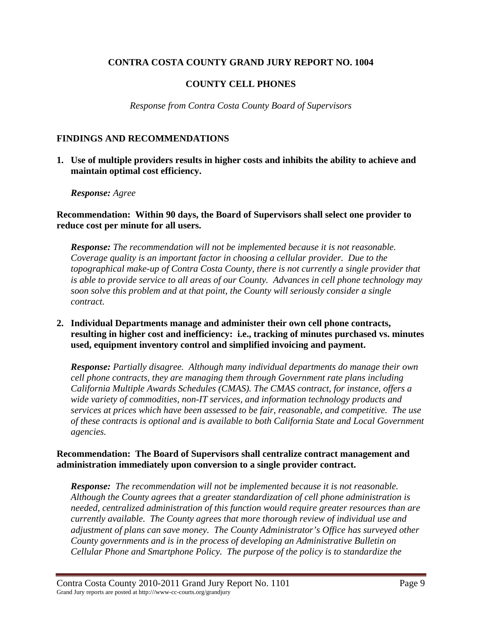# **COUNTY CELL PHONES**

*Response from Contra Costa County Board of Supervisors* 

### **FINDINGS AND RECOMMENDATIONS**

**1. Use of multiple providers results in higher costs and inhibits the ability to achieve and maintain optimal cost efficiency.** 

#### *Response: Agree*

**Recommendation: Within 90 days, the Board of Supervisors shall select one provider to reduce cost per minute for all users.** 

*Response: The recommendation will not be implemented because it is not reasonable. Coverage quality is an important factor in choosing a cellular provider. Due to the topographical make-up of Contra Costa County, there is not currently a single provider that is able to provide service to all areas of our County. Advances in cell phone technology may soon solve this problem and at that point, the County will seriously consider a single contract.* 

**2. Individual Departments manage and administer their own cell phone contracts, resulting in higher cost and inefficiency: i.e., tracking of minutes purchased vs. minutes used, equipment inventory control and simplified invoicing and payment.** 

*Response: Partially disagree. Although many individual departments do manage their own cell phone contracts, they are managing them through Government rate plans including California Multiple Awards Schedules (CMAS). The CMAS contract, for instance, offers a wide variety of commodities, non-IT services, and information technology products and services at prices which have been assessed to be fair, reasonable, and competitive. The use of these contracts is optional and is available to both California State and Local Government agencies.* 

### **Recommendation: The Board of Supervisors shall centralize contract management and administration immediately upon conversion to a single provider contract.**

*Response: The recommendation will not be implemented because it is not reasonable. Although the County agrees that a greater standardization of cell phone administration is needed, centralized administration of this function would require greater resources than are currently available. The County agrees that more thorough review of individual use and adjustment of plans can save money. The County Administrator's Office has surveyed other County governments and is in the process of developing an Administrative Bulletin on Cellular Phone and Smartphone Policy. The purpose of the policy is to standardize the*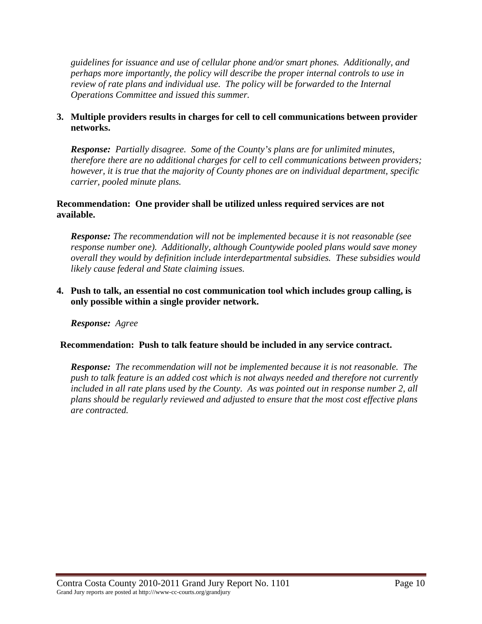*guidelines for issuance and use of cellular phone and/or smart phones. Additionally, and perhaps more importantly, the policy will describe the proper internal controls to use in review of rate plans and individual use. The policy will be forwarded to the Internal Operations Committee and issued this summer.* 

## **3. Multiple providers results in charges for cell to cell communications between provider networks.**

*Response: Partially disagree. Some of the County's plans are for unlimited minutes, therefore there are no additional charges for cell to cell communications between providers; however, it is true that the majority of County phones are on individual department, specific carrier, pooled minute plans.* 

## **Recommendation: One provider shall be utilized unless required services are not available.**

*Response: The recommendation will not be implemented because it is not reasonable (see response number one). Additionally, although Countywide pooled plans would save money overall they would by definition include interdepartmental subsidies. These subsidies would likely cause federal and State claiming issues.* 

**4. Push to talk, an essential no cost communication tool which includes group calling, is only possible within a single provider network.** 

*Response: Agree* 

## **Recommendation: Push to talk feature should be included in any service contract.**

*Response: The recommendation will not be implemented because it is not reasonable. The push to talk feature is an added cost which is not always needed and therefore not currently*  included in all rate plans used by the County. As was pointed out in response number 2, all *plans should be regularly reviewed and adjusted to ensure that the most cost effective plans are contracted.*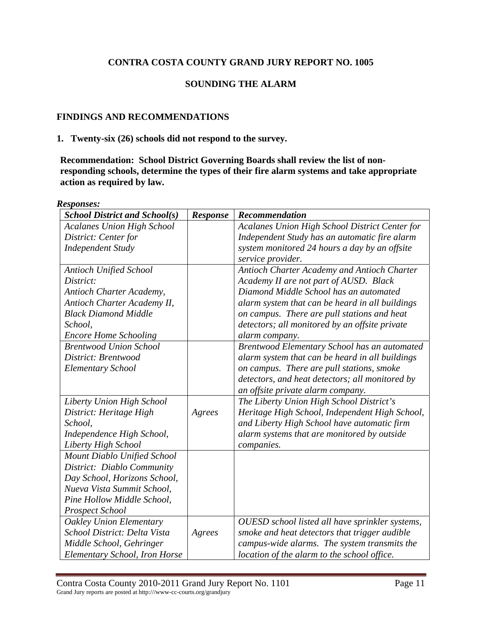## **SOUNDING THE ALARM**

## **FINDINGS AND RECOMMENDATIONS**

#### **1. Twenty-six (26) schools did not respond to the survey.**

**Recommendation: School District Governing Boards shall review the list of nonresponding schools, determine the types of their fire alarm systems and take appropriate action as required by law.** 

*Responses:* 

| <b>School District and School(s)</b> | <b>Response</b> | Recommendation                                  |
|--------------------------------------|-----------------|-------------------------------------------------|
| <b>Acalanes Union High School</b>    |                 | Acalanes Union High School District Center for  |
| District: Center for                 |                 | Independent Study has an automatic fire alarm   |
| <b>Independent Study</b>             |                 | system monitored 24 hours a day by an offsite   |
|                                      |                 | service provider.                               |
| <b>Antioch Unified School</b>        |                 | Antioch Charter Academy and Antioch Charter     |
| District:                            |                 | Academy II are not part of AUSD. Black          |
| Antioch Charter Academy,             |                 | Diamond Middle School has an automated          |
| Antioch Charter Academy II,          |                 | alarm system that can be heard in all buildings |
| <b>Black Diamond Middle</b>          |                 | on campus. There are pull stations and heat     |
| School,                              |                 | detectors; all monitored by an offsite private  |
| <b>Encore Home Schooling</b>         |                 | alarm company.                                  |
| <b>Brentwood Union School</b>        |                 | Brentwood Elementary School has an automated    |
| District: Brentwood                  |                 | alarm system that can be heard in all buildings |
| <b>Elementary School</b>             |                 | on campus. There are pull stations, smoke       |
|                                      |                 | detectors, and heat detectors; all monitored by |
|                                      |                 | an offsite private alarm company.               |
| Liberty Union High School            |                 | The Liberty Union High School District's        |
| District: Heritage High              | Agrees          | Heritage High School, Independent High School,  |
| School,                              |                 | and Liberty High School have automatic firm     |
| Independence High School,            |                 | alarm systems that are monitored by outside     |
| Liberty High School                  |                 | companies.                                      |
| Mount Diablo Unified School          |                 |                                                 |
| District: Diablo Community           |                 |                                                 |
| Day School, Horizons School,         |                 |                                                 |
| Nueva Vista Summit School,           |                 |                                                 |
| Pine Hollow Middle School,           |                 |                                                 |
| <b>Prospect School</b>               |                 |                                                 |
| <b>Oakley Union Elementary</b>       |                 | OUESD school listed all have sprinkler systems, |
| School District: Delta Vista         | Agrees          | smoke and heat detectors that trigger audible   |
| Middle School, Gehringer             |                 | campus-wide alarms. The system transmits the    |
| Elementary School, Iron Horse        |                 | location of the alarm to the school office.     |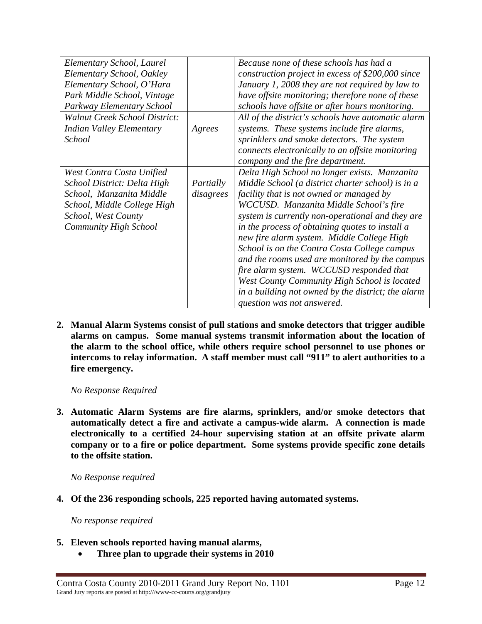| Elementary School, Laurel            |           | Because none of these schools has had a            |
|--------------------------------------|-----------|----------------------------------------------------|
| Elementary School, Oakley            |           | construction project in excess of \$200,000 since  |
| Elementary School, O'Hara            |           | January 1, 2008 they are not required by law to    |
| Park Middle School, Vintage          |           | have offsite monitoring; therefore none of these   |
| Parkway Elementary School            |           | schools have offsite or after hours monitoring.    |
| <b>Walnut Creek School District:</b> |           | All of the district's schools have automatic alarm |
| <b>Indian Valley Elementary</b>      | Agrees    | systems. These systems include fire alarms,        |
| School                               |           | sprinklers and smoke detectors. The system         |
|                                      |           | connects electronically to an offsite monitoring   |
|                                      |           | company and the fire department.                   |
| West Contra Costa Unified            |           | Delta High School no longer exists. Manzanita      |
| School District: Delta High          | Partially | Middle School (a district charter school) is in a  |
| School, Manzanita Middle             | disagrees | facility that is not owned or managed by           |
| School, Middle College High          |           | WCCUSD. Manzanita Middle School's fire             |
| School, West County                  |           | system is currently non-operational and they are   |
| <b>Community High School</b>         |           | in the process of obtaining quotes to install a    |
|                                      |           | new fire alarm system. Middle College High         |
|                                      |           | School is on the Contra Costa College campus       |
|                                      |           | and the rooms used are monitored by the campus     |
|                                      |           | fire alarm system. WCCUSD responded that           |
|                                      |           | West County Community High School is located       |
|                                      |           | in a building not owned by the district; the alarm |
|                                      |           | question was not answered.                         |

**2. Manual Alarm Systems consist of pull stations and smoke detectors that trigger audible alarms on campus. Some manual systems transmit information about the location of the alarm to the school office, while others require school personnel to use phones or intercoms to relay information. A staff member must call "911" to alert authorities to a fire emergency.** 

 *No Response Required* 

**3. Automatic Alarm Systems are fire alarms, sprinklers, and/or smoke detectors that automatically detect a fire and activate a campus-wide alarm. A connection is made electronically to a certified 24-hour supervising station at an offsite private alarm company or to a fire or police department. Some systems provide specific zone details to the offsite station.** 

 *No Response required* 

**4. Of the 236 responding schools, 225 reported having automated systems.** 

 *No response required* 

- **5. Eleven schools reported having manual alarms,** 
	- • **Three plan to upgrade their systems in 2010**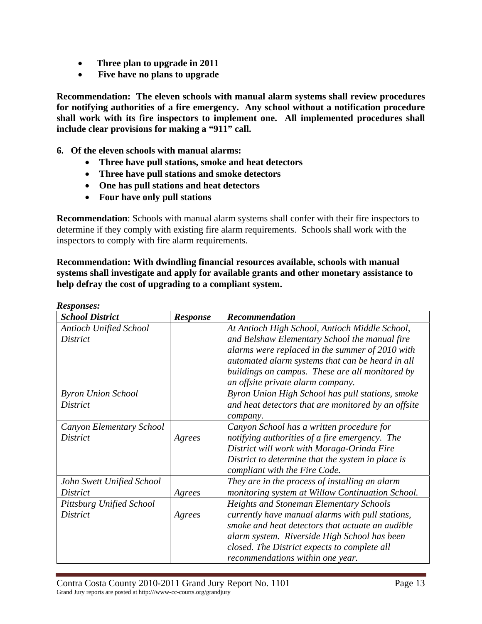- • **Three plan to upgrade in 2011**
- • **Five have no plans to upgrade**

**Recommendation: The eleven schools with manual alarm systems shall review procedures for notifying authorities of a fire emergency. Any school without a notification procedure shall work with its fire inspectors to implement one. All implemented procedures shall include clear provisions for making a "911" call.** 

**6. Of the eleven schools with manual alarms:** 

- **Three have pull stations, smoke and heat detectors**
- **Three have pull stations and smoke detectors**
- **One has pull stations and heat detectors**
- **Four have only pull stations**

*Responses:* 

**Recommendation**: Schools with manual alarm systems shall confer with their fire inspectors to determine if they comply with existing fire alarm requirements. Schools shall work with the inspectors to comply with fire alarm requirements.

**Recommendation: With dwindling financial resources available, schools with manual systems shall investigate and apply for available grants and other monetary assistance to help defray the cost of upgrading to a compliant system.** 

| <b>School District</b>        | <b>Response</b> | Recommendation                                      |
|-------------------------------|-----------------|-----------------------------------------------------|
| <b>Antioch Unified School</b> |                 | At Antioch High School, Antioch Middle School,      |
| <i>District</i>               |                 | and Belshaw Elementary School the manual fire       |
|                               |                 | alarms were replaced in the summer of 2010 with     |
|                               |                 | automated alarm systems that can be heard in all    |
|                               |                 | buildings on campus. These are all monitored by     |
|                               |                 | an offsite private alarm company.                   |
| <b>Byron Union School</b>     |                 | Byron Union High School has pull stations, smoke    |
| <i>District</i>               |                 | and heat detectors that are monitored by an offsite |
|                               |                 | company.                                            |
| Canyon Elementary School      |                 | Canyon School has a written procedure for           |
| District                      | Agrees          | notifying authorities of a fire emergency. The      |
|                               |                 | District will work with Moraga-Orinda Fire          |
|                               |                 | District to determine that the system in place is   |
|                               |                 | compliant with the Fire Code.                       |
| John Swett Unified School     |                 | They are in the process of installing an alarm      |
| District                      | Agrees          | monitoring system at Willow Continuation School.    |
| Pittsburg Unified School      |                 | <b>Heights and Stoneman Elementary Schools</b>      |
| <i>District</i>               | Agrees          | currently have manual alarms with pull stations,    |
|                               |                 | smoke and heat detectors that actuate an audible    |
|                               |                 | alarm system. Riverside High School has been        |
|                               |                 | closed. The District expects to complete all        |
|                               |                 | recommendations within one year.                    |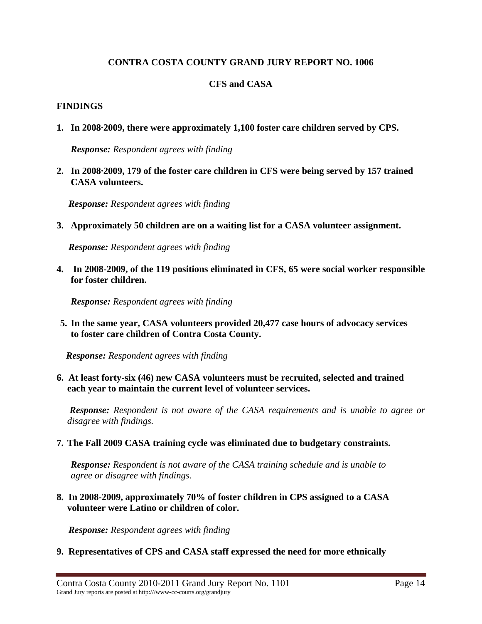## **CFS and CASA**

### **FINDINGS**

**1. In 2008·2009, there were approximately 1,100 foster care children served by CPS.** 

*Response: Respondent agrees with finding* 

**2. In 2008·2009, 179 of the foster care children in CFS were being served by 157 trained CASA volunteers.** 

 *Response: Respondent agrees with finding* 

**3. Approximately 50 children are on a waiting list for a CASA volunteer assignment.** 

 *Response: Respondent agrees with finding* 

**4. In 2008-2009, of the 119 positions eliminated in CFS, 65 were social worker responsible for foster children.** 

 *Response: Respondent agrees with finding* 

**5. In the same year, CASA volunteers provided 20,477 case hours of advocacy services to foster care children of Contra Costa County.** 

 *Response: Respondent agrees with finding* 

**6. At least forty-six (46) new CASA volunteers must be recruited, selected and trained each year to maintain the current level of volunteer services.** 

 *Response: Respondent is not aware of the CASA requirements and is unable to agree or disagree with findings.* 

#### **7. The Fall 2009 CASA training cycle was eliminated due to budgetary constraints.**

*Response: Respondent is not aware of the CASA training schedule and is unable to agree or disagree with findings.* 

**8. In 2008-2009, approximately 70% of foster children in CPS assigned to a CASA volunteer were Latino or children of color.** 

 *Response: Respondent agrees with finding* 

**9. Representatives of CPS and CASA staff expressed the need for more ethnically**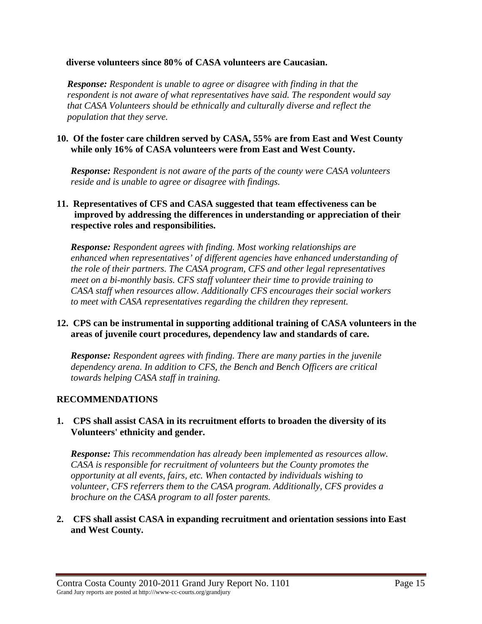### **diverse volunteers since 80% of CASA volunteers are Caucasian.**

*Response: Respondent is unable to agree or disagree with finding in that the respondent is not aware of what representatives have said. The respondent would say that CASA Volunteers should be ethnically and culturally diverse and reflect the population that they serve.* 

### **10. Of the foster care children served by CASA, 55% are from East and West County while only 16% of CASA volunteers were from East and West County.**

*Response: Respondent is not aware of the parts of the county were CASA volunteers reside and is unable to agree or disagree with findings.* 

## **11. Representatives of CFS and CASA suggested that team effectiveness can be improved by addressing the differences in understanding or appreciation of their respective roles and responsibilities.**

*Response: Respondent agrees with finding. Most working relationships are enhanced when representatives' of different agencies have enhanced understanding of the role of their partners. The CASA program, CFS and other legal representatives meet on a bi-monthly basis. CFS staff volunteer their time to provide training to CASA staff when resources allow. Additionally CFS encourages their social workers to meet with CASA representatives regarding the children they represent.* 

## **12. CPS can be instrumental in supporting additional training of CASA volunteers in the areas of juvenile court procedures, dependency law and standards of care.**

*Response: Respondent agrees with finding. There are many parties in the juvenile dependency arena. In addition to CFS, the Bench and Bench Officers are critical towards helping CASA staff in training.* 

## **RECOMMENDATIONS**

## **1. CPS shall assist CASA in its recruitment efforts to broaden the diversity of its Volunteers' ethnicity and gender.**

*Response: This recommendation has already been implemented as resources allow. CASA is responsible for recruitment of volunteers but the County promotes the opportunity at all events, fairs, etc. When contacted by individuals wishing to volunteer, CFS referrers them to the CASA program. Additionally, CFS provides a brochure on the CASA program to all foster parents.* 

### **2. CFS shall assist CASA in expanding recruitment and orientation sessions into East and West County.**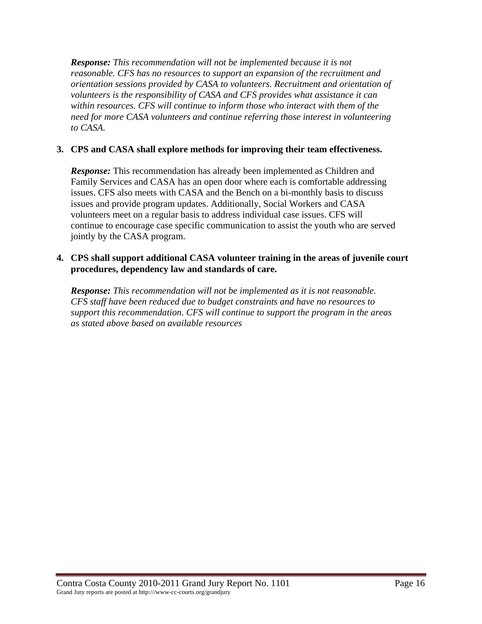*Response: This recommendation will not be implemented because it is not reasonable. CFS has no resources to support an expansion of the recruitment and orientation sessions provided by CASA to volunteers. Recruitment and orientation of volunteers is the responsibility of CASA and CFS provides what assistance it can within resources. CFS will continue to inform those who interact with them of the need for more CASA volunteers and continue referring those interest in volunteering to CASA.* 

# **3. CPS and CASA shall explore methods for improving their team effectiveness.**

*Response:* This recommendation has already been implemented as Children and Family Services and CASA has an open door where each is comfortable addressing issues. CFS also meets with CASA and the Bench on a bi-monthly basis to discuss issues and provide program updates. Additionally, Social Workers and CASA volunteers meet on a regular basis to address individual case issues. CFS will continue to encourage case specific communication to assist the youth who are served jointly by the CASA program.

## **4. CPS shall support additional CASA volunteer training in the areas of juvenile court procedures, dependency law and standards of care.**

*Response: This recommendation will not be implemented as it is not reasonable. CFS staff have been reduced due to budget constraints and have no resources to support this recommendation. CFS will continue to support the program in the areas as stated above based on available resources*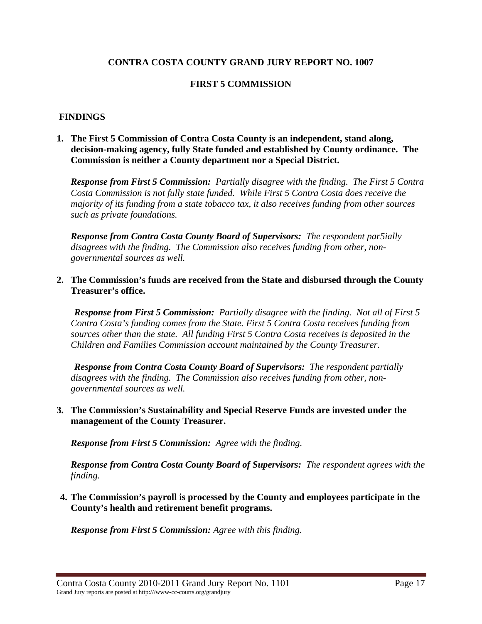## **FIRST 5 COMMISSION**

#### **FINDINGS**

**1. The First 5 Commission of Contra Costa County is an independent, stand along, decision-making agency, fully State funded and established by County ordinance. The Commission is neither a County department nor a Special District.** 

*Response from First 5 Commission: Partially disagree with the finding. The First 5 Contra Costa Commission is not fully state funded. While First 5 Contra Costa does receive the majority of its funding from a state tobacco tax, it also receives funding from other sources such as private foundations.* 

*Response from Contra Costa County Board of Supervisors: The respondent par5ially disagrees with the finding. The Commission also receives funding from other, nongovernmental sources as well.* 

#### **2. The Commission's funds are received from the State and disbursed through the County Treasurer's office.**

*Response from First 5 Commission: Partially disagree with the finding. Not all of First 5 Contra Costa's funding comes from the State. First 5 Contra Costa receives funding from sources other than the state. All funding First 5 Contra Costa receives is deposited in the Children and Families Commission account maintained by the County Treasurer.* 

*Response from Contra Costa County Board of Supervisors: The respondent partially disagrees with the finding. The Commission also receives funding from other, nongovernmental sources as well.* 

### **3. The Commission's Sustainability and Special Reserve Funds are invested under the management of the County Treasurer.**

*Response from First 5 Commission: Agree with the finding.* 

*Response from Contra Costa County Board of Supervisors: The respondent agrees with the finding.* 

**4. The Commission's payroll is processed by the County and employees participate in the County's health and retirement benefit programs.** 

*Response from First 5 Commission: Agree with this finding.*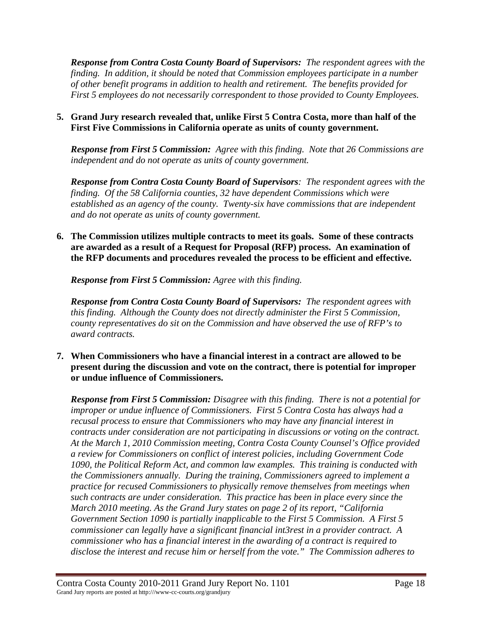*Response from Contra Costa County Board of Supervisors: The respondent agrees with the finding. In addition, it should be noted that Commission employees participate in a number of other benefit programs in addition to health and retirement. The benefits provided for First 5 employees do not necessarily correspondent to those provided to County Employees.* 

## **5. Grand Jury research revealed that, unlike First 5 Contra Costa, more than half of the First Five Commissions in California operate as units of county government.**

*Response from First 5 Commission: Agree with this finding. Note that 26 Commissions are independent and do not operate as units of county government.* 

*Response from Contra Costa County Board of Supervisors: The respondent agrees with the finding. Of the 58 California counties, 32 have dependent Commissions which were established as an agency of the county. Twenty-six have commissions that are independent and do not operate as units of county government.* 

**6. The Commission utilizes multiple contracts to meet its goals. Some of these contracts are awarded as a result of a Request for Proposal (RFP) process. An examination of the RFP documents and procedures revealed the process to be efficient and effective.** 

*Response from First 5 Commission: Agree with this finding.* 

*Response from Contra Costa County Board of Supervisors: The respondent agrees with this finding. Although the County does not directly administer the First 5 Commission, county representatives do sit on the Commission and have observed the use of RFP's to award contracts.* 

**7. When Commissioners who have a financial interest in a contract are allowed to be present during the discussion and vote on the contract, there is potential for improper or undue influence of Commissioners.** 

*Response from First 5 Commission: Disagree with this finding. There is not a potential for improper or undue influence of Commissioners. First 5 Contra Costa has always had a recusal process to ensure that Commissioners who may have any financial interest in contracts under consideration are not participating in discussions or voting on the contract. At the March 1, 2010 Commission meeting, Contra Costa County Counsel's Office provided a review for Commissioners on conflict of interest policies, including Government Code 1090, the Political Reform Act, and common law examples. This training is conducted with the Commissioners annually. During the training, Commissioners agreed to implement a practice for recused Commissioners to physically remove themselves from meetings when such contracts are under consideration. This practice has been in place every since the March 2010 meeting. As the Grand Jury states on page 2 of its report, "California Government Section 1090 is partially inapplicable to the First 5 Commission. A First 5 commissioner can legally have a significant financial int3rest in a provider contract. A commissioner who has a financial interest in the awarding of a contract is required to disclose the interest and recuse him or herself from the vote." The Commission adheres to*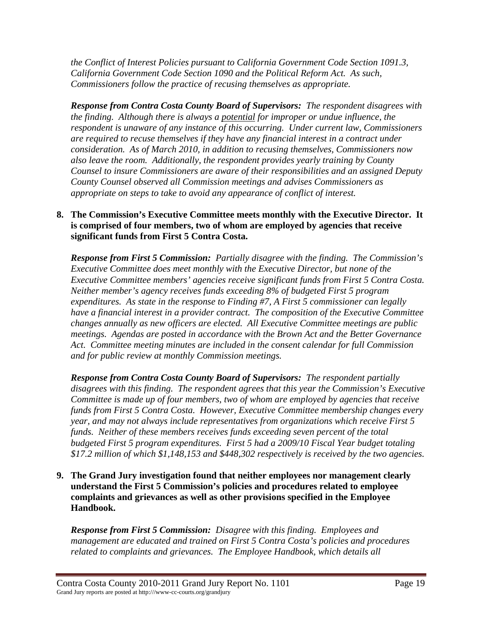*the Conflict of Interest Policies pursuant to California Government Code Section 1091.3, California Government Code Section 1090 and the Political Reform Act. As such, Commissioners follow the practice of recusing themselves as appropriate.* 

*Response from Contra Costa County Board of Supervisors: The respondent disagrees with the finding. Although there is always a potential for improper or undue influence, the respondent is unaware of any instance of this occurring. Under current law, Commissioners are required to recuse themselves if they have any financial interest in a contract under consideration. As of March 2010, in addition to recusing themselves, Commissioners now also leave the room. Additionally, the respondent provides yearly training by County Counsel to insure Commissioners are aware of their responsibilities and an assigned Deputy County Counsel observed all Commission meetings and advises Commissioners as appropriate on steps to take to avoid any appearance of conflict of interest.* 

## **8. The Commission's Executive Committee meets monthly with the Executive Director. It is comprised of four members, two of whom are employed by agencies that receive significant funds from First 5 Contra Costa.**

*Response from First 5 Commission: Partially disagree with the finding. The Commission's Executive Committee does meet monthly with the Executive Director, but none of the Executive Committee members' agencies receive significant funds from First 5 Contra Costa. Neither member's agency receives funds exceeding 8% of budgeted First 5 program expenditures. As state in the response to Finding #7, A First 5 commissioner can legally have a financial interest in a provider contract. The composition of the Executive Committee changes annually as new officers are elected. All Executive Committee meetings are public meetings. Agendas are posted in accordance with the Brown Act and the Better Governance Act. Committee meeting minutes are included in the consent calendar for full Commission and for public review at monthly Commission meetings.* 

*Response from Contra Costa County Board of Supervisors: The respondent partially disagrees with this finding. The respondent agrees that this year the Commission's Executive Committee is made up of four members, two of whom are employed by agencies that receive funds from First 5 Contra Costa. However, Executive Committee membership changes every year, and may not always include representatives from organizations which receive First 5 funds. Neither of these members receives funds exceeding seven percent of the total budgeted First 5 program expenditures. First 5 had a 2009/10 Fiscal Year budget totaling \$17.2 million of which \$1,148,153 and \$448,302 respectively is received by the two agencies.* 

**9. The Grand Jury investigation found that neither employees nor management clearly understand the First 5 Commission's policies and procedures related to employee complaints and grievances as well as other provisions specified in the Employee Handbook.** 

*Response from First 5 Commission: Disagree with this finding. Employees and management are educated and trained on First 5 Contra Costa's policies and procedures related to complaints and grievances. The Employee Handbook, which details all*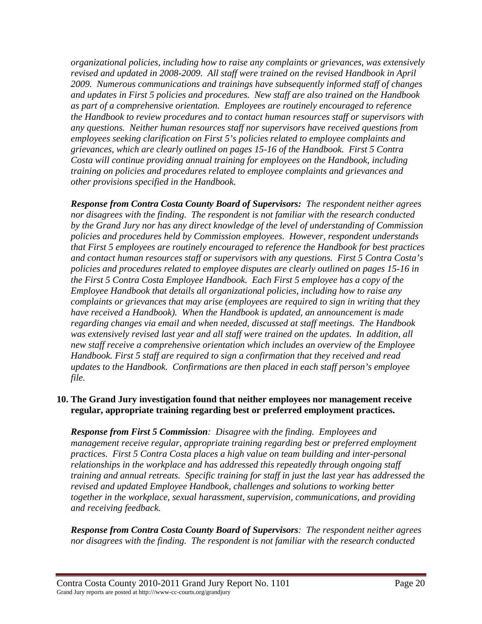*organizational policies, including how to raise any complaints or grievances, was extensively revised and updated in 2008-2009. All staff were trained on the revised Handbook in April 2009. Numerous communications and trainings have subsequently informed staff of changes and updates in First 5 policies and procedures. New staff are also trained on the Handbook as part of a comprehensive orientation. Employees are routinely encouraged to reference the Handbook to review procedures and to contact human resources staff or supervisors with any questions. Neither human resources staff nor supervisors have received questions from employees seeking clarification on First 5's policies related to employee complaints and grievances, which are clearly outlined on pages 15-16 of the Handbook. First 5 Contra Costa will continue providing annual training for employees on the Handbook, including training on policies and procedures related to employee complaints and grievances and other provisions specified in the Handbook.* 

*Response from Contra Costa County Board of Supervisors: The respondent neither agrees nor disagrees with the finding. The respondent is not familiar with the research conducted by the Grand Jury nor has any direct knowledge of the level of understanding of Commission policies and procedures held by Commission employees. However, respondent understands that First 5 employees are routinely encouraged to reference the Handbook for best practices and contact human resources staff or supervisors with any questions. First 5 Contra Costa's policies and procedures related to employee disputes are clearly outlined on pages 15-16 in the First 5 Contra Costa Employee Handbook. Each First 5 employee has a copy of the Employee Handbook that details all organizational policies, including how to raise any complaints or grievances that may arise (employees are required to sign in writing that they have received a Handbook). When the Handbook is updated, an announcement is made regarding changes via email and when needed, discussed at staff meetings. The Handbook was extensively revised last year and all staff were trained on the updates. In addition, all new staff receive a comprehensive orientation which includes an overview of the Employee Handbook. First 5 staff are required to sign a confirmation that they received and read updates to the Handbook. Confirmations are then placed in each staff person's employee file.* 

## **10. The Grand Jury investigation found that neither employees nor management receive regular, appropriate training regarding best or preferred employment practices.**

*Response from First 5 Commission: Disagree with the finding. Employees and management receive regular, appropriate training regarding best or preferred employment practices. First 5 Contra Costa places a high value on team building and inter-personal relationships in the workplace and has addressed this repeatedly through ongoing staff training and annual retreats. Specific training for staff in just the last year has addressed the revised and updated Employee Handbook, challenges and solutions to working better together in the workplace, sexual harassment, supervision, communications, and providing and receiving feedback.* 

*Response from Contra Costa County Board of Supervisors: The respondent neither agrees nor disagrees with the finding. The respondent is not familiar with the research conducted*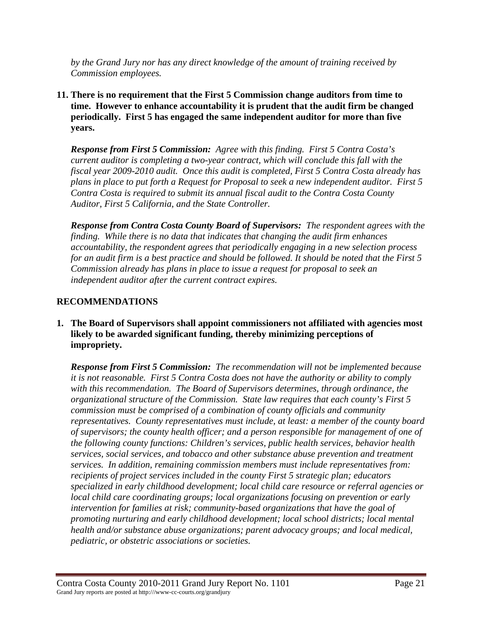*by the Grand Jury nor has any direct knowledge of the amount of training received by Commission employees.* 

**11. There is no requirement that the First 5 Commission change auditors from time to time. However to enhance accountability it is prudent that the audit firm be changed periodically. First 5 has engaged the same independent auditor for more than five years.** 

*Response from First 5 Commission: Agree with this finding. First 5 Contra Costa's current auditor is completing a two-year contract, which will conclude this fall with the fiscal year 2009-2010 audit. Once this audit is completed, First 5 Contra Costa already has plans in place to put forth a Request for Proposal to seek a new independent auditor. First 5 Contra Costa is required to submit its annual fiscal audit to the Contra Costa County Auditor, First 5 California, and the State Controller.* 

*Response from Contra Costa County Board of Supervisors: The respondent agrees with the finding. While there is no data that indicates that changing the audit firm enhances accountability, the respondent agrees that periodically engaging in a new selection process for an audit firm is a best practice and should be followed. It should be noted that the First 5 Commission already has plans in place to issue a request for proposal to seek an independent auditor after the current contract expires.* 

# **RECOMMENDATIONS**

**1. The Board of Supervisors shall appoint commissioners not affiliated with agencies most likely to be awarded significant funding, thereby minimizing perceptions of impropriety.** 

*Response from First 5 Commission: The recommendation will not be implemented because it is not reasonable. First 5 Contra Costa does not have the authority or ability to comply with this recommendation. The Board of Supervisors determines, through ordinance, the organizational structure of the Commission. State law requires that each county's First 5 commission must be comprised of a combination of county officials and community representatives. County representatives must include, at least: a member of the county board of supervisors; the county health officer; and a person responsible for management of one of the following county functions: Children's services, public health services, behavior health services, social services, and tobacco and other substance abuse prevention and treatment services. In addition, remaining commission members must include representatives from: recipients of project services included in the county First 5 strategic plan; educators specialized in early childhood development; local child care resource or referral agencies or local child care coordinating groups; local organizations focusing on prevention or early intervention for families at risk; community-based organizations that have the goal of promoting nurturing and early childhood development; local school districts; local mental health and/or substance abuse organizations; parent advocacy groups; and local medical, pediatric, or obstetric associations or societies.*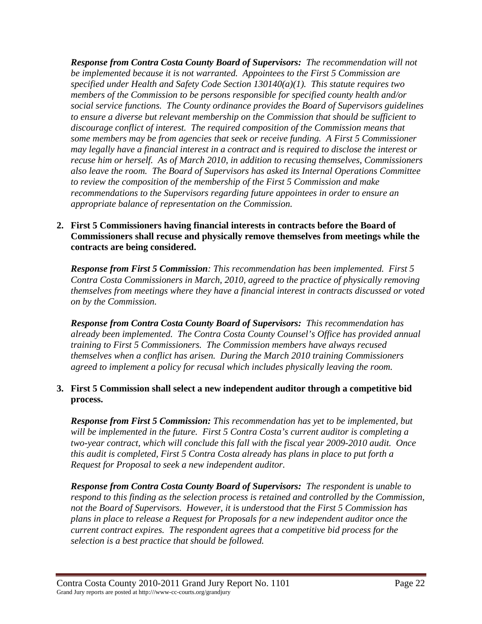*Response from Contra Costa County Board of Supervisors: The recommendation will not be implemented because it is not warranted. Appointees to the First 5 Commission are specified under Health and Safety Code Section 130140(a)(1). This statute requires two members of the Commission to be persons responsible for specified county health and/or social service functions. The County ordinance provides the Board of Supervisors guidelines to ensure a diverse but relevant membership on the Commission that should be sufficient to discourage conflict of interest. The required composition of the Commission means that some members may be from agencies that seek or receive funding. A First 5 Commissioner may legally have a financial interest in a contract and is required to disclose the interest or recuse him or herself. As of March 2010, in addition to recusing themselves, Commissioners also leave the room. The Board of Supervisors has asked its Internal Operations Committee to review the composition of the membership of the First 5 Commission and make recommendations to the Supervisors regarding future appointees in order to ensure an appropriate balance of representation on the Commission.* 

## **2. First 5 Commissioners having financial interests in contracts before the Board of Commissioners shall recuse and physically remove themselves from meetings while the contracts are being considered.**

*Response from First 5 Commission: This recommendation has been implemented. First 5 Contra Costa Commissioners in March, 2010, agreed to the practice of physically removing themselves from meetings where they have a financial interest in contracts discussed or voted on by the Commission.* 

*Response from Contra Costa County Board of Supervisors: This recommendation has already been implemented. The Contra Costa County Counsel's Office has provided annual training to First 5 Commissioners. The Commission members have always recused themselves when a conflict has arisen. During the March 2010 training Commissioners agreed to implement a policy for recusal which includes physically leaving the room.* 

## **3. First 5 Commission shall select a new independent auditor through a competitive bid process.**

*Response from First 5 Commission: This recommendation has yet to be implemented, but will be implemented in the future. First 5 Contra Costa's current auditor is completing a two-year contract, which will conclude this fall with the fiscal year 2009-2010 audit. Once this audit is completed, First 5 Contra Costa already has plans in place to put forth a Request for Proposal to seek a new independent auditor.* 

*Response from Contra Costa County Board of Supervisors: The respondent is unable to respond to this finding as the selection process is retained and controlled by the Commission, not the Board of Supervisors. However, it is understood that the First 5 Commission has plans in place to release a Request for Proposals for a new independent auditor once the current contract expires. The respondent agrees that a competitive bid process for the selection is a best practice that should be followed.*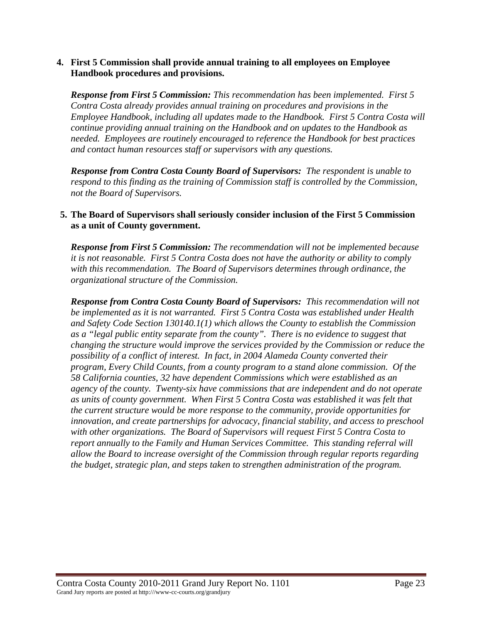#### **4. First 5 Commission shall provide annual training to all employees on Employee Handbook procedures and provisions.**

*Response from First 5 Commission: This recommendation has been implemented. First 5 Contra Costa already provides annual training on procedures and provisions in the Employee Handbook, including all updates made to the Handbook. First 5 Contra Costa will continue providing annual training on the Handbook and on updates to the Handbook as needed. Employees are routinely encouraged to reference the Handbook for best practices and contact human resources staff or supervisors with any questions.* 

*Response from Contra Costa County Board of Supervisors: The respondent is unable to respond to this finding as the training of Commission staff is controlled by the Commission, not the Board of Supervisors.* 

## **5. The Board of Supervisors shall seriously consider inclusion of the First 5 Commission as a unit of County government.**

*Response from First 5 Commission: The recommendation will not be implemented because it is not reasonable. First 5 Contra Costa does not have the authority or ability to comply with this recommendation. The Board of Supervisors determines through ordinance, the organizational structure of the Commission.* 

*Response from Contra Costa County Board of Supervisors: This recommendation will not be implemented as it is not warranted. First 5 Contra Costa was established under Health and Safety Code Section 130140.1(1) which allows the County to establish the Commission as a "legal public entity separate from the county". There is no evidence to suggest that changing the structure would improve the services provided by the Commission or reduce the possibility of a conflict of interest. In fact, in 2004 Alameda County converted their program, Every Child Counts, from a county program to a stand alone commission. Of the 58 California counties, 32 have dependent Commissions which were established as an agency of the county. Twenty-six have commissions that are independent and do not operate as units of county government. When First 5 Contra Costa was established it was felt that the current structure would be more response to the community, provide opportunities for innovation, and create partnerships for advocacy, financial stability, and access to preschool with other organizations. The Board of Supervisors will request First 5 Contra Costa to report annually to the Family and Human Services Committee. This standing referral will allow the Board to increase oversight of the Commission through regular reports regarding the budget, strategic plan, and steps taken to strengthen administration of the program.*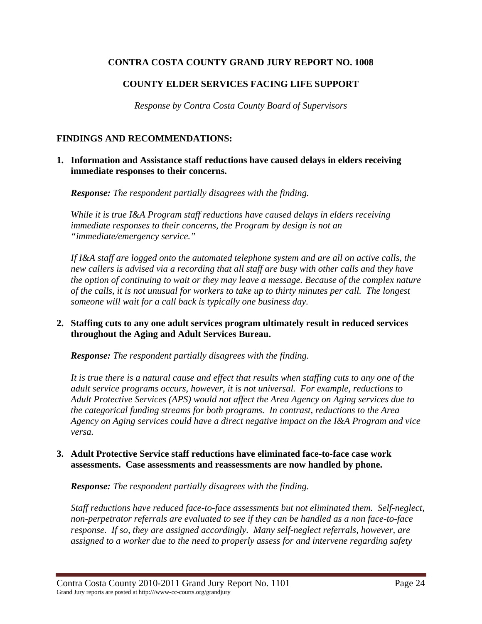# **COUNTY ELDER SERVICES FACING LIFE SUPPORT**

*Response by Contra Costa County Board of Supervisors* 

### **FINDINGS AND RECOMMENDATIONS:**

**1. Information and Assistance staff reductions have caused delays in elders receiving immediate responses to their concerns.** 

*Response: The respondent partially disagrees with the finding.* 

*While it is true I&A Program staff reductions have caused delays in elders receiving immediate responses to their concerns, the Program by design is not an "immediate/emergency service."* 

*If I&A staff are logged onto the automated telephone system and are all on active calls, the new callers is advised via a recording that all staff are busy with other calls and they have the option of continuing to wait or they may leave a message. Because of the complex nature of the calls, it is not unusual for workers to take up to thirty minutes per call. The longest someone will wait for a call back is typically one business day.* 

## **2. Staffing cuts to any one adult services program ultimately result in reduced services throughout the Aging and Adult Services Bureau.**

*Response: The respondent partially disagrees with the finding.* 

*It is true there is a natural cause and effect that results when staffing cuts to any one of the adult service programs occurs, however, it is not universal. For example, reductions to Adult Protective Services (APS) would not affect the Area Agency on Aging services due to the categorical funding streams for both programs. In contrast, reductions to the Area Agency on Aging services could have a direct negative impact on the I&A Program and vice versa.* 

## **3. Adult Protective Service staff reductions have eliminated face-to-face case work assessments. Case assessments and reassessments are now handled by phone.**

*Response: The respondent partially disagrees with the finding.* 

*Staff reductions have reduced face-to-face assessments but not eliminated them. Self-neglect, non-perpetrator referrals are evaluated to see if they can be handled as a non face-to-face response. If so, they are assigned accordingly. Many self-neglect referrals, however, are assigned to a worker due to the need to properly assess for and intervene regarding safety*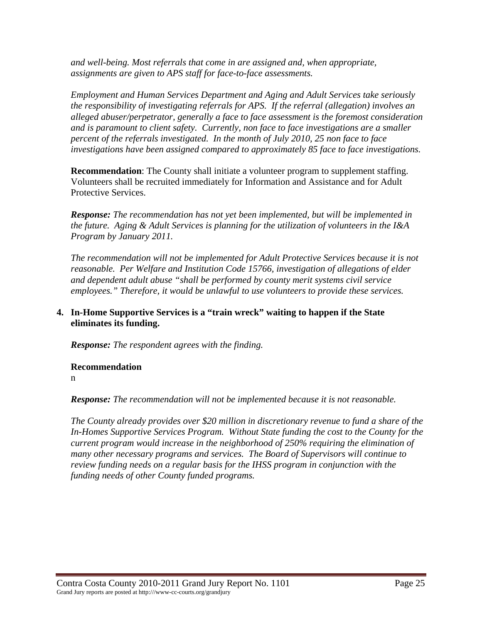*and well-being. Most referrals that come in are assigned and, when appropriate, assignments are given to APS staff for face-to-face assessments.* 

*Employment and Human Services Department and Aging and Adult Services take seriously the responsibility of investigating referrals for APS. If the referral (allegation) involves an alleged abuser/perpetrator, generally a face to face assessment is the foremost consideration and is paramount to client safety. Currently, non face to face investigations are a smaller percent of the referrals investigated. In the month of July 2010, 25 non face to face investigations have been assigned compared to approximately 85 face to face investigations.* 

**Recommendation**: The County shall initiate a volunteer program to supplement staffing. Volunteers shall be recruited immediately for Information and Assistance and for Adult Protective Services.

*Response: The recommendation has not yet been implemented, but will be implemented in the future. Aging & Adult Services is planning for the utilization of volunteers in the I&A Program by January 2011.* 

*The recommendation will not be implemented for Adult Protective Services because it is not reasonable. Per Welfare and Institution Code 15766, investigation of allegations of elder and dependent adult abuse "shall be performed by county merit systems civil service employees." Therefore, it would be unlawful to use volunteers to provide these services.* 

## **4. In-Home Supportive Services is a "train wreck" waiting to happen if the State eliminates its funding.**

*Response: The respondent agrees with the finding.* 

## **Recommendation**

n

*Response: The recommendation will not be implemented because it is not reasonable.* 

*The County already provides over \$20 million in discretionary revenue to fund a share of the In-Homes Supportive Services Program. Without State funding the cost to the County for the current program would increase in the neighborhood of 250% requiring the elimination of many other necessary programs and services. The Board of Supervisors will continue to review funding needs on a regular basis for the IHSS program in conjunction with the funding needs of other County funded programs.*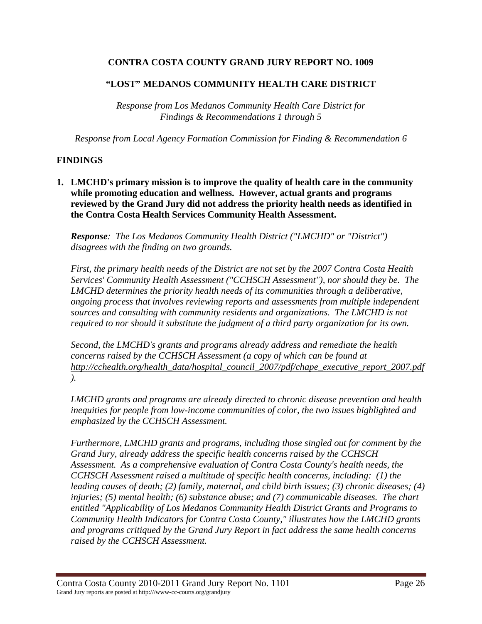# **"LOST" MEDANOS COMMUNITY HEALTH CARE DISTRICT**

*Response from Los Medanos Community Health Care District for Findings & Recommendations 1 through 5* 

*Response from Local Agency Formation Commission for Finding & Recommendation 6* 

### **FINDINGS**

**1. LMCHD's primary mission is to improve the quality of health care in the community while promoting education and wellness. However, actual grants and programs reviewed by the Grand Jury did not address the priority health needs as identified in the Contra Costa Health Services Community Health Assessment.** 

*Response: The Los Medanos Community Health District ("LMCHD" or "District") disagrees with the finding on two grounds.* 

*First, the primary health needs of the District are not set by the 2007 Contra Costa Health Services' Community Health Assessment ("CCHSCH Assessment"), nor should they be. The LMCHD determines the priority health needs of its communities through a deliberative, ongoing process that involves reviewing reports and assessments from multiple independent sources and consulting with community residents and organizations. The LMCHD is not required to nor should it substitute the judgment of a third party organization for its own.* 

*Second, the LMCHD's grants and programs already address and remediate the health concerns raised by the CCHSCH Assessment (a copy of which can be found at http://cchealth.org/health\_data/hospital\_council\_2007/pdf/chape\_executive\_report\_2007.pdf ).* 

*LMCHD grants and programs are already directed to chronic disease prevention and health inequities for people from low-income communities of color, the two issues highlighted and emphasized by the CCHSCH Assessment.* 

*Furthermore, LMCHD grants and programs, including those singled out for comment by the Grand Jury, already address the specific health concerns raised by the CCHSCH Assessment. As a comprehensive evaluation of Contra Costa County's health needs, the CCHSCH Assessment raised a multitude of specific health concerns, including: (1) the leading causes of death; (2) family, maternal, and child birth issues; (3) chronic diseases; (4) injuries; (5) mental health; (6) substance abuse; and (7) communicable diseases. The chart entitled "Applicability of Los Medanos Community Health District Grants and Programs to Community Health Indicators for Contra Costa County," illustrates how the LMCHD grants and programs critiqued by the Grand Jury Report in fact address the same health concerns raised by the CCHSCH Assessment.*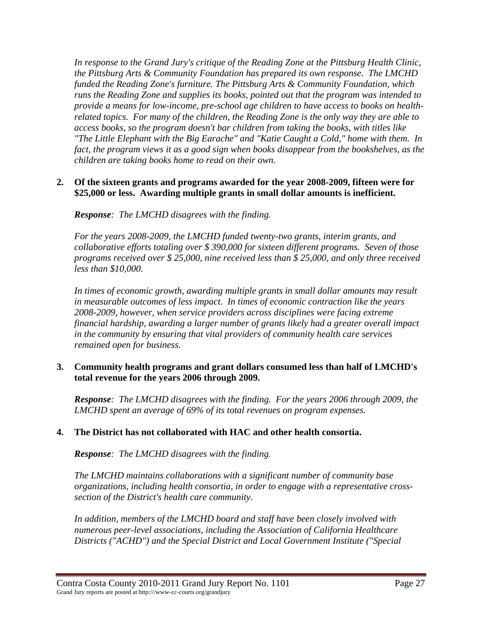*In response to the Grand Jury's critique of the Reading Zone at the Pittsburg Health Clinic, the Pittsburg Arts & Community Foundation has prepared its own response. The LMCHD funded the Reading Zone's furniture. The Pittsburg Arts & Community Foundation, which runs the Reading Zone and supplies its books, pointed out that the program was intended to provide a means for low-income, pre-school age children to have access to books on healthrelated topics. For many of the children, the Reading Zone is the only way they are able to access books, so the program doesn't bar children from taking the books, with titles like "The Little Elephant with the Big Earache" and "Katie Caught a Cold," home with them. In fact, the program views it as a good sign when books disappear from the bookshelves, as the children are taking books home to read on their own.* 

## **2. Of the sixteen grants and programs awarded for the year 2008-2009, fifteen were for \$25,000 or less. Awarding multiple grants in small dollar amounts is inefficient.**

*Response: The LMCHD disagrees with the finding.* 

*For the years 2008-2009, the LMCHD funded twenty-two grants, interim grants, and collaborative efforts totaling over \$ 390,000 for sixteen different programs. Seven of those programs received over \$ 25,000, nine received less than \$ 25,000, and only three received less than \$10,000.* 

In times of economic growth, awarding multiple grants in small dollar amounts may result *in measurable outcomes of less impact. In times of economic contraction like the years 2008-2009, however, when service providers across disciplines were facing extreme financial hardship, awarding a larger number of grants likely had a greater overall impact in the community by ensuring that vital providers of community health care services remained open for business.* 

## **3. Community health programs and grant dollars consumed less than half of LMCHD's total revenue for the years 2006 through 2009.**

*Response: The LMCHD disagrees with the finding. For the years 2006 through 2009, the LMCHD spent an average of 69% of its total revenues on program expenses.* 

# **4. The District has not collaborated with HAC and other health consortia.**

*Response: The LMCHD disagrees with the finding.* 

*The LMCHD maintains collaborations with a significant number of community base organizations, including health consortia, in order to engage with a representative crosssection of the District's health care community.* 

*In addition, members of the LMCHD board and staff have been closely involved with numerous peer-level associations, including the Association of California Healthcare Districts ("ACHD") and the Special District and Local Government Institute ("Special*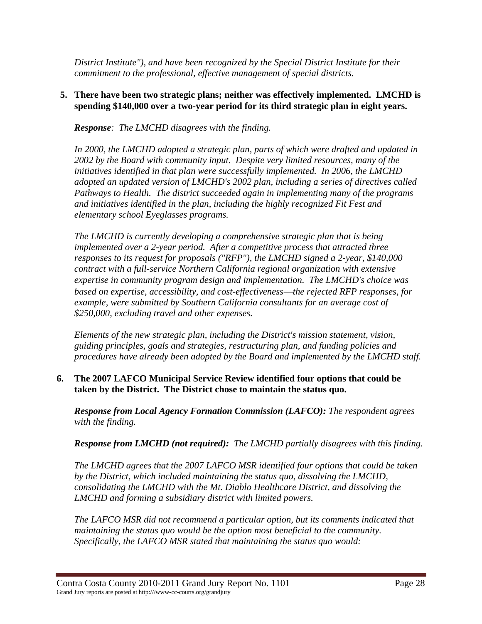*District Institute"), and have been recognized by the Special District Institute for their commitment to the professional, effective management of special districts.* 

### **5. There have been two strategic plans; neither was effectively implemented. LMCHD is spending \$140,000 over a two-year period for its third strategic plan in eight years.**

*Response: The LMCHD disagrees with the finding.* 

*In 2000, the LMCHD adopted a strategic plan, parts of which were drafted and updated in 2002 by the Board with community input. Despite very limited resources, many of the initiatives identified in that plan were successfully implemented. In 2006, the LMCHD adopted an updated version of LMCHD's 2002 plan, including a series of directives called Pathways to Health. The district succeeded again in implementing many of the programs and initiatives identified in the plan, including the highly recognized Fit Fest and elementary school Eyeglasses programs.* 

*The LMCHD is currently developing a comprehensive strategic plan that is being implemented over a 2-year period. After a competitive process that attracted three responses to its request for proposals ("RFP"), the LMCHD signed a 2-year, \$140,000 contract with a full-service Northern California regional organization with extensive expertise in community program design and implementation. The LMCHD's choice was based on expertise, accessibility, and cost-effectiveness—the rejected RFP responses, for example, were submitted by Southern California consultants for an average cost of \$250,000, excluding travel and other expenses.* 

*Elements of the new strategic plan, including the District's mission statement, vision, guiding principles, goals and strategies, restructuring plan, and funding policies and procedures have already been adopted by the Board and implemented by the LMCHD staff.* 

### **6. The 2007 LAFCO Municipal Service Review identified four options that could be taken by the District. The District chose to maintain the status quo.**

*Response from Local Agency Formation Commission (LAFCO): The respondent agrees with the finding.* 

*Response from LMCHD (not required): The LMCHD partially disagrees with this finding.* 

*The LMCHD agrees that the 2007 LAFCO MSR identified four options that could be taken by the District, which included maintaining the status quo, dissolving the LMCHD, consolidating the LMCHD with the Mt. Diablo Healthcare District, and dissolving the LMCHD and forming a subsidiary district with limited powers.* 

*The LAFCO MSR did not recommend a particular option, but its comments indicated that maintaining the status quo would be the option most beneficial to the community. Specifically, the LAFCO MSR stated that maintaining the status quo would:*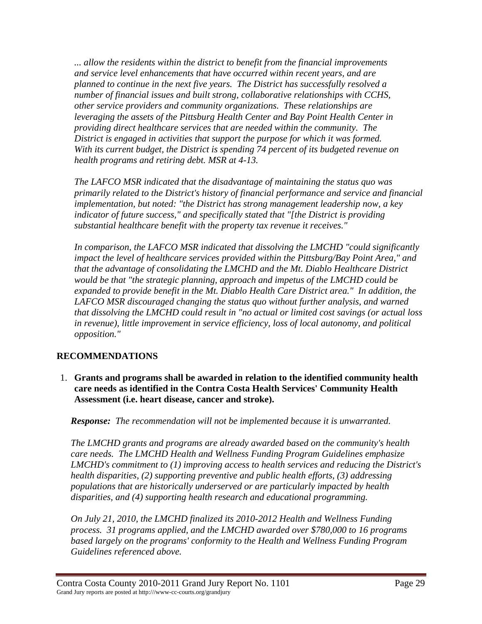*... allow the residents within the district to benefit from the financial improvements and service level enhancements that have occurred within recent years, and are planned to continue in the next five years. The District has successfully resolved a number of financial issues and built strong, collaborative relationships with CCHS, other service providers and community organizations. These relationships are leveraging the assets of the Pittsburg Health Center and Bay Point Health Center in providing direct healthcare services that are needed within the community. The District is engaged in activities that support the purpose for which it was formed. With its current budget, the District is spending 74 percent of its budgeted revenue on health programs and retiring debt. MSR at 4-13.* 

*The LAFCO MSR indicated that the disadvantage of maintaining the status quo was primarily related to the District's history of financial performance and service and financial implementation, but noted: "the District has strong management leadership now, a key indicator of future success," and specifically stated that "[the District is providing substantial healthcare benefit with the property tax revenue it receives."* 

*In comparison, the LAFCO MSR indicated that dissolving the LMCHD "could significantly impact the level of healthcare services provided within the Pittsburg/Bay Point Area," and that the advantage of consolidating the LMCHD and the Mt. Diablo Healthcare District would be that "the strategic planning, approach and impetus of the LMCHD could be expanded to provide benefit in the Mt. Diablo Health Care District area." In addition, the LAFCO MSR discouraged changing the status quo without further analysis, and warned that dissolving the LMCHD could result in "no actual or limited cost savings (or actual loss in revenue), little improvement in service efficiency, loss of local autonomy, and political opposition."* 

# **RECOMMENDATIONS**

1. **Grants and programs shall be awarded in relation to the identified community health care needs as identified in the Contra Costa Health Services' Community Health Assessment (i.e. heart disease, cancer and stroke).** 

*Response: The recommendation will not be implemented because it is unwarranted.* 

*The LMCHD grants and programs are already awarded based on the community's health care needs. The LMCHD Health and Wellness Funding Program Guidelines emphasize LMCHD's commitment to (1) improving access to health services and reducing the District's health disparities, (2) supporting preventive and public health efforts, (3) addressing populations that are historically underserved or are particularly impacted by health disparities, and (4) supporting health research and educational programming.* 

*On July 21, 2010, the LMCHD finalized its 2010-2012 Health and Wellness Funding process. 31 programs applied, and the LMCHD awarded over \$780,000 to 16 programs based largely on the programs' conformity to the Health and Wellness Funding Program Guidelines referenced above.*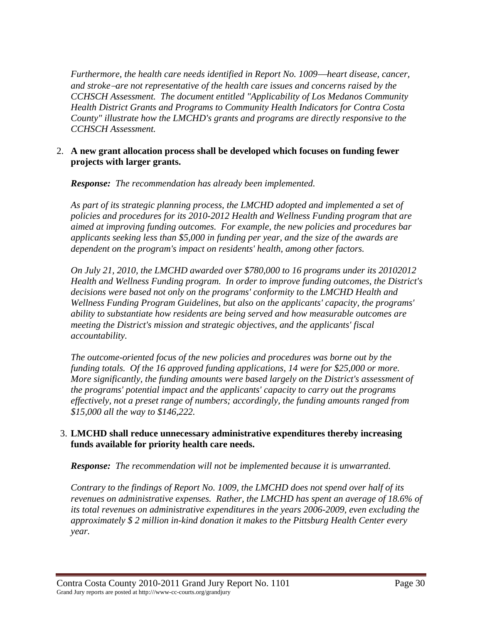*Furthermore, the health care needs identified in Report No. 1009—heart disease, cancer, and stroke*−*are not representative of the health care issues and concerns raised by the CCHSCH Assessment. The document entitled "Applicability of Los Medanos Community Health District Grants and Programs to Community Health Indicators for Contra Costa County" illustrate how the LMCHD's grants and programs are directly responsive to the CCHSCH Assessment.* 

## 2. **A new grant allocation process shall be developed which focuses on funding fewer projects with larger grants.**

*Response: The recommendation has already been implemented.* 

*As part of its strategic planning process, the LMCHD adopted and implemented a set of policies and procedures for its 2010-2012 Health and Wellness Funding program that are aimed at improving funding outcomes. For example, the new policies and procedures bar applicants seeking less than \$5,000 in funding per year, and the size of the awards are dependent on the program's impact on residents' health, among other factors.* 

*On July 21, 2010, the LMCHD awarded over \$780,000 to 16 programs under its 20102012 Health and Wellness Funding program. In order to improve funding outcomes, the District's decisions were based not only on the programs' conformity to the LMCHD Health and Wellness Funding Program Guidelines, but also on the applicants' capacity, the programs' ability to substantiate how residents are being served and how measurable outcomes are meeting the District's mission and strategic objectives, and the applicants' fiscal accountability.* 

*The outcome-oriented focus of the new policies and procedures was borne out by the funding totals. Of the 16 approved funding applications, 14 were for \$25,000 or more. More significantly, the funding amounts were based largely on the District's assessment of the programs' potential impact and the applicants' capacity to carry out the programs effectively, not a preset range of numbers; accordingly, the funding amounts ranged from \$15,000 all the way to \$146,222.* 

## 3. **LMCHD shall reduce unnecessary administrative expenditures thereby increasing funds available for priority health care needs.**

*Response: The recommendation will not be implemented because it is unwarranted.* 

*Contrary to the findings of Report No. 1009, the LMCHD does not spend over half of its revenues on administrative expenses. Rather, the LMCHD has spent an average of 18.6% of its total revenues on administrative expenditures in the years 2006-2009, even excluding the approximately \$ 2 million in-kind donation it makes to the Pittsburg Health Center every year.*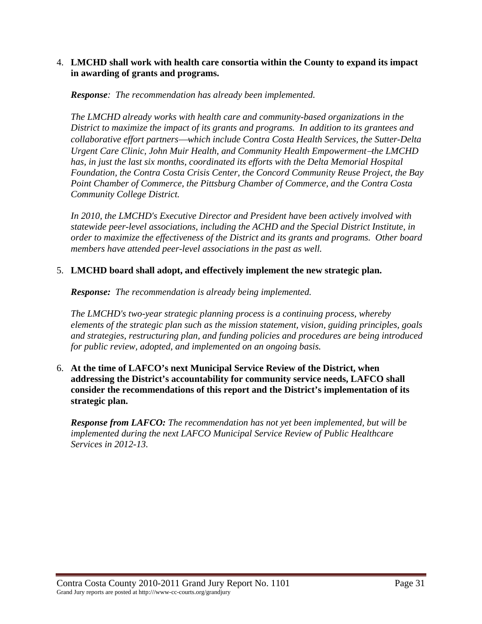### 4. **LMCHD shall work with health care consortia within the County to expand its impact in awarding of grants and programs.**

### *Response: The recommendation has already been implemented.*

*The LMCHD already works with health care and community-based organizations in the District to maximize the impact of its grants and programs. In addition to its grantees and collaborative effort partners*⎯*which include Contra Costa Health Services, the Sutter-Delta Urgent Care Clinic, John Muir Health, and Community Health Empowerment*−*the LMCHD*  has, in just the last six months, coordinated its efforts with the Delta Memorial Hospital *Foundation, the Contra Costa Crisis Center, the Concord Community Reuse Project, the Bay Point Chamber of Commerce, the Pittsburg Chamber of Commerce, and the Contra Costa Community College District.* 

*In 2010, the LMCHD's Executive Director and President have been actively involved with statewide peer-level associations, including the ACHD and the Special District Institute, in order to maximize the effectiveness of the District and its grants and programs. Other board members have attended peer-level associations in the past as well.* 

## 5. **LMCHD board shall adopt, and effectively implement the new strategic plan.**

*Response: The recommendation is already being implemented.* 

*The LMCHD's two-year strategic planning process is a continuing process, whereby elements of the strategic plan such as the mission statement, vision, guiding principles, goals and strategies, restructuring plan, and funding policies and procedures are being introduced for public review, adopted, and implemented on an ongoing basis.* 

6. **At the time of LAFCO's next Municipal Service Review of the District, when addressing the District's accountability for community service needs, LAFCO shall consider the recommendations of this report and the District's implementation of its strategic plan.** 

*Response from LAFCO: The recommendation has not yet been implemented, but will be implemented during the next LAFCO Municipal Service Review of Public Healthcare Services in 2012-13.*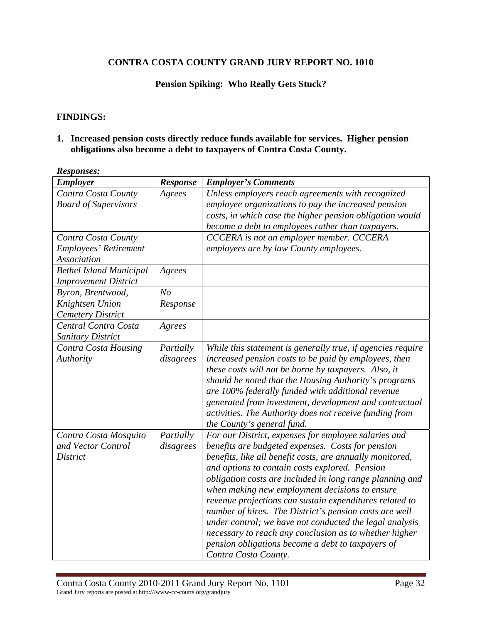### **Pension Spiking: Who Really Gets Stuck?**

#### **FINDINGS:**

## **1. Increased pension costs directly reduce funds available for services. Higher pension obligations also become a debt to taxpayers of Contra Costa County.**

| AWD PUID UD .<br><b>Employer</b> | Response       | <b>Employer's Comments</b>                                  |
|----------------------------------|----------------|-------------------------------------------------------------|
| Contra Costa County              | Agrees         | Unless employers reach agreements with recognized           |
| <b>Board of Supervisors</b>      |                | employee organizations to pay the increased pension         |
|                                  |                |                                                             |
|                                  |                | costs, in which case the higher pension obligation would    |
|                                  |                | become a debt to employees rather than taxpayers.           |
| Contra Costa County              |                | CCCERA is not an employer member. CCCERA                    |
| Employees' Retirement            |                | employees are by law County employees.                      |
| Association                      |                |                                                             |
| <b>Bethel Island Municipal</b>   | Agrees         |                                                             |
| <b>Improvement District</b>      |                |                                                             |
| Byron, Brentwood,                | N <sub>O</sub> |                                                             |
| Knightsen Union                  | Response       |                                                             |
| <b>Cemetery District</b>         |                |                                                             |
| Central Contra Costa             | Agrees         |                                                             |
| <b>Sanitary District</b>         |                |                                                             |
| Contra Costa Housing             | Partially      | While this statement is generally true, if agencies require |
| Authority                        | disagrees      | increased pension costs to be paid by employees, then       |
|                                  |                | these costs will not be borne by taxpayers. Also, it        |
|                                  |                | should be noted that the Housing Authority's programs       |
|                                  |                | are 100% federally funded with additional revenue           |
|                                  |                | generated from investment, development and contractual      |
|                                  |                | activities. The Authority does not receive funding from     |
|                                  |                |                                                             |
|                                  |                | the County's general fund.                                  |
| Contra Costa Mosquito            | Partially      | For our District, expenses for employee salaries and        |
| and Vector Control               | disagrees      | benefits are budgeted expenses. Costs for pension           |
| District                         |                | benefits, like all benefit costs, are annually monitored,   |
|                                  |                | and options to contain costs explored. Pension              |
|                                  |                | obligation costs are included in long range planning and    |
|                                  |                | when making new employment decisions to ensure              |
|                                  |                | revenue projections can sustain expenditures related to     |
|                                  |                | number of hires. The District's pension costs are well      |
|                                  |                | under control; we have not conducted the legal analysis     |
|                                  |                | necessary to reach any conclusion as to whether higher      |
|                                  |                | pension obligations become a debt to taxpayers of           |
|                                  |                | Contra Costa County.                                        |

*Responses:*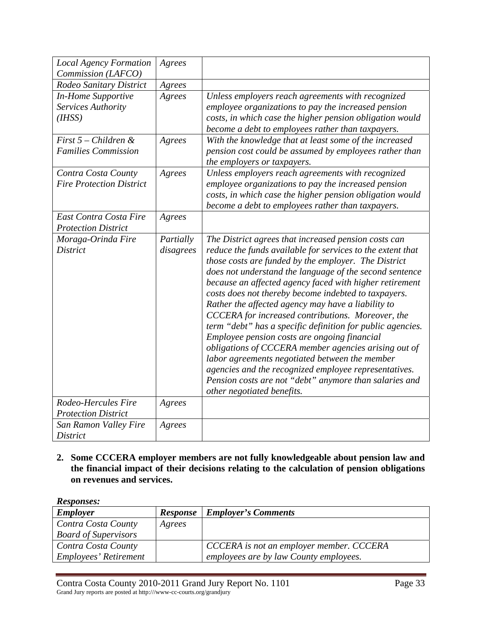| <b>Local Agency Formation</b>   | Agrees    |                                                            |
|---------------------------------|-----------|------------------------------------------------------------|
| Commission (LAFCO)              |           |                                                            |
| Rodeo Sanitary District         | Agrees    |                                                            |
| <b>In-Home Supportive</b>       | Agrees    | Unless employers reach agreements with recognized          |
| Services Authority              |           | employee organizations to pay the increased pension        |
| (H <sub>ISS</sub> )             |           | costs, in which case the higher pension obligation would   |
|                                 |           | become a debt to employees rather than taxpayers.          |
| First $5$ – Children &          | Agrees    | With the knowledge that at least some of the increased     |
| <b>Families Commission</b>      |           | pension cost could be assumed by employees rather than     |
|                                 |           | the employers or taxpayers.                                |
| Contra Costa County             | Agrees    | Unless employers reach agreements with recognized          |
| <b>Fire Protection District</b> |           | employee organizations to pay the increased pension        |
|                                 |           | costs, in which case the higher pension obligation would   |
|                                 |           | become a debt to employees rather than taxpayers.          |
| East Contra Costa Fire          | Agrees    |                                                            |
| <b>Protection District</b>      |           |                                                            |
| Moraga-Orinda Fire              | Partially | The District agrees that increased pension costs can       |
| <b>District</b>                 | disagrees | reduce the funds available for services to the extent that |
|                                 |           | those costs are funded by the employer. The District       |
|                                 |           | does not understand the language of the second sentence    |
|                                 |           | because an affected agency faced with higher retirement    |
|                                 |           | costs does not thereby become indebted to taxpayers.       |
|                                 |           | Rather the affected agency may have a liability to         |
|                                 |           | CCCERA for increased contributions. Moreover, the          |
|                                 |           | term "debt" has a specific definition for public agencies. |
|                                 |           | Employee pension costs are ongoing financial               |
|                                 |           | obligations of CCCERA member agencies arising out of       |
|                                 |           | labor agreements negotiated between the member             |
|                                 |           | agencies and the recognized employee representatives.      |
|                                 |           | Pension costs are not "debt" anymore than salaries and     |
|                                 |           | other negotiated benefits.                                 |
| Rodeo-Hercules Fire             | Agrees    |                                                            |
| <b>Protection District</b>      |           |                                                            |
| San Ramon Valley Fire           | Agrees    |                                                            |
| <b>District</b>                 |           |                                                            |

**2. Some CCCERA employer members are not fully knowledgeable about pension law and the financial impact of their decisions relating to the calculation of pension obligations on revenues and services.** 

| <b>Responses:</b>            |                 |                                          |
|------------------------------|-----------------|------------------------------------------|
| <b>Employer</b>              | <b>Response</b> | <b>Employer's Comments</b>               |
| Contra Costa County          | Agrees          |                                          |
| <b>Board of Supervisors</b>  |                 |                                          |
| Contra Costa County          |                 | CCCERA is not an employer member. CCCERA |
| <b>Employees' Retirement</b> |                 | employees are by law County employees.   |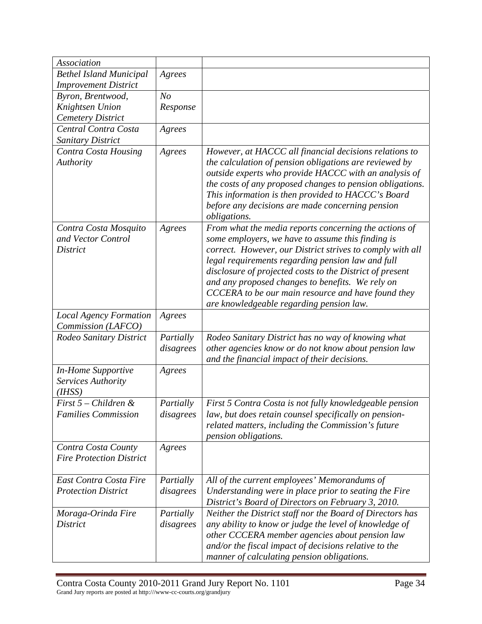| <b>Association</b>                                  |                |                                                                                                                                                                                                                                                                                                                                                                         |
|-----------------------------------------------------|----------------|-------------------------------------------------------------------------------------------------------------------------------------------------------------------------------------------------------------------------------------------------------------------------------------------------------------------------------------------------------------------------|
| <b>Bethel Island Municipal</b>                      | Agrees         |                                                                                                                                                                                                                                                                                                                                                                         |
| <b>Improvement District</b>                         |                |                                                                                                                                                                                                                                                                                                                                                                         |
| Byron, Brentwood,                                   | N <sub>o</sub> |                                                                                                                                                                                                                                                                                                                                                                         |
| Knightsen Union                                     | Response       |                                                                                                                                                                                                                                                                                                                                                                         |
| <b>Cemetery District</b>                            |                |                                                                                                                                                                                                                                                                                                                                                                         |
| Central Contra Costa                                | Agrees         |                                                                                                                                                                                                                                                                                                                                                                         |
| Sanitary District                                   |                |                                                                                                                                                                                                                                                                                                                                                                         |
| Contra Costa Housing<br>Authority                   | Agrees         | However, at HACCC all financial decisions relations to<br>the calculation of pension obligations are reviewed by<br>outside experts who provide HACCC with an analysis of<br>the costs of any proposed changes to pension obligations.<br>This information is then provided to HACCC's Board<br>before any decisions are made concerning pension<br><i>obligations.</i> |
| Contra Costa Mosquito<br>and Vector Control         | Agrees         | From what the media reports concerning the actions of<br>some employers, we have to assume this finding is                                                                                                                                                                                                                                                              |
| <b>District</b>                                     |                | correct. However, our District strives to comply with all                                                                                                                                                                                                                                                                                                               |
|                                                     |                | legal requirements regarding pension law and full                                                                                                                                                                                                                                                                                                                       |
|                                                     |                | disclosure of projected costs to the District of present                                                                                                                                                                                                                                                                                                                |
|                                                     |                | and any proposed changes to benefits. We rely on                                                                                                                                                                                                                                                                                                                        |
|                                                     |                | CCCERA to be our main resource and have found they                                                                                                                                                                                                                                                                                                                      |
|                                                     |                | are knowledgeable regarding pension law.                                                                                                                                                                                                                                                                                                                                |
| <b>Local Agency Formation</b><br>Commission (LAFCO) | Agrees         |                                                                                                                                                                                                                                                                                                                                                                         |
| Rodeo Sanitary District                             | Partially      | Rodeo Sanitary District has no way of knowing what                                                                                                                                                                                                                                                                                                                      |
|                                                     | disagrees      | other agencies know or do not know about pension law                                                                                                                                                                                                                                                                                                                    |
|                                                     |                | and the financial impact of their decisions.                                                                                                                                                                                                                                                                                                                            |
| In-Home Supportive                                  |                |                                                                                                                                                                                                                                                                                                                                                                         |
| Services Authority                                  | Agrees         |                                                                                                                                                                                                                                                                                                                                                                         |
| (IHSS)                                              |                |                                                                                                                                                                                                                                                                                                                                                                         |
| First 5 – Children &                                | Partially      | First 5 Contra Costa is not fully knowledgeable pension                                                                                                                                                                                                                                                                                                                 |
| <b>Families Commission</b>                          | disagrees      | law, but does retain counsel specifically on pension-                                                                                                                                                                                                                                                                                                                   |
|                                                     |                | related matters, including the Commission's future                                                                                                                                                                                                                                                                                                                      |
|                                                     |                | pension obligations.                                                                                                                                                                                                                                                                                                                                                    |
| Contra Costa County                                 | Agrees         |                                                                                                                                                                                                                                                                                                                                                                         |
| <b>Fire Protection District</b>                     |                |                                                                                                                                                                                                                                                                                                                                                                         |
| East Contra Costa Fire                              | Partially      | All of the current employees' Memorandums of                                                                                                                                                                                                                                                                                                                            |
| <b>Protection District</b>                          | disagrees      | Understanding were in place prior to seating the Fire                                                                                                                                                                                                                                                                                                                   |
|                                                     |                | District's Board of Directors on February 3, 2010.                                                                                                                                                                                                                                                                                                                      |
| Moraga-Orinda Fire                                  | Partially      | Neither the District staff nor the Board of Directors has                                                                                                                                                                                                                                                                                                               |
| <b>District</b>                                     | disagrees      | any ability to know or judge the level of knowledge of                                                                                                                                                                                                                                                                                                                  |
|                                                     |                | other CCCERA member agencies about pension law                                                                                                                                                                                                                                                                                                                          |
|                                                     |                | and/or the fiscal impact of decisions relative to the<br>manner of calculating pension obligations.                                                                                                                                                                                                                                                                     |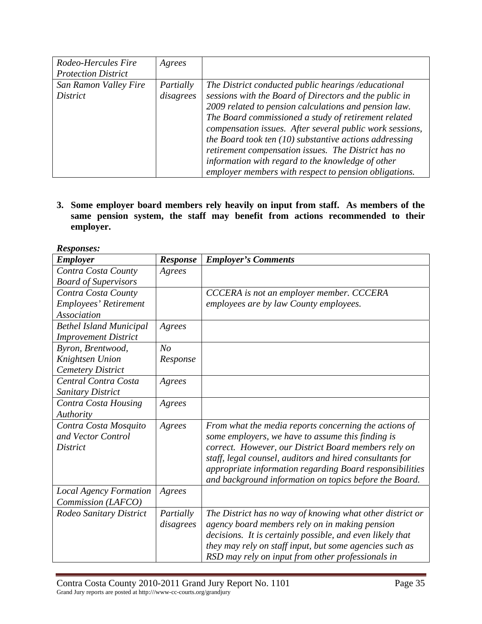| Rodeo-Hercules Fire<br><b>Protection District</b> | Agrees                 |                                                                                                                                                                                                                                                                                                                                                                                                                                                                                                                             |
|---------------------------------------------------|------------------------|-----------------------------------------------------------------------------------------------------------------------------------------------------------------------------------------------------------------------------------------------------------------------------------------------------------------------------------------------------------------------------------------------------------------------------------------------------------------------------------------------------------------------------|
| San Ramon Valley Fire<br><i>District</i>          | Partially<br>disagrees | The District conducted public hearings /educational<br>sessions with the Board of Directors and the public in<br>2009 related to pension calculations and pension law.<br>The Board commissioned a study of retirement related<br>compensation issues. After several public work sessions,<br>the Board took ten $(10)$ substantive actions addressing<br>retirement compensation issues. The District has no<br>information with regard to the knowledge of other<br>employer members with respect to pension obligations. |

**3. Some employer board members rely heavily on input from staff. As members of the same pension system, the staff may benefit from actions recommended to their employer.** 

*Responses:* 

| <b>Employer</b>                | Response       | <b>Employer's Comments</b>                                |
|--------------------------------|----------------|-----------------------------------------------------------|
| Contra Costa County            | Agrees         |                                                           |
| <b>Board of Supervisors</b>    |                |                                                           |
| Contra Costa County            |                | CCCERA is not an employer member. CCCERA                  |
| Employees' Retirement          |                | employees are by law County employees.                    |
| <b>Association</b>             |                |                                                           |
| <b>Bethel Island Municipal</b> | Agrees         |                                                           |
| <b>Improvement District</b>    |                |                                                           |
| Byron, Brentwood,              | N <sub>O</sub> |                                                           |
| Knightsen Union                | Response       |                                                           |
| <b>Cemetery District</b>       |                |                                                           |
| Central Contra Costa           | Agrees         |                                                           |
| <b>Sanitary District</b>       |                |                                                           |
| Contra Costa Housing           | Agrees         |                                                           |
| Authority                      |                |                                                           |
| Contra Costa Mosquito          | Agrees         | From what the media reports concerning the actions of     |
| and Vector Control             |                | some employers, we have to assume this finding is         |
| District                       |                | correct. However, our District Board members rely on      |
|                                |                | staff, legal counsel, auditors and hired consultants for  |
|                                |                | appropriate information regarding Board responsibilities  |
|                                |                | and background information on topics before the Board.    |
| <b>Local Agency Formation</b>  | Agrees         |                                                           |
| Commission (LAFCO)             |                |                                                           |
| Rodeo Sanitary District        | Partially      | The District has no way of knowing what other district or |
|                                | disagrees      | agency board members rely on in making pension            |
|                                |                | decisions. It is certainly possible, and even likely that |
|                                |                | they may rely on staff input, but some agencies such as   |
|                                |                | RSD may rely on input from other professionals in         |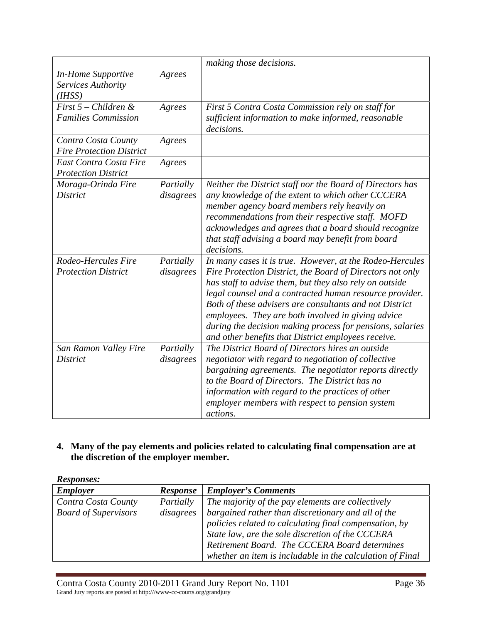|                                                                        |                        | making those decisions.                                                                                                                                                                                                                                                                                                                                                                                                                                                          |
|------------------------------------------------------------------------|------------------------|----------------------------------------------------------------------------------------------------------------------------------------------------------------------------------------------------------------------------------------------------------------------------------------------------------------------------------------------------------------------------------------------------------------------------------------------------------------------------------|
| <b>In-Home Supportive</b><br>Services Authority<br>(H <sub>ISS</sub> ) | Agrees                 |                                                                                                                                                                                                                                                                                                                                                                                                                                                                                  |
| First $5$ – Children &<br><b>Families Commission</b>                   | Agrees                 | First 5 Contra Costa Commission rely on staff for<br>sufficient information to make informed, reasonable<br>decisions.                                                                                                                                                                                                                                                                                                                                                           |
| Contra Costa County<br><b>Fire Protection District</b>                 | Agrees                 |                                                                                                                                                                                                                                                                                                                                                                                                                                                                                  |
| East Contra Costa Fire<br><b>Protection District</b>                   | Agrees                 |                                                                                                                                                                                                                                                                                                                                                                                                                                                                                  |
| Moraga-Orinda Fire<br><b>District</b>                                  | Partially<br>disagrees | Neither the District staff nor the Board of Directors has<br>any knowledge of the extent to which other CCCERA<br>member agency board members rely heavily on<br>recommendations from their respective staff. MOFD<br>acknowledges and agrees that a board should recognize<br>that staff advising a board may benefit from board<br>decisions.                                                                                                                                  |
| Rodeo-Hercules Fire<br><b>Protection District</b>                      | Partially<br>disagrees | In many cases it is true. However, at the Rodeo-Hercules<br>Fire Protection District, the Board of Directors not only<br>has staff to advise them, but they also rely on outside<br>legal counsel and a contracted human resource provider.<br>Both of these advisers are consultants and not District<br>employees. They are both involved in giving advice<br>during the decision making process for pensions, salaries<br>and other benefits that District employees receive. |
| San Ramon Valley Fire<br><b>District</b>                               | Partially<br>disagrees | The District Board of Directors hires an outside<br>negotiator with regard to negotiation of collective<br>bargaining agreements. The negotiator reports directly<br>to the Board of Directors. The District has no<br>information with regard to the practices of other<br>employer members with respect to pension system<br>actions.                                                                                                                                          |

## **4. Many of the pay elements and policies related to calculating final compensation are at the discretion of the employer member.**

*Responses:* 

| .                           |                 |                                                           |
|-----------------------------|-----------------|-----------------------------------------------------------|
| <b>Employer</b>             | <b>Response</b> | <b>Employer's Comments</b>                                |
| Contra Costa County         | Partially       | The majority of the pay elements are collectively         |
| <b>Board of Supervisors</b> | disagrees       | bargained rather than discretionary and all of the        |
|                             |                 | policies related to calculating final compensation, by    |
|                             |                 | State law, are the sole discretion of the CCCERA          |
|                             |                 | Retirement Board. The CCCERA Board determines             |
|                             |                 | whether an item is includable in the calculation of Final |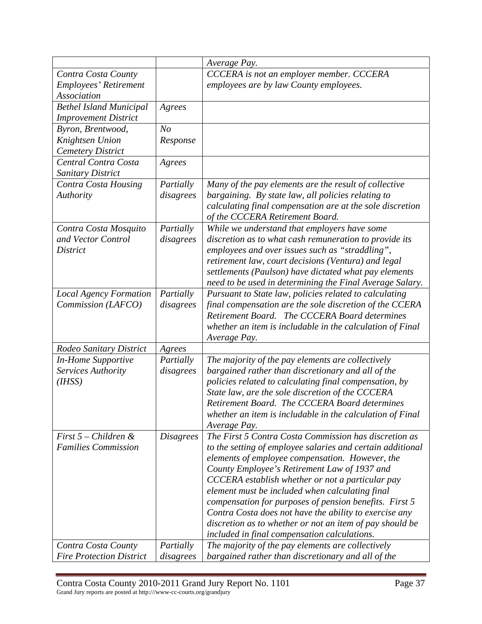|                                 |                  | Average Pay.                                               |
|---------------------------------|------------------|------------------------------------------------------------|
| Contra Costa County             |                  | CCCERA is not an employer member. CCCERA                   |
| Employees' Retirement           |                  | employees are by law County employees.                     |
| <b>Association</b>              |                  |                                                            |
| <b>Bethel Island Municipal</b>  | Agrees           |                                                            |
| <b>Improvement District</b>     |                  |                                                            |
| Byron, Brentwood,               | N <sub>O</sub>   |                                                            |
| Knightsen Union                 | Response         |                                                            |
| <b>Cemetery District</b>        |                  |                                                            |
| Central Contra Costa            | Agrees           |                                                            |
| Sanitary District               |                  |                                                            |
| Contra Costa Housing            | Partially        | Many of the pay elements are the result of collective      |
| Authority                       | disagrees        | bargaining. By state law, all policies relating to         |
|                                 |                  | calculating final compensation are at the sole discretion  |
|                                 |                  | of the CCCERA Retirement Board.                            |
| Contra Costa Mosquito           | Partially        | While we understand that employers have some               |
| and Vector Control              | disagrees        | discretion as to what cash remuneration to provide its     |
| <b>District</b>                 |                  | employees and over issues such as "straddling",            |
|                                 |                  | retirement law, court decisions (Ventura) and legal        |
|                                 |                  | settlements (Paulson) have dictated what pay elements      |
|                                 |                  | need to be used in determining the Final Average Salary.   |
| <b>Local Agency Formation</b>   | Partially        | Pursuant to State law, policies related to calculating     |
| Commission (LAFCO)              | disagrees        | final compensation are the sole discretion of the CCERA    |
|                                 |                  | Retirement Board. The CCCERA Board determines              |
|                                 |                  | whether an item is includable in the calculation of Final  |
|                                 |                  | Average Pay.                                               |
| Rodeo Sanitary District         | Agrees           |                                                            |
| <b>In-Home Supportive</b>       | Partially        | The majority of the pay elements are collectively          |
| Services Authority              | disagrees        | bargained rather than discretionary and all of the         |
| (I HSS)                         |                  | policies related to calculating final compensation, by     |
|                                 |                  | State law, are the sole discretion of the CCCERA           |
|                                 |                  | Retirement Board. The CCCERA Board determines              |
|                                 |                  | whether an item is includable in the calculation of Final  |
|                                 |                  | Average Pay.                                               |
| First $5$ – Children &          | <i>Disagrees</i> | The First 5 Contra Costa Commission has discretion as      |
| <b>Families Commission</b>      |                  | to the setting of employee salaries and certain additional |
|                                 |                  | elements of employee compensation. However, the            |
|                                 |                  | County Employee's Retirement Law of 1937 and               |
|                                 |                  | CCCERA establish whether or not a particular pay           |
|                                 |                  | element must be included when calculating final            |
|                                 |                  | compensation for purposes of pension benefits. First 5     |
|                                 |                  | Contra Costa does not have the ability to exercise any     |
|                                 |                  | discretion as to whether or not an item of pay should be   |
|                                 |                  | included in final compensation calculations.               |
| Contra Costa County             | Partially        | The majority of the pay elements are collectively          |
| <b>Fire Protection District</b> | disagrees        | bargained rather than discretionary and all of the         |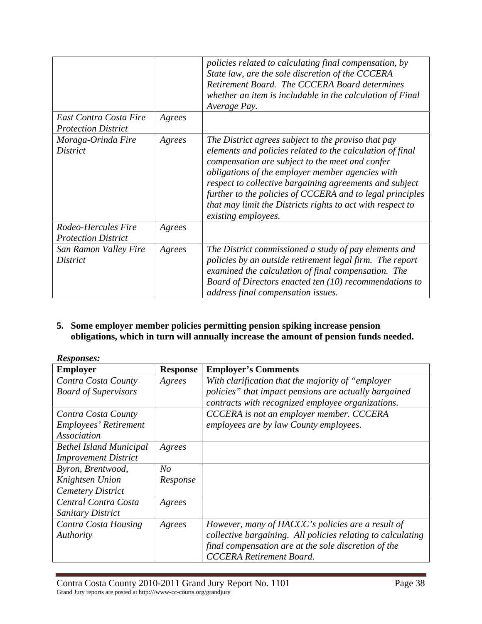|                                                      |        | policies related to calculating final compensation, by<br>State law, are the sole discretion of the CCCERA<br>Retirement Board. The CCCERA Board determines<br>whether an item is includable in the calculation of Final<br>Average Pay.                                                                                                                                                                                             |
|------------------------------------------------------|--------|--------------------------------------------------------------------------------------------------------------------------------------------------------------------------------------------------------------------------------------------------------------------------------------------------------------------------------------------------------------------------------------------------------------------------------------|
| East Contra Costa Fire<br><b>Protection District</b> | Agrees |                                                                                                                                                                                                                                                                                                                                                                                                                                      |
| Moraga-Orinda Fire<br><i>District</i>                | Agrees | The District agrees subject to the proviso that pay<br>elements and policies related to the calculation of final<br>compensation are subject to the meet and confer<br>obligations of the employer member agencies with<br>respect to collective bargaining agreements and subject<br>further to the policies of CCCERA and to legal principles<br>that may limit the Districts rights to act with respect to<br>existing employees. |
| Rodeo-Hercules Fire<br><b>Protection District</b>    | Agrees |                                                                                                                                                                                                                                                                                                                                                                                                                                      |
| San Ramon Valley Fire<br><i>District</i>             | Agrees | The District commissioned a study of pay elements and<br>policies by an outside retirement legal firm. The report<br>examined the calculation of final compensation. The<br>Board of Directors enacted ten (10) recommendations to<br>address final compensation issues.                                                                                                                                                             |

**5. Some employer member policies permitting pension spiking increase pension obligations, which in turn will annually increase the amount of pension funds needed.** 

| <i>Responses:</i>              |                 |                                                             |
|--------------------------------|-----------------|-------------------------------------------------------------|
| <b>Employer</b>                | <b>Response</b> | <b>Employer's Comments</b>                                  |
| Contra Costa County            | Agrees          | With clarification that the majority of "employer"          |
| <b>Board of Supervisors</b>    |                 | policies" that impact pensions are actually bargained       |
|                                |                 | contracts with recognized employee organizations.           |
| Contra Costa County            |                 | CCCERA is not an employer member. CCCERA                    |
| Employees' Retirement          |                 | employees are by law County employees.                      |
| Association                    |                 |                                                             |
| <b>Bethel Island Municipal</b> | Agrees          |                                                             |
| <b>Improvement District</b>    |                 |                                                             |
| Byron, Brentwood,              | $N_{O}$         |                                                             |
| Knightsen Union                | Response        |                                                             |
| <b>Cemetery District</b>       |                 |                                                             |
| Central Contra Costa           | Agrees          |                                                             |
| <b>Sanitary District</b>       |                 |                                                             |
| Contra Costa Housing           | Agrees          | However, many of HACCC's policies are a result of           |
| Authority                      |                 | collective bargaining. All policies relating to calculating |
|                                |                 | final compensation are at the sole discretion of the        |
|                                |                 | <b>CCCERA</b> Retirement Board.                             |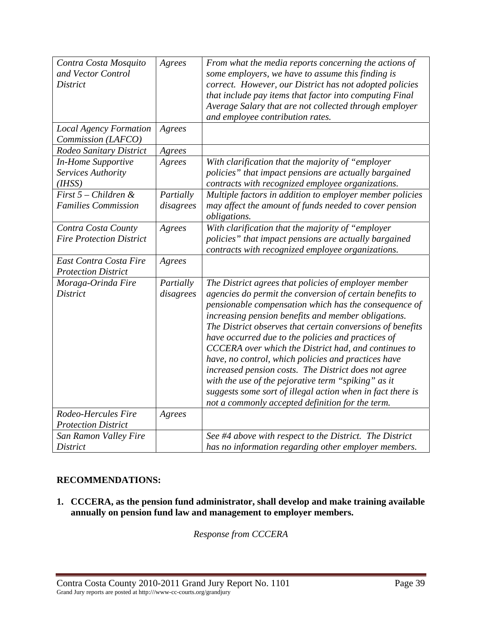| Contra Costa Mosquito<br>and Vector Control<br><b>District</b>         | Agrees                 | From what the media reports concerning the actions of<br>some employers, we have to assume this finding is<br>correct. However, our District has not adopted policies<br>that include pay items that factor into computing Final<br>Average Salary that are not collected through employer<br>and employee contribution rates.                                                                                                                                                                                                                                                                                                                                                                       |
|------------------------------------------------------------------------|------------------------|------------------------------------------------------------------------------------------------------------------------------------------------------------------------------------------------------------------------------------------------------------------------------------------------------------------------------------------------------------------------------------------------------------------------------------------------------------------------------------------------------------------------------------------------------------------------------------------------------------------------------------------------------------------------------------------------------|
| <b>Local Agency Formation</b><br>Commission (LAFCO)                    | Agrees                 |                                                                                                                                                                                                                                                                                                                                                                                                                                                                                                                                                                                                                                                                                                      |
| Rodeo Sanitary District                                                | Agrees                 |                                                                                                                                                                                                                                                                                                                                                                                                                                                                                                                                                                                                                                                                                                      |
| <b>In-Home Supportive</b><br>Services Authority<br>(H <sub>ISS</sub> ) | Agrees                 | With clarification that the majority of "employer<br>policies" that impact pensions are actually bargained<br>contracts with recognized employee organizations.                                                                                                                                                                                                                                                                                                                                                                                                                                                                                                                                      |
| First 5 - Children &<br><b>Families Commission</b>                     | Partially<br>disagrees | Multiple factors in addition to employer member policies<br>may affect the amount of funds needed to cover pension<br>obligations.                                                                                                                                                                                                                                                                                                                                                                                                                                                                                                                                                                   |
| Contra Costa County<br><b>Fire Protection District</b>                 | Agrees                 | With clarification that the majority of "employer<br>policies" that impact pensions are actually bargained<br>contracts with recognized employee organizations.                                                                                                                                                                                                                                                                                                                                                                                                                                                                                                                                      |
| East Contra Costa Fire<br><b>Protection District</b>                   | Agrees                 |                                                                                                                                                                                                                                                                                                                                                                                                                                                                                                                                                                                                                                                                                                      |
| Moraga-Orinda Fire<br><b>District</b>                                  | Partially<br>disagrees | The District agrees that policies of employer member<br>agencies do permit the conversion of certain benefits to<br>pensionable compensation which has the consequence of<br>increasing pension benefits and member obligations.<br>The District observes that certain conversions of benefits<br>have occurred due to the policies and practices of<br>CCCERA over which the District had, and continues to<br>have, no control, which policies and practices have<br>increased pension costs. The District does not agree<br>with the use of the pejorative term "spiking" as it<br>suggests some sort of illegal action when in fact there is<br>not a commonly accepted definition for the term. |
| Rodeo-Hercules Fire<br><b>Protection District</b>                      | Agrees                 |                                                                                                                                                                                                                                                                                                                                                                                                                                                                                                                                                                                                                                                                                                      |
| San Ramon Valley Fire<br>District                                      |                        | See #4 above with respect to the District. The District<br>has no information regarding other employer members.                                                                                                                                                                                                                                                                                                                                                                                                                                                                                                                                                                                      |

# **RECOMMENDATIONS:**

**1. CCCERA, as the pension fund administrator, shall develop and make training available annually on pension fund law and management to employer members.** 

*Response from CCCERA*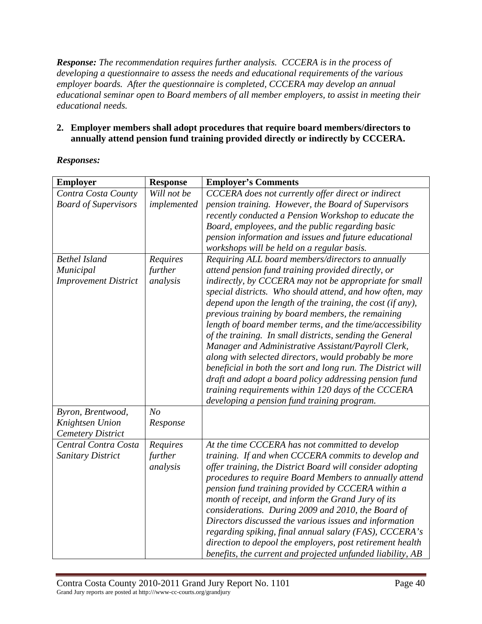*Response: The recommendation requires further analysis. CCCERA is in the process of developing a questionnaire to assess the needs and educational requirements of the various employer boards. After the questionnaire is completed, CCCERA may develop an annual educational seminar open to Board members of all member employers, to assist in meeting their educational needs.* 

### **2. Employer members shall adopt procedures that require board members/directors to annually attend pension fund training provided directly or indirectly by CCCERA.**

| <b>Employer</b>             | <b>Response</b> | <b>Employer's Comments</b>                                  |
|-----------------------------|-----------------|-------------------------------------------------------------|
| Contra Costa County         | Will not be     | CCCERA does not currently offer direct or indirect          |
| <b>Board of Supervisors</b> | implemented     | pension training. However, the Board of Supervisors         |
|                             |                 | recently conducted a Pension Workshop to educate the        |
|                             |                 | Board, employees, and the public regarding basic            |
|                             |                 | pension information and issues and future educational       |
|                             |                 | workshops will be held on a regular basis.                  |
| <b>Bethel Island</b>        | Requires        | Requiring ALL board members/directors to annually           |
| Municipal                   | further         | attend pension fund training provided directly, or          |
| <b>Improvement District</b> | analysis        | indirectly, by CCCERA may not be appropriate for small      |
|                             |                 | special districts. Who should attend, and how often, may    |
|                             |                 | depend upon the length of the training, the cost (if any),  |
|                             |                 | previous training by board members, the remaining           |
|                             |                 | length of board member terms, and the time/accessibility    |
|                             |                 | of the training. In small districts, sending the General    |
|                             |                 | Manager and Administrative Assistant/Payroll Clerk,         |
|                             |                 | along with selected directors, would probably be more       |
|                             |                 | beneficial in both the sort and long run. The District will |
|                             |                 | draft and adopt a board policy addressing pension fund      |
|                             |                 | training requirements within 120 days of the CCCERA         |
|                             |                 | developing a pension fund training program.                 |
| Byron, Brentwood,           | N <sub>O</sub>  |                                                             |
| Knightsen Union             | Response        |                                                             |
| <b>Cemetery District</b>    |                 |                                                             |
| Central Contra Costa        | Requires        | At the time CCCERA has not committed to develop             |
| Sanitary District           | further         | training. If and when CCCERA commits to develop and         |
|                             | analysis        | offer training, the District Board will consider adopting   |
|                             |                 | procedures to require Board Members to annually attend      |
|                             |                 | pension fund training provided by CCCERA within a           |
|                             |                 | month of receipt, and inform the Grand Jury of its          |
|                             |                 | considerations. During 2009 and 2010, the Board of          |
|                             |                 | Directors discussed the various issues and information      |
|                             |                 | regarding spiking, final annual salary (FAS), CCCERA's      |
|                             |                 | direction to depool the employers, post retirement health   |
|                             |                 | benefits, the current and projected unfunded liability, AB  |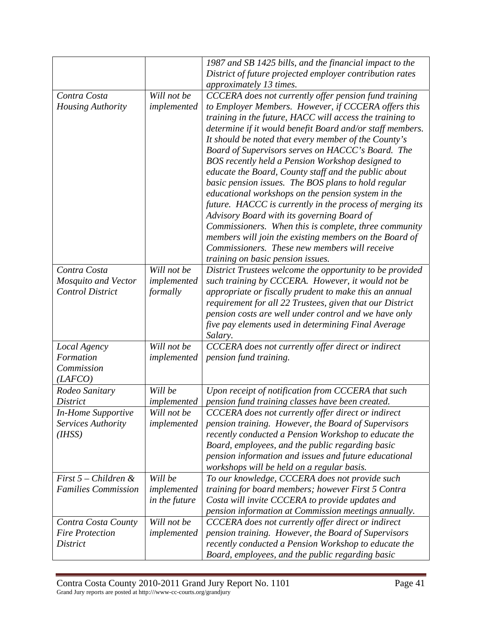|                            |               | 1987 and SB 1425 bills, and the financial impact to the   |
|----------------------------|---------------|-----------------------------------------------------------|
|                            |               | District of future projected employer contribution rates  |
|                            |               | approximately 13 times.                                   |
| Contra Costa               | Will not be   | CCCERA does not currently offer pension fund training     |
| <b>Housing Authority</b>   | implemented   | to Employer Members. However, if CCCERA offers this       |
|                            |               | training in the future, HACC will access the training to  |
|                            |               | determine if it would benefit Board and/or staff members. |
|                            |               | It should be noted that every member of the County's      |
|                            |               | Board of Supervisors serves on HACCC's Board. The         |
|                            |               | BOS recently held a Pension Workshop designed to          |
|                            |               | educate the Board, County staff and the public about      |
|                            |               | basic pension issues. The BOS plans to hold regular       |
|                            |               | educational workshops on the pension system in the        |
|                            |               | future. HACCC is currently in the process of merging its  |
|                            |               | Advisory Board with its governing Board of                |
|                            |               | Commissioners. When this is complete, three community     |
|                            |               | members will join the existing members on the Board of    |
|                            |               | Commissioners. These new members will receive             |
|                            |               | training on basic pension issues.                         |
| Contra Costa               | Will not be   | District Trustees welcome the opportunity to be provided  |
| <b>Mosquito and Vector</b> | implemented   | such training by CCCERA. However, it would not be         |
| <b>Control District</b>    | formally      | appropriate or fiscally prudent to make this an annual    |
|                            |               | requirement for all 22 Trustees, given that our District  |
|                            |               | pension costs are well under control and we have only     |
|                            |               | five pay elements used in determining Final Average       |
|                            |               | Salary.                                                   |
| Local Agency               | Will not be   | CCCERA does not currently offer direct or indirect        |
| Formation                  | implemented   | pension fund training.                                    |
| Commission                 |               |                                                           |
| (LAFCO)                    |               |                                                           |
| Rodeo Sanitary             | Will be       | Upon receipt of notification from CCCERA that such        |
| District                   | implemented   | pension fund training classes have been created.          |
| <b>In-Home Supportive</b>  | Will not be   | CCCERA does not currently offer direct or indirect        |
| Services Authority         | implemented   | pension training. However, the Board of Supervisors       |
| (I HSS)                    |               | recently conducted a Pension Workshop to educate the      |
|                            |               | Board, employees, and the public regarding basic          |
|                            |               | pension information and issues and future educational     |
|                            |               | workshops will be held on a regular basis.                |
| First $5$ – Children &     | Will be       | To our knowledge, CCCERA does not provide such            |
| <b>Families Commission</b> | implemented   | training for board members; however First 5 Contra        |
|                            | in the future | Costa will invite CCCERA to provide updates and           |
|                            |               | pension information at Commission meetings annually.      |
| Contra Costa County        | Will not be   | CCCERA does not currently offer direct or indirect        |
| <b>Fire Protection</b>     | implemented   | pension training. However, the Board of Supervisors       |
| District                   |               | recently conducted a Pension Workshop to educate the      |
|                            |               | Board, employees, and the public regarding basic          |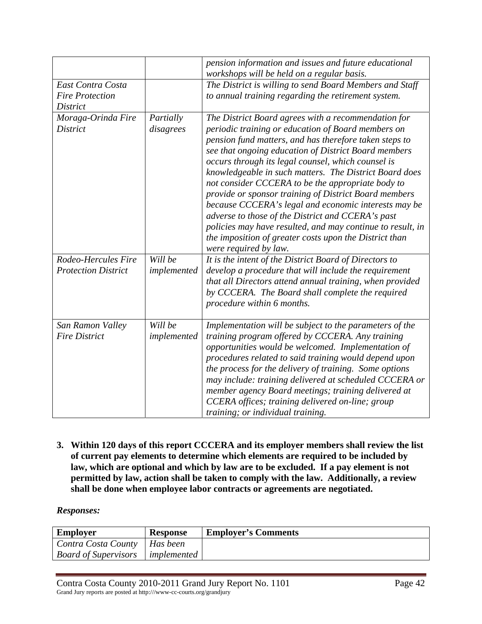|                                                                |                        | pension information and issues and future educational<br>workshops will be held on a regular basis.                                                                                                                                                                                                                                                                                                                                                                                                                                                                                                                                                                                                                     |
|----------------------------------------------------------------|------------------------|-------------------------------------------------------------------------------------------------------------------------------------------------------------------------------------------------------------------------------------------------------------------------------------------------------------------------------------------------------------------------------------------------------------------------------------------------------------------------------------------------------------------------------------------------------------------------------------------------------------------------------------------------------------------------------------------------------------------------|
| East Contra Costa<br><b>Fire Protection</b><br><b>District</b> |                        | The District is willing to send Board Members and Staff<br>to annual training regarding the retirement system.                                                                                                                                                                                                                                                                                                                                                                                                                                                                                                                                                                                                          |
| Moraga-Orinda Fire<br><b>District</b>                          | Partially<br>disagrees | The District Board agrees with a recommendation for<br>periodic training or education of Board members on<br>pension fund matters, and has therefore taken steps to<br>see that ongoing education of District Board members<br>occurs through its legal counsel, which counsel is<br>knowledgeable in such matters. The District Board does<br>not consider CCCERA to be the appropriate body to<br>provide or sponsor training of District Board members<br>because CCCERA's legal and economic interests may be<br>adverse to those of the District and CCERA's past<br>policies may have resulted, and may continue to result, in<br>the imposition of greater costs upon the District than<br>were required by law. |
| Rodeo-Hercules Fire<br><b>Protection District</b>              | Will be<br>implemented | It is the intent of the District Board of Directors to<br>develop a procedure that will include the requirement<br>that all Directors attend annual training, when provided<br>by CCCERA. The Board shall complete the required<br>procedure within 6 months.                                                                                                                                                                                                                                                                                                                                                                                                                                                           |
| San Ramon Valley<br><b>Fire District</b>                       | Will be<br>implemented | Implementation will be subject to the parameters of the<br>training program offered by CCCERA. Any training<br>opportunities would be welcomed. Implementation of<br>procedures related to said training would depend upon<br>the process for the delivery of training. Some options<br>may include: training delivered at scheduled CCCERA or<br>member agency Board meetings; training delivered at<br>CCERA offices; training delivered on-line; group<br>training; or individual training.                                                                                                                                                                                                                          |

**3. Within 120 days of this report CCCERA and its employer members shall review the list of current pay elements to determine which elements are required to be included by law, which are optional and which by law are to be excluded. If a pay element is not permitted by law, action shall be taken to comply with the law. Additionally, a review shall be done when employee labor contracts or agreements are negotiated.** 

| <b>Employer</b>                | <b>Response</b> | <b>Employer's Comments</b> |
|--------------------------------|-----------------|----------------------------|
| Contra Costa County   Has been |                 |                            |
| <b>Board of Supervisors</b>    | implemented     |                            |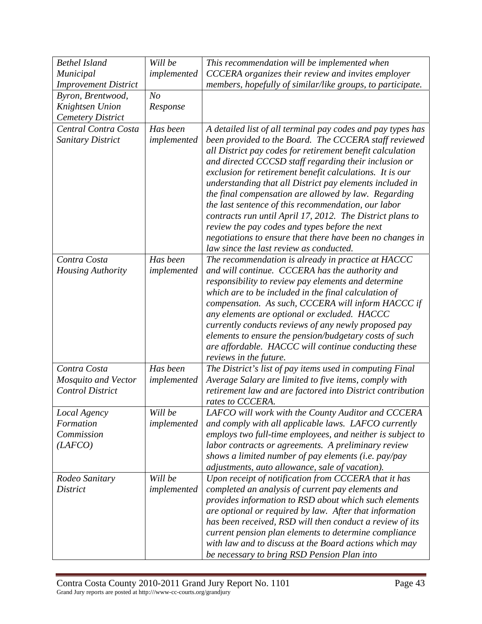| <b>Bethel Island</b>                                  | Will be        | This recommendation will be implemented when                                                                                                                                                                                                                                                                                                                                                                                                                                                                                                                                                                                              |
|-------------------------------------------------------|----------------|-------------------------------------------------------------------------------------------------------------------------------------------------------------------------------------------------------------------------------------------------------------------------------------------------------------------------------------------------------------------------------------------------------------------------------------------------------------------------------------------------------------------------------------------------------------------------------------------------------------------------------------------|
| Municipal                                             | implemented    | CCCERA organizes their review and invites employer                                                                                                                                                                                                                                                                                                                                                                                                                                                                                                                                                                                        |
| <b>Improvement District</b>                           |                | members, hopefully of similar/like groups, to participate.                                                                                                                                                                                                                                                                                                                                                                                                                                                                                                                                                                                |
| Byron, Brentwood,                                     | N <sub>o</sub> |                                                                                                                                                                                                                                                                                                                                                                                                                                                                                                                                                                                                                                           |
| Knightsen Union                                       | Response       |                                                                                                                                                                                                                                                                                                                                                                                                                                                                                                                                                                                                                                           |
| <b>Cemetery District</b>                              |                |                                                                                                                                                                                                                                                                                                                                                                                                                                                                                                                                                                                                                                           |
| Central Contra Costa                                  | Has been       | A detailed list of all terminal pay codes and pay types has                                                                                                                                                                                                                                                                                                                                                                                                                                                                                                                                                                               |
| <b>Sanitary District</b>                              | implemented    | been provided to the Board. The CCCERA staff reviewed<br>all District pay codes for retirement benefit calculation<br>and directed CCCSD staff regarding their inclusion or<br>exclusion for retirement benefit calculations. It is our<br>understanding that all District pay elements included in<br>the final compensation are allowed by law. Regarding<br>the last sentence of this recommendation, our labor<br>contracts run until April 17, 2012. The District plans to<br>review the pay codes and types before the next<br>negotiations to ensure that there have been no changes in<br>law since the last review as conducted. |
| Contra Costa                                          | Has been       | The recommendation is already in practice at HACCC                                                                                                                                                                                                                                                                                                                                                                                                                                                                                                                                                                                        |
| <b>Housing Authority</b>                              | implemented    | and will continue. CCCERA has the authority and<br>responsibility to review pay elements and determine<br>which are to be included in the final calculation of<br>compensation. As such, CCCERA will inform HACCC if<br>any elements are optional or excluded. HACCC<br>currently conducts reviews of any newly proposed pay<br>elements to ensure the pension/budgetary costs of such<br>are affordable. HACCC will continue conducting these<br>reviews in the future.                                                                                                                                                                  |
| Contra Costa                                          | Has been       | The District's list of pay items used in computing Final                                                                                                                                                                                                                                                                                                                                                                                                                                                                                                                                                                                  |
| <b>Mosquito and Vector</b><br><b>Control District</b> | implemented    | Average Salary are limited to five items, comply with<br>retirement law and are factored into District contribution<br>rates to CCCERA.                                                                                                                                                                                                                                                                                                                                                                                                                                                                                                   |
| Local Agency                                          | Will be        | LAFCO will work with the County Auditor and CCCERA                                                                                                                                                                                                                                                                                                                                                                                                                                                                                                                                                                                        |
| Formation                                             | implemented    | and comply with all applicable laws. LAFCO currently                                                                                                                                                                                                                                                                                                                                                                                                                                                                                                                                                                                      |
| Commission                                            |                | employs two full-time employees, and neither is subject to                                                                                                                                                                                                                                                                                                                                                                                                                                                                                                                                                                                |
| (LAFCO)                                               |                | labor contracts or agreements. A preliminary review<br>shows a limited number of pay elements (i.e. pay/pay<br>adjustments, auto allowance, sale of vacation).                                                                                                                                                                                                                                                                                                                                                                                                                                                                            |
| Rodeo Sanitary                                        | Will be        | Upon receipt of notification from CCCERA that it has                                                                                                                                                                                                                                                                                                                                                                                                                                                                                                                                                                                      |
| District                                              | implemented    | completed an analysis of current pay elements and<br>provides information to RSD about which such elements<br>are optional or required by law. After that information<br>has been received, RSD will then conduct a review of its<br>current pension plan elements to determine compliance<br>with law and to discuss at the Board actions which may<br>be necessary to bring RSD Pension Plan into                                                                                                                                                                                                                                       |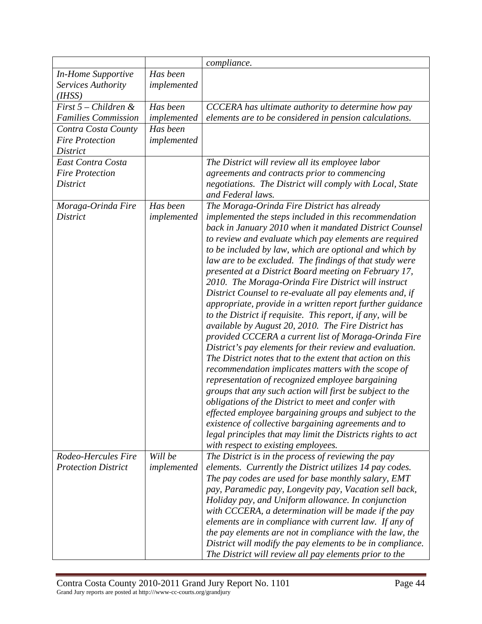|                                                   |             | compliance.                                                                                                    |
|---------------------------------------------------|-------------|----------------------------------------------------------------------------------------------------------------|
| <b>In-Home Supportive</b>                         | Has been    |                                                                                                                |
| Services Authority                                | implemented |                                                                                                                |
| (I HSS)                                           |             |                                                                                                                |
| First $5$ – Children &                            | Has been    | CCCERA has ultimate authority to determine how pay                                                             |
| <b>Families Commission</b>                        | implemented | elements are to be considered in pension calculations.                                                         |
| Contra Costa County                               | Has been    |                                                                                                                |
| <b>Fire Protection</b>                            | implemented |                                                                                                                |
| <b>District</b>                                   |             |                                                                                                                |
| East Contra Costa                                 |             | The District will review all its employee labor                                                                |
| <b>Fire Protection</b>                            |             | agreements and contracts prior to commencing                                                                   |
| <b>District</b>                                   |             | negotiations. The District will comply with Local, State                                                       |
|                                                   |             | and Federal laws.                                                                                              |
| Moraga-Orinda Fire                                | Has been    | The Moraga-Orinda Fire District has already                                                                    |
| <b>District</b>                                   | implemented | implemented the steps included in this recommendation                                                          |
|                                                   |             | back in January 2010 when it mandated District Counsel                                                         |
|                                                   |             | to review and evaluate which pay elements are required                                                         |
|                                                   |             | to be included by law, which are optional and which by                                                         |
|                                                   |             | law are to be excluded. The findings of that study were                                                        |
|                                                   |             | presented at a District Board meeting on February 17,                                                          |
|                                                   |             | 2010. The Moraga-Orinda Fire District will instruct                                                            |
|                                                   |             | District Counsel to re-evaluate all pay elements and, if                                                       |
|                                                   |             | appropriate, provide in a written report further guidance                                                      |
|                                                   |             | to the District if requisite. This report, if any, will be                                                     |
|                                                   |             | available by August 20, 2010. The Fire District has                                                            |
|                                                   |             | provided CCCERA a current list of Moraga-Orinda Fire                                                           |
|                                                   |             | District's pay elements for their review and evaluation.                                                       |
|                                                   |             | The District notes that to the extent that action on this                                                      |
|                                                   |             | recommendation implicates matters with the scope of                                                            |
|                                                   |             | representation of recognized employee bargaining                                                               |
|                                                   |             | groups that any such action will first be subject to the                                                       |
|                                                   |             | obligations of the District to meet and confer with                                                            |
|                                                   |             | effected employee bargaining groups and subject to the                                                         |
|                                                   |             | existence of collective bargaining agreements and to                                                           |
|                                                   |             | legal principles that may limit the Districts rights to act                                                    |
|                                                   |             | with respect to existing employees.                                                                            |
| Rodeo-Hercules Fire<br><b>Protection District</b> | Will be     | The District is in the process of reviewing the pay                                                            |
|                                                   | implemented | elements. Currently the District utilizes 14 pay codes.<br>The pay codes are used for base monthly salary, EMT |
|                                                   |             |                                                                                                                |
|                                                   |             | pay, Paramedic pay, Longevity pay, Vacation sell back,<br>Holiday pay, and Uniform allowance. In conjunction   |
|                                                   |             | with CCCERA, a determination will be made if the pay                                                           |
|                                                   |             | elements are in compliance with current law. If any of                                                         |
|                                                   |             | the pay elements are not in compliance with the law, the                                                       |
|                                                   |             | District will modify the pay elements to be in compliance.                                                     |
|                                                   |             |                                                                                                                |
|                                                   |             | The District will review all pay elements prior to the                                                         |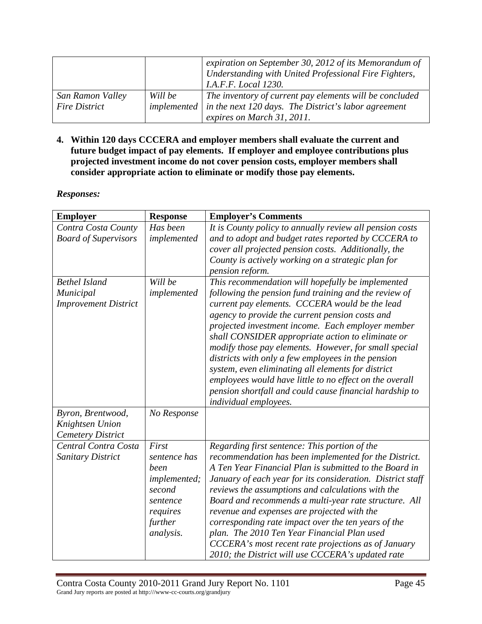|                      |         | expiration on September 30, 2012 of its Memorandum of<br>Understanding with United Professional Fire Fighters,<br><i>I.A.F.F. Local 1230.</i> |
|----------------------|---------|-----------------------------------------------------------------------------------------------------------------------------------------------|
| San Ramon Valley     | Will be | The inventory of current pay elements will be concluded                                                                                       |
| <b>Fire District</b> |         | implemented $\vert$ in the next 120 days. The District's labor agreement                                                                      |
|                      |         | expires on March 31, 2011.                                                                                                                    |

**4. Within 120 days CCCERA and employer members shall evaluate the current and future budget impact of pay elements. If employer and employee contributions plus projected investment income do not cover pension costs, employer members shall consider appropriate action to eliminate or modify those pay elements.** 

| <b>Employer</b>             | <b>Response</b> | <b>Employer's Comments</b>                                 |
|-----------------------------|-----------------|------------------------------------------------------------|
| Contra Costa County         | Has been        | It is County policy to annually review all pension costs   |
| <b>Board of Supervisors</b> | implemented     | and to adopt and budget rates reported by CCCERA to        |
|                             |                 | cover all projected pension costs. Additionally, the       |
|                             |                 | County is actively working on a strategic plan for         |
|                             |                 | pension reform.                                            |
| <b>Bethel Island</b>        | Will be         | This recommendation will hopefully be implemented          |
| Municipal                   | implemented     | following the pension fund training and the review of      |
| <b>Improvement District</b> |                 | current pay elements. CCCERA would be the lead             |
|                             |                 | agency to provide the current pension costs and            |
|                             |                 | projected investment income. Each employer member          |
|                             |                 | shall CONSIDER appropriate action to eliminate or          |
|                             |                 | modify those pay elements. However, for small special      |
|                             |                 | districts with only a few employees in the pension         |
|                             |                 | system, even eliminating all elements for district         |
|                             |                 | employees would have little to no effect on the overall    |
|                             |                 | pension shortfall and could cause financial hardship to    |
|                             |                 | individual employees.                                      |
| Byron, Brentwood,           | No Response     |                                                            |
| Knightsen Union             |                 |                                                            |
| <b>Cemetery District</b>    |                 |                                                            |
| Central Contra Costa        | First           | Regarding first sentence: This portion of the              |
| Sanitary District           | sentence has    | recommendation has been implemented for the District.      |
|                             | been            | A Ten Year Financial Plan is submitted to the Board in     |
|                             | implemented;    | January of each year for its consideration. District staff |
|                             | second          | reviews the assumptions and calculations with the          |
|                             | sentence        | Board and recommends a multi-year rate structure. All      |
|                             | requires        | revenue and expenses are projected with the                |
|                             | further         | corresponding rate impact over the ten years of the        |
|                             | analysis.       | plan. The 2010 Ten Year Financial Plan used                |
|                             |                 | CCCERA's most recent rate projections as of January        |
|                             |                 | 2010; the District will use CCCERA's updated rate          |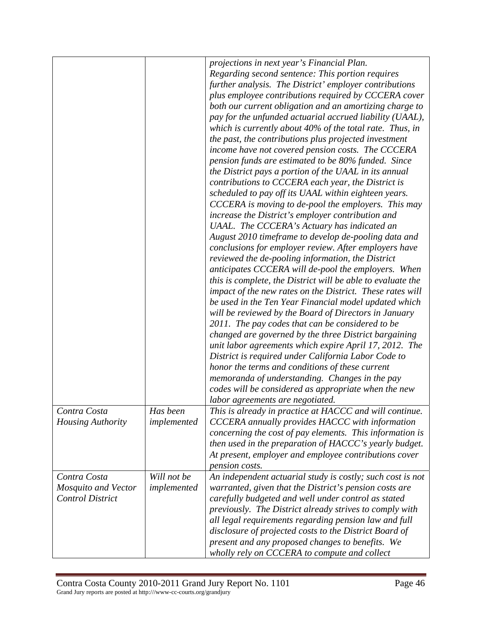|                          |             | projections in next year's Financial Plan.<br>Regarding second sentence: This portion requires<br>further analysis. The District' employer contributions<br>plus employee contributions required by CCCERA cover<br>both our current obligation and an amortizing charge to<br>pay for the unfunded actuarial accrued liability (UAAL),<br>which is currently about $40\%$ of the total rate. Thus, in<br>the past, the contributions plus projected investment<br>income have not covered pension costs. The CCCERA<br>pension funds are estimated to be 80% funded. Since<br>the District pays a portion of the UAAL in its annual<br>contributions to CCCERA each year, the District is<br>scheduled to pay off its UAAL within eighteen years.<br>CCCERA is moving to de-pool the employers. This may<br>increase the District's employer contribution and<br>UAAL. The CCCERA's Actuary has indicated an<br>August 2010 timeframe to develop de-pooling data and<br>conclusions for employer review. After employers have<br>reviewed the de-pooling information, the District<br>anticipates CCCERA will de-pool the employers. When<br>this is complete, the District will be able to evaluate the<br>impact of the new rates on the District. These rates will<br>be used in the Ten Year Financial model updated which<br>will be reviewed by the Board of Directors in January<br>2011. The pay codes that can be considered to be<br>changed are governed by the three District bargaining<br>unit labor agreements which expire April 17, 2012. The<br>District is required under California Labor Code to<br>honor the terms and conditions of these current<br>memoranda of understanding. Changes in the pay<br>codes will be considered as appropriate when the new<br>labor agreements are negotiated. |
|--------------------------|-------------|-------------------------------------------------------------------------------------------------------------------------------------------------------------------------------------------------------------------------------------------------------------------------------------------------------------------------------------------------------------------------------------------------------------------------------------------------------------------------------------------------------------------------------------------------------------------------------------------------------------------------------------------------------------------------------------------------------------------------------------------------------------------------------------------------------------------------------------------------------------------------------------------------------------------------------------------------------------------------------------------------------------------------------------------------------------------------------------------------------------------------------------------------------------------------------------------------------------------------------------------------------------------------------------------------------------------------------------------------------------------------------------------------------------------------------------------------------------------------------------------------------------------------------------------------------------------------------------------------------------------------------------------------------------------------------------------------------------------------------------------------------------------------------------------------------------------------|
| Contra Costa             | Has been    | This is already in practice at HACCC and will continue.                                                                                                                                                                                                                                                                                                                                                                                                                                                                                                                                                                                                                                                                                                                                                                                                                                                                                                                                                                                                                                                                                                                                                                                                                                                                                                                                                                                                                                                                                                                                                                                                                                                                                                                                                                 |
| <b>Housing Authority</b> | implemented | CCCERA annually provides HACCC with information<br>concerning the cost of pay elements. This information is<br>then used in the preparation of HACCC's yearly budget.<br>At present, employer and employee contributions cover<br>pension costs.                                                                                                                                                                                                                                                                                                                                                                                                                                                                                                                                                                                                                                                                                                                                                                                                                                                                                                                                                                                                                                                                                                                                                                                                                                                                                                                                                                                                                                                                                                                                                                        |
| Contra Costa             | Will not be | An independent actuarial study is costly; such cost is not                                                                                                                                                                                                                                                                                                                                                                                                                                                                                                                                                                                                                                                                                                                                                                                                                                                                                                                                                                                                                                                                                                                                                                                                                                                                                                                                                                                                                                                                                                                                                                                                                                                                                                                                                              |
| Mosquito and Vector      | implemented | warranted, given that the District's pension costs are                                                                                                                                                                                                                                                                                                                                                                                                                                                                                                                                                                                                                                                                                                                                                                                                                                                                                                                                                                                                                                                                                                                                                                                                                                                                                                                                                                                                                                                                                                                                                                                                                                                                                                                                                                  |
| <b>Control District</b>  |             | carefully budgeted and well under control as stated                                                                                                                                                                                                                                                                                                                                                                                                                                                                                                                                                                                                                                                                                                                                                                                                                                                                                                                                                                                                                                                                                                                                                                                                                                                                                                                                                                                                                                                                                                                                                                                                                                                                                                                                                                     |
|                          |             | previously. The District already strives to comply with                                                                                                                                                                                                                                                                                                                                                                                                                                                                                                                                                                                                                                                                                                                                                                                                                                                                                                                                                                                                                                                                                                                                                                                                                                                                                                                                                                                                                                                                                                                                                                                                                                                                                                                                                                 |
|                          |             | all legal requirements regarding pension law and full<br>disclosure of projected costs to the District Board of                                                                                                                                                                                                                                                                                                                                                                                                                                                                                                                                                                                                                                                                                                                                                                                                                                                                                                                                                                                                                                                                                                                                                                                                                                                                                                                                                                                                                                                                                                                                                                                                                                                                                                         |
|                          |             | present and any proposed changes to benefits. We                                                                                                                                                                                                                                                                                                                                                                                                                                                                                                                                                                                                                                                                                                                                                                                                                                                                                                                                                                                                                                                                                                                                                                                                                                                                                                                                                                                                                                                                                                                                                                                                                                                                                                                                                                        |
|                          |             | wholly rely on CCCERA to compute and collect                                                                                                                                                                                                                                                                                                                                                                                                                                                                                                                                                                                                                                                                                                                                                                                                                                                                                                                                                                                                                                                                                                                                                                                                                                                                                                                                                                                                                                                                                                                                                                                                                                                                                                                                                                            |
|                          |             |                                                                                                                                                                                                                                                                                                                                                                                                                                                                                                                                                                                                                                                                                                                                                                                                                                                                                                                                                                                                                                                                                                                                                                                                                                                                                                                                                                                                                                                                                                                                                                                                                                                                                                                                                                                                                         |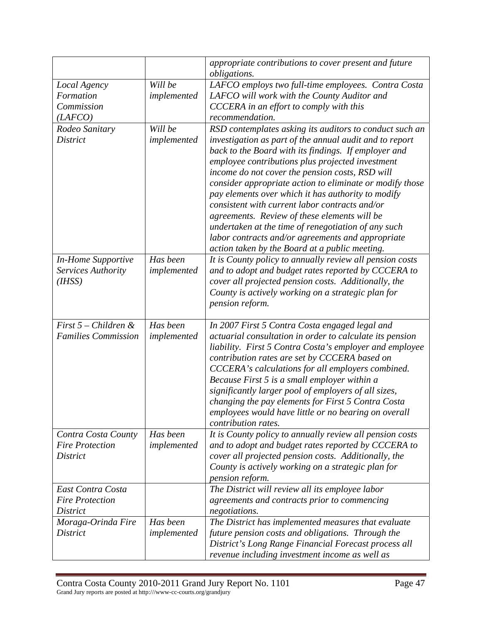|                            |             | appropriate contributions to cover present and future<br>obligations.           |
|----------------------------|-------------|---------------------------------------------------------------------------------|
| Local Agency               | Will be     | LAFCO employs two full-time employees. Contra Costa                             |
| Formation                  | implemented | LAFCO will work with the County Auditor and                                     |
| Commission                 |             | CCCERA in an effort to comply with this                                         |
| (LAFCO)                    |             | recommendation.                                                                 |
| Rodeo Sanitary             | Will be     | RSD contemplates asking its auditors to conduct such an                         |
| <b>District</b>            | implemented | investigation as part of the annual audit and to report                         |
|                            |             | back to the Board with its findings. If employer and                            |
|                            |             | employee contributions plus projected investment                                |
|                            |             | income do not cover the pension costs, RSD will                                 |
|                            |             | consider appropriate action to eliminate or modify those                        |
|                            |             | pay elements over which it has authority to modify                              |
|                            |             | consistent with current labor contracts and/or                                  |
|                            |             | agreements. Review of these elements will be                                    |
|                            |             | undertaken at the time of renegotiation of any such                             |
|                            |             | labor contracts and/or agreements and appropriate                               |
|                            |             | action taken by the Board at a public meeting.                                  |
| <b>In-Home Supportive</b>  | Has been    | It is County policy to annually review all pension costs                        |
| Services Authority         | implemented | and to adopt and budget rates reported by CCCERA to                             |
| (H <sub>ISS</sub> )        |             | cover all projected pension costs. Additionally, the                            |
|                            |             | County is actively working on a strategic plan for                              |
|                            |             | pension reform.                                                                 |
| First $5$ – Children &     | Has been    | In 2007 First 5 Contra Costa engaged legal and                                  |
| <b>Families Commission</b> | implemented | actuarial consultation in order to calculate its pension                        |
|                            |             | liability. First 5 Contra Costa's employer and employee                         |
|                            |             | contribution rates are set by CCCERA based on                                   |
|                            |             | CCCERA's calculations for all employers combined.                               |
|                            |             | Because First 5 is a small employer within a                                    |
|                            |             | significantly larger pool of employers of all sizes,                            |
|                            |             | changing the pay elements for First 5 Contra Costa                              |
|                            |             | employees would have little or no bearing on overall                            |
| Contra Costa County        | Has been    | contribution rates.<br>It is County policy to annually review all pension costs |
| <b>Fire Protection</b>     | implemented | and to adopt and budget rates reported by CCCERA to                             |
| District                   |             | cover all projected pension costs. Additionally, the                            |
|                            |             | County is actively working on a strategic plan for                              |
|                            |             | pension reform.                                                                 |
| East Contra Costa          |             | The District will review all its employee labor                                 |
| <b>Fire Protection</b>     |             | agreements and contracts prior to commencing                                    |
| District                   |             | negotiations.                                                                   |
| Moraga-Orinda Fire         | Has been    | The District has implemented measures that evaluate                             |
| District                   | implemented | future pension costs and obligations. Through the                               |
|                            |             | District's Long Range Financial Forecast process all                            |
|                            |             | revenue including investment income as well as                                  |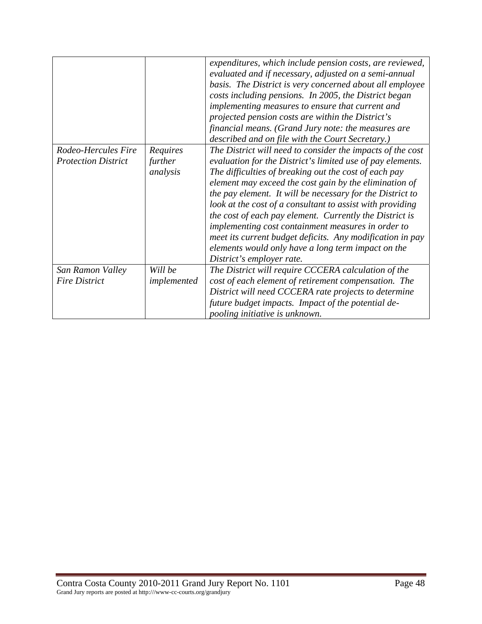| Rodeo-Hercules Fire<br><b>Protection District</b> | Requires<br>further<br>analysis | expenditures, which include pension costs, are reviewed,<br>evaluated and if necessary, adjusted on a semi-annual<br>basis. The District is very concerned about all employee<br>costs including pensions. In 2005, the District began<br>implementing measures to ensure that current and<br>projected pension costs are within the District's<br>financial means. (Grand Jury note: the measures are<br>described and on file with the Court Secretary.)<br>The District will need to consider the impacts of the cost<br>evaluation for the District's limited use of pay elements.<br>The difficulties of breaking out the cost of each pay<br>element may exceed the cost gain by the elimination of<br>the pay element. It will be necessary for the District to<br>look at the cost of a consultant to assist with providing<br>the cost of each pay element. Currently the District is<br>implementing cost containment measures in order to<br>meet its current budget deficits. Any modification in pay<br>elements would only have a long term impact on the |
|---------------------------------------------------|---------------------------------|-------------------------------------------------------------------------------------------------------------------------------------------------------------------------------------------------------------------------------------------------------------------------------------------------------------------------------------------------------------------------------------------------------------------------------------------------------------------------------------------------------------------------------------------------------------------------------------------------------------------------------------------------------------------------------------------------------------------------------------------------------------------------------------------------------------------------------------------------------------------------------------------------------------------------------------------------------------------------------------------------------------------------------------------------------------------------|
| San Ramon Valley                                  | Will be                         | District's employer rate.<br>The District will require CCCERA calculation of the                                                                                                                                                                                                                                                                                                                                                                                                                                                                                                                                                                                                                                                                                                                                                                                                                                                                                                                                                                                        |
| <b>Fire District</b>                              | implemented                     | cost of each element of retirement compensation. The                                                                                                                                                                                                                                                                                                                                                                                                                                                                                                                                                                                                                                                                                                                                                                                                                                                                                                                                                                                                                    |
|                                                   |                                 | District will need CCCERA rate projects to determine                                                                                                                                                                                                                                                                                                                                                                                                                                                                                                                                                                                                                                                                                                                                                                                                                                                                                                                                                                                                                    |
|                                                   |                                 | future budget impacts. Impact of the potential de-                                                                                                                                                                                                                                                                                                                                                                                                                                                                                                                                                                                                                                                                                                                                                                                                                                                                                                                                                                                                                      |
|                                                   |                                 | pooling initiative is unknown.                                                                                                                                                                                                                                                                                                                                                                                                                                                                                                                                                                                                                                                                                                                                                                                                                                                                                                                                                                                                                                          |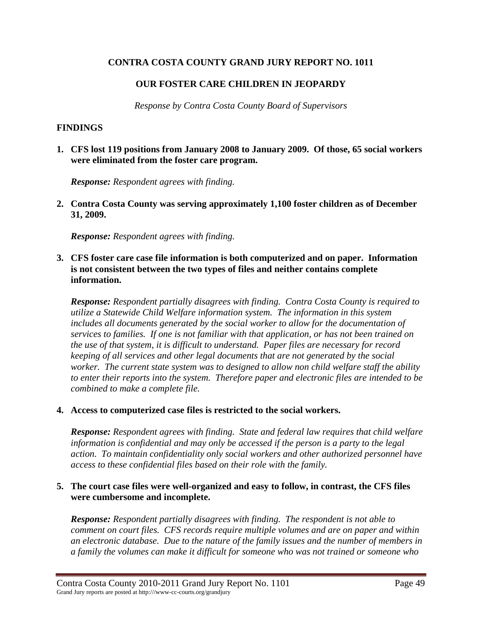### **CONTRA COSTA COUNTY GRAND JURY REPORT NO. 1011**

## **OUR FOSTER CARE CHILDREN IN JEOPARDY**

*Response by Contra Costa County Board of Supervisors* 

#### **FINDINGS**

**1. CFS lost 119 positions from January 2008 to January 2009. Of those, 65 social workers were eliminated from the foster care program.** 

*Response: Respondent agrees with finding.* 

**2. Contra Costa County was serving approximately 1,100 foster children as of December 31, 2009.** 

*Response: Respondent agrees with finding.* 

**3. CFS foster care case file information is both computerized and on paper. Information is not consistent between the two types of files and neither contains complete information.** 

*Response: Respondent partially disagrees with finding. Contra Costa County is required to utilize a Statewide Child Welfare information system. The information in this system includes all documents generated by the social worker to allow for the documentation of services to families. If one is not familiar with that application, or has not been trained on the use of that system, it is difficult to understand. Paper files are necessary for record keeping of all services and other legal documents that are not generated by the social worker. The current state system was to designed to allow non child welfare staff the ability to enter their reports into the system. Therefore paper and electronic files are intended to be combined to make a complete file.* 

### **4. Access to computerized case files is restricted to the social workers.**

*Response: Respondent agrees with finding. State and federal law requires that child welfare information is confidential and may only be accessed if the person is a party to the legal action. To maintain confidentiality only social workers and other authorized personnel have access to these confidential files based on their role with the family.* 

### **5. The court case files were well-organized and easy to follow, in contrast, the CFS files were cumbersome and incomplete.**

*Response: Respondent partially disagrees with finding. The respondent is not able to comment on court files. CFS records require multiple volumes and are on paper and within an electronic database. Due to the nature of the family issues and the number of members in a family the volumes can make it difficult for someone who was not trained or someone who*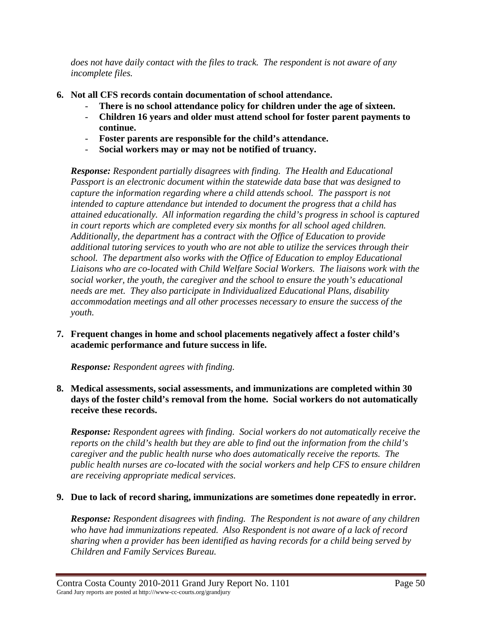*does not have daily contact with the files to track. The respondent is not aware of any incomplete files.* 

- **6. Not all CFS records contain documentation of school attendance.** 
	- There is no school attendance policy for children under the age of sixteen.
	- **Children 16 years and older must attend school for foster parent payments to continue.**
	- **Foster parents are responsible for the child's attendance.**
	- **Social workers may or may not be notified of truancy.**

*Response: Respondent partially disagrees with finding. The Health and Educational Passport is an electronic document within the statewide data base that was designed to capture the information regarding where a child attends school. The passport is not intended to capture attendance but intended to document the progress that a child has attained educationally. All information regarding the child's progress in school is captured in court reports which are completed every six months for all school aged children. Additionally, the department has a contract with the Office of Education to provide additional tutoring services to youth who are not able to utilize the services through their school. The department also works with the Office of Education to employ Educational Liaisons who are co-located with Child Welfare Social Workers. The liaisons work with the social worker, the youth, the caregiver and the school to ensure the youth's educational needs are met. They also participate in Individualized Educational Plans, disability accommodation meetings and all other processes necessary to ensure the success of the youth.* 

**7. Frequent changes in home and school placements negatively affect a foster child's academic performance and future success in life.** 

*Response: Respondent agrees with finding.* 

**8. Medical assessments, social assessments, and immunizations are completed within 30 days of the foster child's removal from the home. Social workers do not automatically receive these records.** 

*Response: Respondent agrees with finding. Social workers do not automatically receive the reports on the child's health but they are able to find out the information from the child's caregiver and the public health nurse who does automatically receive the reports. The public health nurses are co-located with the social workers and help CFS to ensure children are receiving appropriate medical services.* 

# **9. Due to lack of record sharing, immunizations are sometimes done repeatedly in error.**

*Response: Respondent disagrees with finding. The Respondent is not aware of any children who have had immunizations repeated. Also Respondent is not aware of a lack of record sharing when a provider has been identified as having records for a child being served by Children and Family Services Bureau.*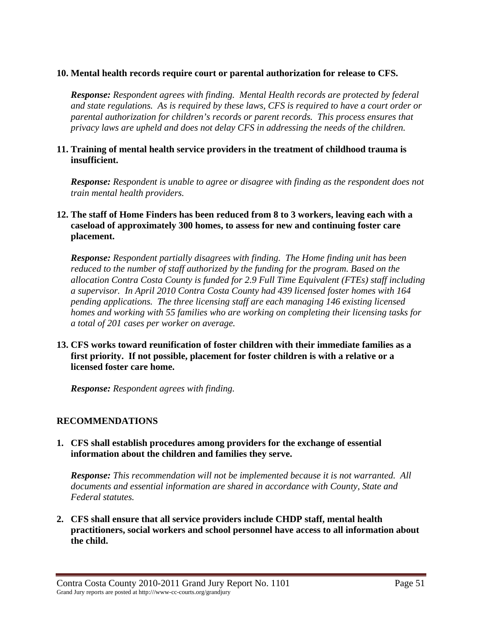### **10. Mental health records require court or parental authorization for release to CFS.**

*Response: Respondent agrees with finding. Mental Health records are protected by federal and state regulations. As is required by these laws, CFS is required to have a court order or parental authorization for children's records or parent records. This process ensures that privacy laws are upheld and does not delay CFS in addressing the needs of the children.* 

#### **11. Training of mental health service providers in the treatment of childhood trauma is insufficient.**

*Response: Respondent is unable to agree or disagree with finding as the respondent does not train mental health providers.* 

#### **12. The staff of Home Finders has been reduced from 8 to 3 workers, leaving each with a caseload of approximately 300 homes, to assess for new and continuing foster care placement.**

*Response: Respondent partially disagrees with finding. The Home finding unit has been reduced to the number of staff authorized by the funding for the program. Based on the allocation Contra Costa County is funded for 2.9 Full Time Equivalent (FTEs) staff including a supervisor. In April 2010 Contra Costa County had 439 licensed foster homes with 164 pending applications. The three licensing staff are each managing 146 existing licensed homes and working with 55 families who are working on completing their licensing tasks for a total of 201 cases per worker on average.* 

**13. CFS works toward reunification of foster children with their immediate families as a first priority. If not possible, placement for foster children is with a relative or a licensed foster care home.** 

*Response: Respondent agrees with finding.* 

### **RECOMMENDATIONS**

#### **1. CFS shall establish procedures among providers for the exchange of essential information about the children and families they serve.**

*Response: This recommendation will not be implemented because it is not warranted. All documents and essential information are shared in accordance with County, State and Federal statutes.* 

**2. CFS shall ensure that all service providers include CHDP staff, mental health practitioners, social workers and school personnel have access to all information about the child.**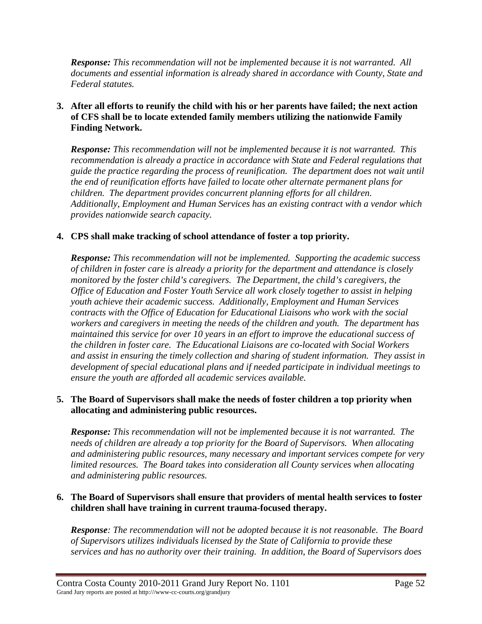*Response: This recommendation will not be implemented because it is not warranted. All documents and essential information is already shared in accordance with County, State and Federal statutes.* 

### **3. After all efforts to reunify the child with his or her parents have failed; the next action of CFS shall be to locate extended family members utilizing the nationwide Family Finding Network.**

*Response: This recommendation will not be implemented because it is not warranted. This*  recommendation is already a practice in accordance with State and Federal regulations that *guide the practice regarding the process of reunification. The department does not wait until the end of reunification efforts have failed to locate other alternate permanent plans for children. The department provides concurrent planning efforts for all children. Additionally, Employment and Human Services has an existing contract with a vendor which provides nationwide search capacity.* 

### **4. CPS shall make tracking of school attendance of foster a top priority.**

*Response: This recommendation will not be implemented. Supporting the academic success of children in foster care is already a priority for the department and attendance is closely monitored by the foster child's caregivers. The Department, the child's caregivers, the Office of Education and Foster Youth Service all work closely together to assist in helping youth achieve their academic success. Additionally, Employment and Human Services contracts with the Office of Education for Educational Liaisons who work with the social workers and caregivers in meeting the needs of the children and youth. The department has maintained this service for over 10 years in an effort to improve the educational success of the children in foster care. The Educational Liaisons are co-located with Social Workers and assist in ensuring the timely collection and sharing of student information. They assist in development of special educational plans and if needed participate in individual meetings to ensure the youth are afforded all academic services available.* 

### **5. The Board of Supervisors shall make the needs of foster children a top priority when allocating and administering public resources.**

*Response: This recommendation will not be implemented because it is not warranted. The needs of children are already a top priority for the Board of Supervisors. When allocating and administering public resources, many necessary and important services compete for very limited resources. The Board takes into consideration all County services when allocating and administering public resources.* 

### **6. The Board of Supervisors shall ensure that providers of mental health services to foster children shall have training in current trauma-focused therapy.**

*Response: The recommendation will not be adopted because it is not reasonable. The Board of Supervisors utilizes individuals licensed by the State of California to provide these services and has no authority over their training. In addition, the Board of Supervisors does*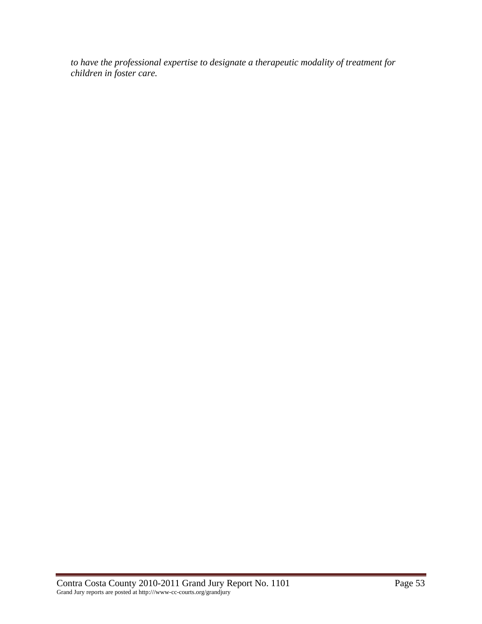*to have the professional expertise to designate a therapeutic modality of treatment for children in foster care.*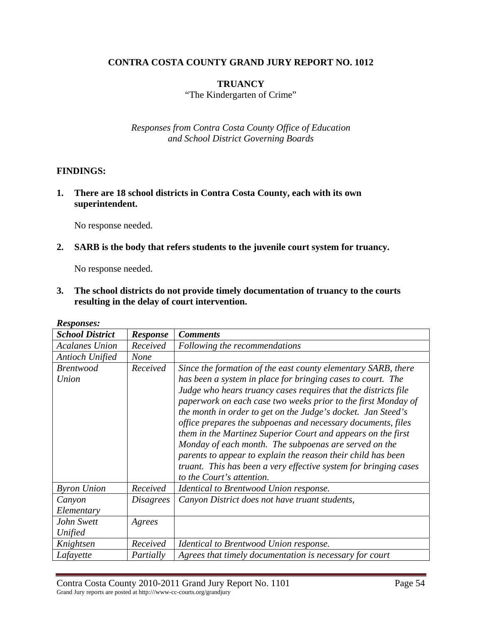### **CONTRA COSTA COUNTY GRAND JURY REPORT NO. 1012**

### **TRUANCY**

"The Kindergarten of Crime"

*Responses from Contra Costa County Office of Education and School District Governing Boards* 

#### **FINDINGS:**

**1. There are 18 school districts in Contra Costa County, each with its own superintendent.** 

No response needed.

**2. SARB is the body that refers students to the juvenile court system for truancy.** 

No response needed.

**3. The school districts do not provide timely documentation of truancy to the courts resulting in the delay of court intervention.** 

| AWDPUIDUD.                |                  |                                                                                                                                                                                                                                                                                                                                                                                                                                                                                                                                                                                                                                                                                           |
|---------------------------|------------------|-------------------------------------------------------------------------------------------------------------------------------------------------------------------------------------------------------------------------------------------------------------------------------------------------------------------------------------------------------------------------------------------------------------------------------------------------------------------------------------------------------------------------------------------------------------------------------------------------------------------------------------------------------------------------------------------|
| <b>School District</b>    | <b>Response</b>  | <b>Comments</b>                                                                                                                                                                                                                                                                                                                                                                                                                                                                                                                                                                                                                                                                           |
| <b>Acalanes Union</b>     | Received         | Following the recommendations                                                                                                                                                                                                                                                                                                                                                                                                                                                                                                                                                                                                                                                             |
| Antioch Unified           | <b>None</b>      |                                                                                                                                                                                                                                                                                                                                                                                                                                                                                                                                                                                                                                                                                           |
| <b>Brentwood</b><br>Union | Received         | Since the formation of the east county elementary SARB, there<br>has been a system in place for bringing cases to court. The<br>Judge who hears truancy cases requires that the districts file<br>paperwork on each case two weeks prior to the first Monday of<br>the month in order to get on the Judge's docket. Jan Steed's<br>office prepares the subpoenas and necessary documents, files<br>them in the Martinez Superior Court and appears on the first<br>Monday of each month. The subpoenas are served on the<br>parents to appear to explain the reason their child has been<br>truant. This has been a very effective system for bringing cases<br>to the Court's attention. |
| <b>Byron Union</b>        | Received         | Identical to Brentwood Union response.                                                                                                                                                                                                                                                                                                                                                                                                                                                                                                                                                                                                                                                    |
| Canyon                    | <i>Disagrees</i> | Canyon District does not have truant students,                                                                                                                                                                                                                                                                                                                                                                                                                                                                                                                                                                                                                                            |
| Elementary                |                  |                                                                                                                                                                                                                                                                                                                                                                                                                                                                                                                                                                                                                                                                                           |
| John Swett                | Agrees           |                                                                                                                                                                                                                                                                                                                                                                                                                                                                                                                                                                                                                                                                                           |
| Unified                   |                  |                                                                                                                                                                                                                                                                                                                                                                                                                                                                                                                                                                                                                                                                                           |
| Knightsen                 | Received         | Identical to Brentwood Union response.                                                                                                                                                                                                                                                                                                                                                                                                                                                                                                                                                                                                                                                    |
| Lafayette                 | Partially        | Agrees that timely documentation is necessary for court                                                                                                                                                                                                                                                                                                                                                                                                                                                                                                                                                                                                                                   |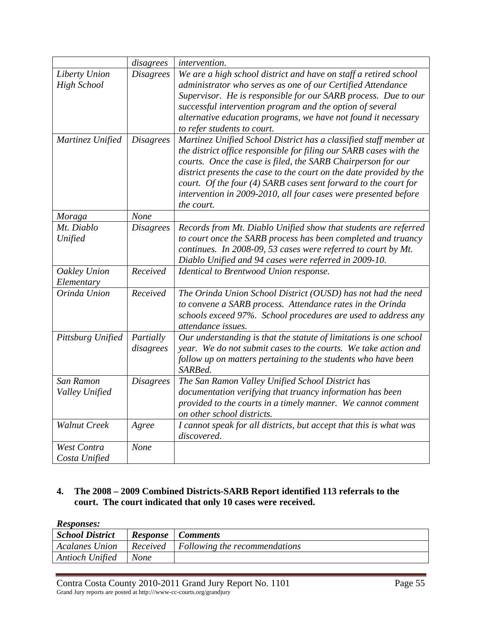|                                     | disagrees              | <i>intervention.</i>                                                                                                                                                                                                                                                                                                                                                                                                               |
|-------------------------------------|------------------------|------------------------------------------------------------------------------------------------------------------------------------------------------------------------------------------------------------------------------------------------------------------------------------------------------------------------------------------------------------------------------------------------------------------------------------|
| Liberty Union<br><b>High School</b> | <b>Disagrees</b>       | We are a high school district and have on staff a retired school<br>administrator who serves as one of our Certified Attendance<br>Supervisor. He is responsible for our SARB process. Due to our<br>successful intervention program and the option of several<br>alternative education programs, we have not found it necessary<br>to refer students to court.                                                                    |
| Martinez Unified                    | <b>Disagrees</b>       | Martinez Unified School District has a classified staff member at<br>the district office responsible for filing our SARB cases with the<br>courts. Once the case is filed, the SARB Chairperson for our<br>district presents the case to the court on the date provided by the<br>court. Of the four (4) SARB cases sent forward to the court for<br>intervention in 2009-2010, all four cases were presented before<br>the court. |
| Moraga                              | None                   |                                                                                                                                                                                                                                                                                                                                                                                                                                    |
| Mt. Diablo<br>Unified               | <b>Disagrees</b>       | Records from Mt. Diablo Unified show that students are referred<br>to court once the SARB process has been completed and truancy<br>continues. In 2008-09, 53 cases were referred to court by Mt.<br>Diablo Unified and 94 cases were referred in 2009-10.                                                                                                                                                                         |
| Oakley Union<br>Elementary          | Received               | Identical to Brentwood Union response.                                                                                                                                                                                                                                                                                                                                                                                             |
| Orinda Union                        | Received               | The Orinda Union School District (OUSD) has not had the need<br>to convene a SARB process. Attendance rates in the Orinda<br>schools exceed 97%. School procedures are used to address any<br>attendance issues.                                                                                                                                                                                                                   |
| Pittsburg Unified                   | Partially<br>disagrees | Our understanding is that the statute of limitations is one school<br>year. We do not submit cases to the courts. We take action and<br>follow up on matters pertaining to the students who have been<br>SARBed.                                                                                                                                                                                                                   |
| San Ramon<br>Valley Unified         | <b>Disagrees</b>       | The San Ramon Valley Unified School District has<br>documentation verifying that truancy information has been<br>provided to the courts in a timely manner. We cannot comment<br>on other school districts.                                                                                                                                                                                                                        |
| <b>Walnut Creek</b>                 | Agree                  | I cannot speak for all districts, but accept that this is what was<br>discovered.                                                                                                                                                                                                                                                                                                                                                  |
| West Contra<br>Costa Unified        | None                   |                                                                                                                                                                                                                                                                                                                                                                                                                                    |

# **4. The 2008 – 2009 Combined Districts-SARB Report identified 113 referrals to the court. The court indicated that only 10 cases were received.**

| <b>School District</b> |             | <b>Response</b>   Comments                             |
|------------------------|-------------|--------------------------------------------------------|
| <b>Acalanes Union</b>  |             | $\vert$ Received $\vert$ Following the recommendations |
| Antioch Unified        | <b>None</b> |                                                        |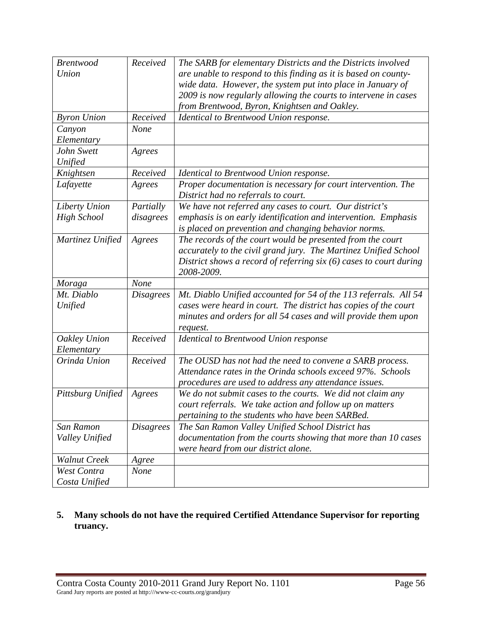| <b>Brentwood</b>    | Received         | The SARB for elementary Districts and the Districts involved       |
|---------------------|------------------|--------------------------------------------------------------------|
| Union               |                  | are unable to respond to this finding as it is based on county-    |
|                     |                  | wide data. However, the system put into place in January of        |
|                     |                  | 2009 is now regularly allowing the courts to intervene in cases    |
|                     |                  | from Brentwood, Byron, Knightsen and Oakley.                       |
| <b>Byron Union</b>  | Received         | Identical to Brentwood Union response.                             |
| Canyon              | None             |                                                                    |
| Elementary          |                  |                                                                    |
| John Swett          | Agrees           |                                                                    |
| Unified             |                  |                                                                    |
| Knightsen           | Received         | Identical to Brentwood Union response.                             |
| Lafayette           | Agrees           | Proper documentation is necessary for court intervention. The      |
|                     |                  | District had no referrals to court.                                |
| Liberty Union       | Partially        | We have not referred any cases to court. Our district's            |
| <b>High School</b>  | disagrees        | emphasis is on early identification and intervention. Emphasis     |
|                     |                  | is placed on prevention and changing behavior norms.               |
| Martinez Unified    | Agrees           | The records of the court would be presented from the court         |
|                     |                  | accurately to the civil grand jury. The Martinez Unified School    |
|                     |                  | District shows a record of referring six (6) cases to court during |
|                     |                  | 2008-2009.                                                         |
| Moraga              | None             |                                                                    |
| Mt. Diablo          | <b>Disagrees</b> | Mt. Diablo Unified accounted for 54 of the 113 referrals. All 54   |
| Unified             |                  | cases were heard in court. The district has copies of the court    |
|                     |                  | minutes and orders for all 54 cases and will provide them upon     |
|                     |                  | request.                                                           |
| Oakley Union        | Received         | Identical to Brentwood Union response                              |
| Elementary          |                  |                                                                    |
| Orinda Union        | Received         | The OUSD has not had the need to convene a SARB process.           |
|                     |                  | Attendance rates in the Orinda schools exceed 97%. Schools         |
|                     |                  | procedures are used to address any attendance issues.              |
| Pittsburg Unified   | Agrees           | We do not submit cases to the courts. We did not claim any         |
|                     |                  | court referrals. We take action and follow up on matters           |
|                     |                  | pertaining to the students who have been SARBed.                   |
| San Ramon           | <b>Disagrees</b> | The San Ramon Valley Unified School District has                   |
| Valley Unified      |                  | documentation from the courts showing that more than 10 cases      |
|                     |                  | were heard from our district alone.                                |
| <b>Walnut Creek</b> | Agree            |                                                                    |
| West Contra         | None             |                                                                    |
| Costa Unified       |                  |                                                                    |

### **5. Many schools do not have the required Certified Attendance Supervisor for reporting truancy.**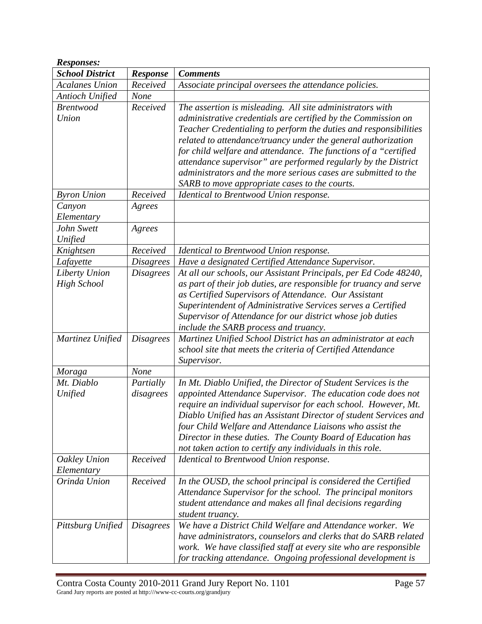| <b>Responses:</b>                   |                        |                                                                                                                                                                                                                                                                                                                                                                                                                                                                                                                         |
|-------------------------------------|------------------------|-------------------------------------------------------------------------------------------------------------------------------------------------------------------------------------------------------------------------------------------------------------------------------------------------------------------------------------------------------------------------------------------------------------------------------------------------------------------------------------------------------------------------|
| <b>School District</b>              | Response               | <b>Comments</b>                                                                                                                                                                                                                                                                                                                                                                                                                                                                                                         |
| <b>Acalanes Union</b>               | Received               | Associate principal oversees the attendance policies.                                                                                                                                                                                                                                                                                                                                                                                                                                                                   |
| <b>Antioch Unified</b>              | None                   |                                                                                                                                                                                                                                                                                                                                                                                                                                                                                                                         |
| <b>Brentwood</b><br>Union           | Received               | The assertion is misleading. All site administrators with<br>administrative credentials are certified by the Commission on<br>Teacher Credentialing to perform the duties and responsibilities<br>related to attendance/truancy under the general authorization<br>for child welfare and attendance. The functions of a "certified<br>attendance supervisor" are performed regularly by the District<br>administrators and the more serious cases are submitted to the<br>SARB to move appropriate cases to the courts. |
| <b>Byron Union</b>                  | Received               | Identical to Brentwood Union response.                                                                                                                                                                                                                                                                                                                                                                                                                                                                                  |
| Canyon<br>Elementary                | Agrees                 |                                                                                                                                                                                                                                                                                                                                                                                                                                                                                                                         |
| John Swett<br>Unified               | Agrees                 |                                                                                                                                                                                                                                                                                                                                                                                                                                                                                                                         |
| Knightsen                           | Received               | Identical to Brentwood Union response.                                                                                                                                                                                                                                                                                                                                                                                                                                                                                  |
| Lafayette                           | <b>Disagrees</b>       | Have a designated Certified Attendance Supervisor.                                                                                                                                                                                                                                                                                                                                                                                                                                                                      |
| Liberty Union<br><b>High School</b> | <b>Disagrees</b>       | At all our schools, our Assistant Principals, per Ed Code 48240,<br>as part of their job duties, are responsible for truancy and serve<br>as Certified Supervisors of Attendance. Our Assistant<br>Superintendent of Administrative Services serves a Certified<br>Supervisor of Attendance for our district whose job duties<br>include the SARB process and truancy.                                                                                                                                                  |
| Martinez Unified                    | <b>Disagrees</b>       | Martinez Unified School District has an administrator at each<br>school site that meets the criteria of Certified Attendance<br>Supervisor.                                                                                                                                                                                                                                                                                                                                                                             |
| Moraga                              | None                   |                                                                                                                                                                                                                                                                                                                                                                                                                                                                                                                         |
| Mt. Diablo<br>Unified               | Partially<br>disagrees | In Mt. Diablo Unified, the Director of Student Services is the<br>appointed Attendance Supervisor. The education code does not<br>require an individual supervisor for each school. However, Mt.<br>Diablo Unified has an Assistant Director of student Services and<br>four Child Welfare and Attendance Liaisons who assist the<br>Director in these duties. The County Board of Education has<br>not taken action to certify any individuals in this role.                                                           |
| Oakley Union<br>Elementary          | Received               | Identical to Brentwood Union response.                                                                                                                                                                                                                                                                                                                                                                                                                                                                                  |
| Orinda Union                        | Received               | In the OUSD, the school principal is considered the Certified<br>Attendance Supervisor for the school. The principal monitors<br>student attendance and makes all final decisions regarding<br>student truancy.                                                                                                                                                                                                                                                                                                         |
| Pittsburg Unified                   | <i>Disagrees</i>       | We have a District Child Welfare and Attendance worker. We<br>have administrators, counselors and clerks that do SARB related<br>work. We have classified staff at every site who are responsible<br>for tracking attendance. Ongoing professional development is                                                                                                                                                                                                                                                       |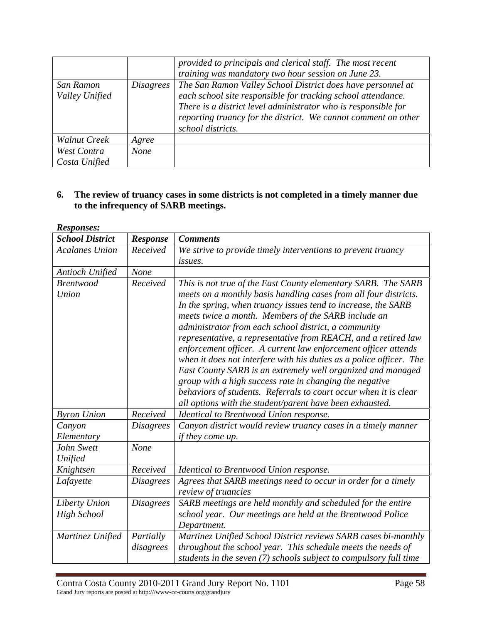|                              |                  | provided to principals and clerical staff. The most recent<br>training was mandatory two hour session on June 23.                                                                                                                                                                    |
|------------------------------|------------------|--------------------------------------------------------------------------------------------------------------------------------------------------------------------------------------------------------------------------------------------------------------------------------------|
| San Ramon<br>Valley Unified  | <i>Disagrees</i> | The San Ramon Valley School District does have personnel at<br>each school site responsible for tracking school attendance.<br>There is a district level administrator who is responsible for<br>reporting truancy for the district. We cannot comment on other<br>school districts. |
| Walnut Creek                 | Agree            |                                                                                                                                                                                                                                                                                      |
| West Contra<br>Costa Unified | <b>None</b>      |                                                                                                                                                                                                                                                                                      |

### **6. The review of truancy cases in some districts is not completed in a timely manner due to the infrequency of SARB meetings.**

| <b>Responses:</b>      |                  |                                                                     |
|------------------------|------------------|---------------------------------------------------------------------|
| <b>School District</b> | <b>Response</b>  | <b>Comments</b>                                                     |
| <b>Acalanes Union</b>  | Received         | We strive to provide timely interventions to prevent truancy        |
|                        |                  | <i>issues.</i>                                                      |
| Antioch Unified        | None             |                                                                     |
| <b>Brentwood</b>       | Received         | This is not true of the East County elementary SARB. The SARB       |
| Union                  |                  | meets on a monthly basis handling cases from all four districts.    |
|                        |                  | In the spring, when truancy issues tend to increase, the SARB       |
|                        |                  | meets twice a month. Members of the SARB include an                 |
|                        |                  | administrator from each school district, a community                |
|                        |                  | representative, a representative from REACH, and a retired law      |
|                        |                  | enforcement officer. A current law enforcement officer attends      |
|                        |                  | when it does not interfere with his duties as a police officer. The |
|                        |                  | East County SARB is an extremely well organized and managed         |
|                        |                  | group with a high success rate in changing the negative             |
|                        |                  | behaviors of students. Referrals to court occur when it is clear    |
|                        |                  | all options with the student/parent have been exhausted.            |
| <b>Byron Union</b>     | Received         | Identical to Brentwood Union response.                              |
| Canyon                 | <b>Disagrees</b> | Canyon district would review truancy cases in a timely manner       |
| Elementary             |                  | <i>if they come up.</i>                                             |
| John Swett             | None             |                                                                     |
| Unified                |                  |                                                                     |
| Knightsen              | Received         | Identical to Brentwood Union response.                              |
| Lafayette              | <b>Disagrees</b> | Agrees that SARB meetings need to occur in order for a timely       |
|                        |                  | review of truancies                                                 |
| Liberty Union          | <b>Disagrees</b> | SARB meetings are held monthly and scheduled for the entire         |
| <b>High School</b>     |                  | school year. Our meetings are held at the Brentwood Police          |
|                        |                  | Department.                                                         |
| Martinez Unified       | Partially        | Martinez Unified School District reviews SARB cases bi-monthly      |
|                        | disagrees        | throughout the school year. This schedule meets the needs of        |
|                        |                  | students in the seven (7) schools subject to compulsory full time   |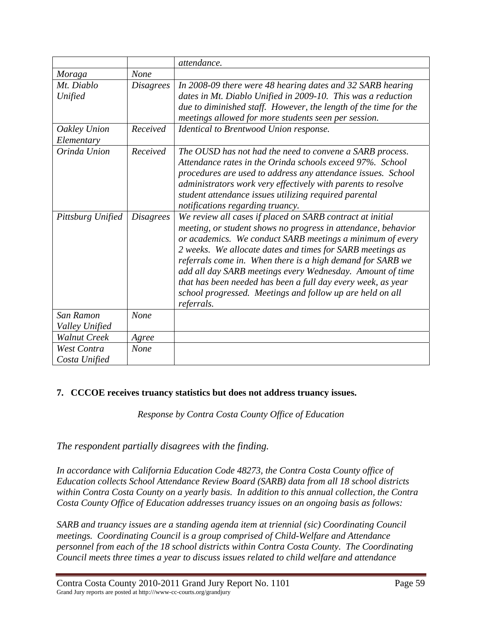|                                       |                  | attendance.                                                                                                                                                                                                                                                                                                                                                                                                                                                                                                                |
|---------------------------------------|------------------|----------------------------------------------------------------------------------------------------------------------------------------------------------------------------------------------------------------------------------------------------------------------------------------------------------------------------------------------------------------------------------------------------------------------------------------------------------------------------------------------------------------------------|
| Moraga                                | None             |                                                                                                                                                                                                                                                                                                                                                                                                                                                                                                                            |
| Mt. Diablo<br>Unified                 | <i>Disagrees</i> | In 2008-09 there were 48 hearing dates and 32 SARB hearing<br>dates in Mt. Diablo Unified in 2009-10. This was a reduction<br>due to diminished staff. However, the length of the time for the<br>meetings allowed for more students seen per session.                                                                                                                                                                                                                                                                     |
| Oakley Union<br>Elementary            | Received         | Identical to Brentwood Union response.                                                                                                                                                                                                                                                                                                                                                                                                                                                                                     |
| Orinda Union                          | Received         | The OUSD has not had the need to convene a SARB process.<br>Attendance rates in the Orinda schools exceed 97%. School<br>procedures are used to address any attendance issues. School<br>administrators work very effectively with parents to resolve<br>student attendance issues utilizing required parental<br>notifications regarding truancy.                                                                                                                                                                         |
| Pittsburg Unified                     | <i>Disagrees</i> | We review all cases if placed on SARB contract at initial<br>meeting, or student shows no progress in attendance, behavior<br>or academics. We conduct SARB meetings a minimum of every<br>2 weeks. We allocate dates and times for SARB meetings as<br>referrals come in. When there is a high demand for SARB we<br>add all day SARB meetings every Wednesday. Amount of time<br>that has been needed has been a full day every week, as year<br>school progressed. Meetings and follow up are held on all<br>referrals. |
| San Ramon                             | None             |                                                                                                                                                                                                                                                                                                                                                                                                                                                                                                                            |
| Valley Unified<br><b>Walnut Creek</b> |                  |                                                                                                                                                                                                                                                                                                                                                                                                                                                                                                                            |
|                                       | Agree            |                                                                                                                                                                                                                                                                                                                                                                                                                                                                                                                            |
| West Contra<br>Costa Unified          | None             |                                                                                                                                                                                                                                                                                                                                                                                                                                                                                                                            |

# **7. CCCOE receives truancy statistics but does not address truancy issues.**

*Response by Contra Costa County Office of Education* 

*The respondent partially disagrees with the finding.* 

*In accordance with California Education Code 48273, the Contra Costa County office of Education collects School Attendance Review Board (SARB) data from all 18 school districts within Contra Costa County on a yearly basis. In addition to this annual collection, the Contra Costa County Office of Education addresses truancy issues on an ongoing basis as follows:* 

*SARB and truancy issues are a standing agenda item at triennial (sic) Coordinating Council meetings. Coordinating Council is a group comprised of Child-Welfare and Attendance personnel from each of the 18 school districts within Contra Costa County. The Coordinating Council meets three times a year to discuss issues related to child welfare and attendance*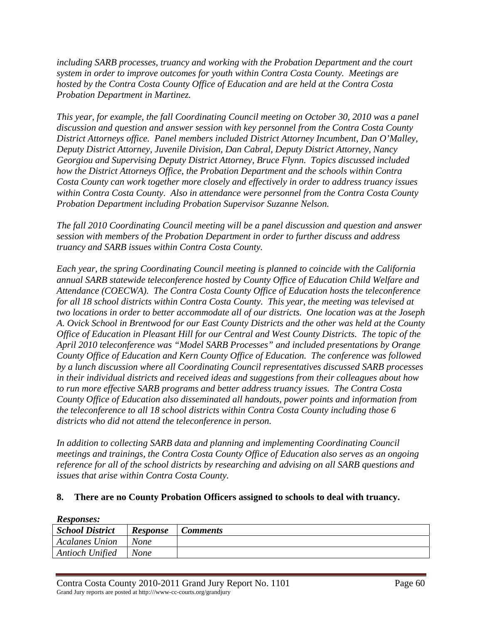*including SARB processes, truancy and working with the Probation Department and the court system in order to improve outcomes for youth within Contra Costa County. Meetings are hosted by the Contra Costa County Office of Education and are held at the Contra Costa Probation Department in Martinez.* 

*This year, for example, the fall Coordinating Council meeting on October 30, 2010 was a panel discussion and question and answer session with key personnel from the Contra Costa County District Attorneys office. Panel members included District Attorney Incumbent, Dan O'Malley, Deputy District Attorney, Juvenile Division, Dan Cabral, Deputy District Attorney, Nancy Georgiou and Supervising Deputy District Attorney, Bruce Flynn. Topics discussed included how the District Attorneys Office, the Probation Department and the schools within Contra Costa County can work together more closely and effectively in order to address truancy issues within Contra Costa County. Also in attendance were personnel from the Contra Costa County Probation Department including Probation Supervisor Suzanne Nelson.* 

*The fall 2010 Coordinating Council meeting will be a panel discussion and question and answer session with members of the Probation Department in order to further discuss and address truancy and SARB issues within Contra Costa County.* 

*Each year, the spring Coordinating Council meeting is planned to coincide with the California annual SARB statewide teleconference hosted by County Office of Education Child Welfare and Attendance (COECWA). The Contra Costa County Office of Education hosts the teleconference for all 18 school districts within Contra Costa County. This year, the meeting was televised at two locations in order to better accommodate all of our districts. One location was at the Joseph A. Ovick School in Brentwood for our East County Districts and the other was held at the County Office of Education in Pleasant Hill for our Central and West County Districts. The topic of the April 2010 teleconference was "Model SARB Processes" and included presentations by Orange County Office of Education and Kern County Office of Education. The conference was followed by a lunch discussion where all Coordinating Council representatives discussed SARB processes in their individual districts and received ideas and suggestions from their colleagues about how to run more effective SARB programs and better address truancy issues. The Contra Costa County Office of Education also disseminated all handouts, power points and information from the teleconference to all 18 school districts within Contra Costa County including those 6 districts who did not attend the teleconference in person.* 

*In addition to collecting SARB data and planning and implementing Coordinating Council meetings and trainings, the Contra Costa County Office of Education also serves as an ongoing reference for all of the school districts by researching and advising on all SARB questions and issues that arise within Contra Costa County.* 

### **8. There are no County Probation Officers assigned to schools to deal with truancy.**

| <b>School District</b> | <b>Response</b> | Comments |
|------------------------|-----------------|----------|
| <b>Acalanes Union</b>  | None            |          |
| <b>Antioch Unified</b> | None            |          |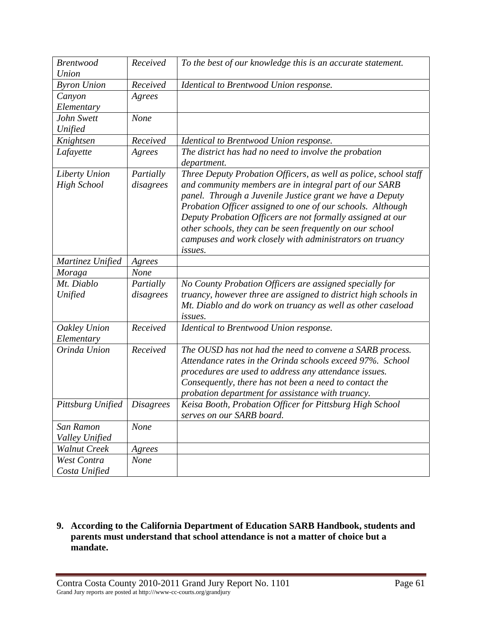| <b>Brentwood</b><br>Union | Received         | To the best of our knowledge this is an accurate statement.          |
|---------------------------|------------------|----------------------------------------------------------------------|
| <b>Byron Union</b>        | Received         | Identical to Brentwood Union response.                               |
| Canyon                    | Agrees           |                                                                      |
| Elementary                |                  |                                                                      |
| John Swett                | None             |                                                                      |
| Unified                   |                  |                                                                      |
| Knightsen                 | Received         | Identical to Brentwood Union response.                               |
| Lafayette                 | Agrees           | The district has had no need to involve the probation<br>department. |
| Liberty Union             | Partially        | Three Deputy Probation Officers, as well as police, school staff     |
| <b>High School</b>        | disagrees        | and community members are in integral part of our SARB               |
|                           |                  | panel. Through a Juvenile Justice grant we have a Deputy             |
|                           |                  | Probation Officer assigned to one of our schools. Although           |
|                           |                  | Deputy Probation Officers are not formally assigned at our           |
|                           |                  | other schools, they can be seen frequently on our school             |
|                           |                  | campuses and work closely with administrators on truancy             |
|                           |                  | issues.                                                              |
| Martinez Unified          | Agrees           |                                                                      |
| Moraga                    | None             |                                                                      |
| Mt. Diablo                | Partially        | No County Probation Officers are assigned specially for              |
| Unified                   | disagrees        | truancy, however three are assigned to district high schools in      |
|                           |                  | Mt. Diablo and do work on truancy as well as other caseload          |
|                           |                  | <i>issues.</i>                                                       |
| Oakley Union              | Received         | Identical to Brentwood Union response.                               |
| Elementary                |                  |                                                                      |
| Orinda Union              | Received         | The OUSD has not had the need to convene a SARB process.             |
|                           |                  | Attendance rates in the Orinda schools exceed 97%. School            |
|                           |                  | procedures are used to address any attendance issues.                |
|                           |                  | Consequently, there has not been a need to contact the               |
|                           |                  | probation department for assistance with truancy.                    |
| Pittsburg Unified         | <b>Disagrees</b> | Keisa Booth, Probation Officer for Pittsburg High School             |
|                           |                  | serves on our SARB board.                                            |
| San Ramon                 | None             |                                                                      |
| Valley Unified            |                  |                                                                      |
| <b>Walnut Creek</b>       | Agrees           |                                                                      |
| West Contra               | <b>None</b>      |                                                                      |
| Costa Unified             |                  |                                                                      |

**9. According to the California Department of Education SARB Handbook, students and parents must understand that school attendance is not a matter of choice but a mandate.**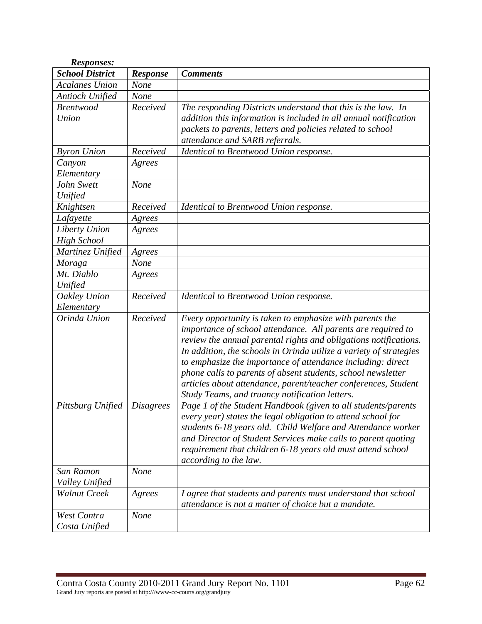| <b>Responses:</b>      |                  |                                                                                                                                  |
|------------------------|------------------|----------------------------------------------------------------------------------------------------------------------------------|
| <b>School District</b> | <b>Response</b>  | <b>Comments</b>                                                                                                                  |
| <b>Acalanes Union</b>  | None             |                                                                                                                                  |
| Antioch Unified        | None             |                                                                                                                                  |
| <b>Brentwood</b>       | Received         | The responding Districts understand that this is the law. In                                                                     |
| Union                  |                  | addition this information is included in all annual notification                                                                 |
|                        |                  | packets to parents, letters and policies related to school                                                                       |
|                        |                  | attendance and SARB referrals.                                                                                                   |
| <b>Byron Union</b>     | Received         | Identical to Brentwood Union response.                                                                                           |
| Canyon                 | Agrees           |                                                                                                                                  |
| Elementary             |                  |                                                                                                                                  |
| John Swett             | None             |                                                                                                                                  |
| Unified                |                  |                                                                                                                                  |
| Knightsen              | Received         | Identical to Brentwood Union response.                                                                                           |
| Lafayette              | Agrees           |                                                                                                                                  |
| Liberty Union          | Agrees           |                                                                                                                                  |
| <b>High School</b>     |                  |                                                                                                                                  |
| Martinez Unified       | Agrees           |                                                                                                                                  |
| <b>Moraga</b>          | None             |                                                                                                                                  |
| Mt. Diablo             | Agrees           |                                                                                                                                  |
| Unified                |                  |                                                                                                                                  |
| Oakley Union           | Received         | Identical to Brentwood Union response.                                                                                           |
| Elementary             |                  |                                                                                                                                  |
| Orinda Union           | Received         | Every opportunity is taken to emphasize with parents the                                                                         |
|                        |                  | importance of school attendance. All parents are required to<br>review the annual parental rights and obligations notifications. |
|                        |                  | In addition, the schools in Orinda utilize a variety of strategies                                                               |
|                        |                  | to emphasize the importance of attendance including: direct                                                                      |
|                        |                  | phone calls to parents of absent students, school newsletter                                                                     |
|                        |                  | articles about attendance, parent/teacher conferences, Student                                                                   |
|                        |                  | Study Teams, and truancy notification letters.                                                                                   |
| Pittsburg Unified      | <i>Disagrees</i> | Page 1 of the Student Handbook (given to all students/parents                                                                    |
|                        |                  | every year) states the legal obligation to attend school for                                                                     |
|                        |                  | students 6-18 years old. Child Welfare and Attendance worker                                                                     |
|                        |                  | and Director of Student Services make calls to parent quoting                                                                    |
|                        |                  | requirement that children 6-18 years old must attend school                                                                      |
|                        |                  | according to the law.                                                                                                            |
| San Ramon              | None             |                                                                                                                                  |
| Valley Unified         |                  |                                                                                                                                  |
| <b>Walnut Creek</b>    | Agrees           | I agree that students and parents must understand that school                                                                    |
|                        |                  | attendance is not a matter of choice but a mandate.                                                                              |
| West Contra            | None             |                                                                                                                                  |
| Costa Unified          |                  |                                                                                                                                  |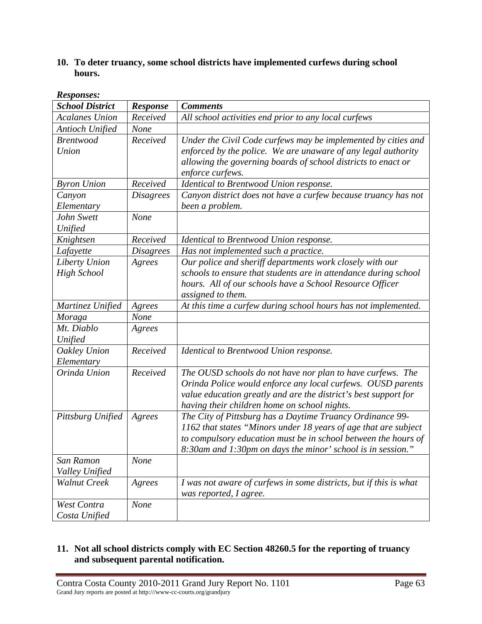## **10. To deter truancy, some school districts have implemented curfews during school hours.**

| Responses.             |                  |                                                                   |
|------------------------|------------------|-------------------------------------------------------------------|
| <b>School District</b> | <b>Response</b>  | <b>Comments</b>                                                   |
| <b>Acalanes Union</b>  | Received         | All school activities end prior to any local curfews              |
| <b>Antioch Unified</b> | None             |                                                                   |
| <b>Brentwood</b>       | Received         | Under the Civil Code curfews may be implemented by cities and     |
| Union                  |                  | enforced by the police. We are unaware of any legal authority     |
|                        |                  | allowing the governing boards of school districts to enact or     |
|                        |                  | enforce curfews.                                                  |
| <b>Byron Union</b>     | Received         | Identical to Brentwood Union response.                            |
| Canyon                 | <b>Disagrees</b> | Canyon district does not have a curfew because truancy has not    |
| Elementary             |                  | been a problem.                                                   |
| John Swett             | None             |                                                                   |
| Unified                |                  |                                                                   |
| Knightsen              | Received         | Identical to Brentwood Union response.                            |
| Lafayette              | <b>Disagrees</b> | Has not implemented such a practice.                              |
| Liberty Union          | Agrees           | Our police and sheriff departments work closely with our          |
| <b>High School</b>     |                  | schools to ensure that students are in attendance during school   |
|                        |                  | hours. All of our schools have a School Resource Officer          |
|                        |                  | assigned to them.                                                 |
| Martinez Unified       | Agrees           | At this time a curfew during school hours has not implemented.    |
| Moraga                 | None             |                                                                   |
| Mt. Diablo             | Agrees           |                                                                   |
| Unified                |                  |                                                                   |
| Oakley Union           | Received         | Identical to Brentwood Union response.                            |
| Elementary             |                  |                                                                   |
| Orinda Union           | Received         | The OUSD schools do not have nor plan to have curfews. The        |
|                        |                  | Orinda Police would enforce any local curfews. OUSD parents       |
|                        |                  | value education greatly and are the district's best support for   |
|                        |                  | having their children home on school nights.                      |
| Pittsburg Unified      | Agrees           | The City of Pittsburg has a Daytime Truancy Ordinance 99-         |
|                        |                  | 1162 that states "Minors under 18 years of age that are subject   |
|                        |                  | to compulsory education must be in school between the hours of    |
|                        |                  | 8:30am and 1:30pm on days the minor' school is in session."       |
| San Ramon              | None             |                                                                   |
| Valley Unified         |                  |                                                                   |
| <b>Walnut Creek</b>    | Agrees           | I was not aware of curfews in some districts, but if this is what |
|                        |                  | was reported, I agree.                                            |
| West Contra            | None             |                                                                   |
| Costa Unified          |                  |                                                                   |

#### *Responses:*

### **11. Not all school districts comply with EC Section 48260.5 for the reporting of truancy and subsequent parental notification.**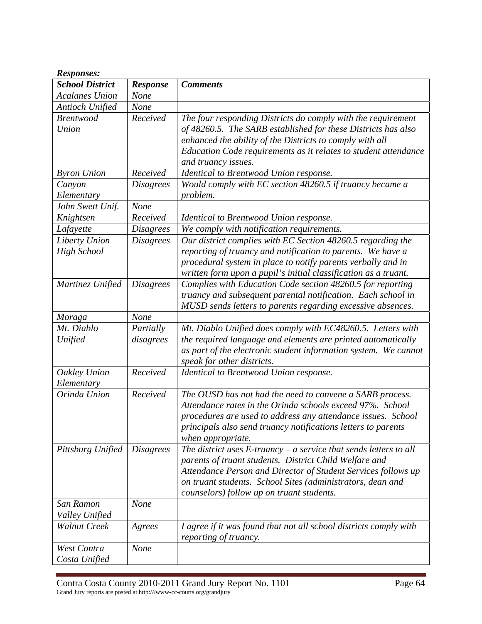| Responses:                 |                  |                                                                      |
|----------------------------|------------------|----------------------------------------------------------------------|
| <b>School District</b>     | Response         | <b>Comments</b>                                                      |
| <b>Acalanes Union</b>      | None             |                                                                      |
| Antioch Unified            | None             |                                                                      |
| <b>Brentwood</b>           | Received         | The four responding Districts do comply with the requirement         |
| Union                      |                  | of 48260.5. The SARB established for these Districts has also        |
|                            |                  | enhanced the ability of the Districts to comply with all             |
|                            |                  | Education Code requirements as it relates to student attendance      |
|                            |                  | and truancy issues.                                                  |
| <b>Byron Union</b>         | Received         | Identical to Brentwood Union response.                               |
| Canyon                     | <b>Disagrees</b> | Would comply with EC section 48260.5 if truancy became a             |
| Elementary                 |                  | problem.                                                             |
| John Swett Unif.           | None             |                                                                      |
| Knightsen                  | Received         | Identical to Brentwood Union response.                               |
| Lafayette                  | <b>Disagrees</b> | We comply with notification requirements.                            |
| Liberty Union              | <b>Disagrees</b> | Our district complies with EC Section 48260.5 regarding the          |
| <b>High School</b>         |                  | reporting of truancy and notification to parents. We have a          |
|                            |                  | procedural system in place to notify parents verbally and in         |
|                            |                  | written form upon a pupil's initial classification as a truant.      |
| Martinez Unified           | <b>Disagrees</b> | Complies with Education Code section 48260.5 for reporting           |
|                            |                  | truancy and subsequent parental notification. Each school in         |
|                            |                  | MUSD sends letters to parents regarding excessive absences.          |
| <b>Moraga</b>              | None             |                                                                      |
| Mt. Diablo                 | Partially        | Mt. Diablo Unified does comply with EC48260.5. Letters with          |
| Unified                    | disagrees        | the required language and elements are printed automatically         |
|                            |                  | as part of the electronic student information system. We cannot      |
|                            | Received         | speak for other districts.                                           |
| Oakley Union<br>Elementary |                  | Identical to Brentwood Union response.                               |
| Orinda Union               | Received         | The OUSD has not had the need to convene a SARB process.             |
|                            |                  | Attendance rates in the Orinda schools exceed 97%. School            |
|                            |                  | procedures are used to address any attendance issues. School         |
|                            |                  | principals also send truancy notifications letters to parents        |
|                            |                  | when appropriate.                                                    |
| Pittsburg Unified          | <b>Disagrees</b> | The district uses $E$ -truancy – a service that sends letters to all |
|                            |                  | parents of truant students. District Child Welfare and               |
|                            |                  | Attendance Person and Director of Student Services follows up        |
|                            |                  | on truant students. School Sites (administrators, dean and           |
|                            |                  | counselors) follow up on truant students.                            |
| San Ramon                  | None             |                                                                      |
| Valley Unified             |                  |                                                                      |
| <b>Walnut Creek</b>        | Agrees           | I agree if it was found that not all school districts comply with    |
|                            |                  | reporting of truancy.                                                |
| West Contra                | <b>None</b>      |                                                                      |
| Costa Unified              |                  |                                                                      |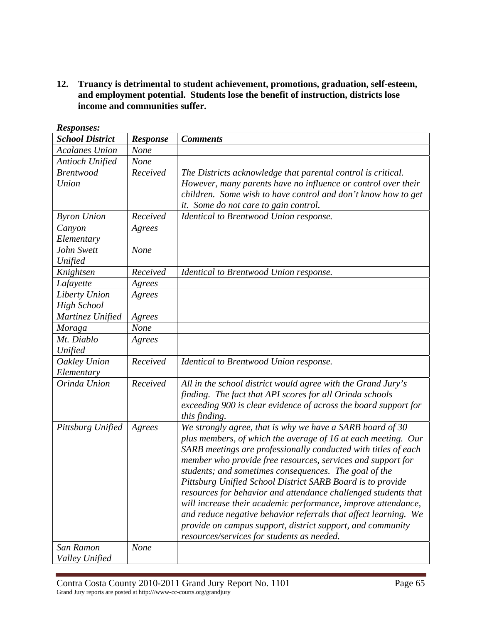**12. Truancy is detrimental to student achievement, promotions, graduation, self-esteem, and employment potential. Students lose the benefit of instruction, districts lose income and communities suffer.** 

| <b>School District</b> | <b>Response</b> | <b>Comments</b>                                                 |
|------------------------|-----------------|-----------------------------------------------------------------|
| <b>Acalanes Union</b>  | None            |                                                                 |
| Antioch Unified        | <b>None</b>     |                                                                 |
| <b>Brentwood</b>       | Received        | The Districts acknowledge that parental control is critical.    |
| Union                  |                 | However, many parents have no influence or control over their   |
|                        |                 | children. Some wish to have control and don't know how to get   |
|                        |                 | it. Some do not care to gain control.                           |
| <b>Byron Union</b>     | Received        | Identical to Brentwood Union response.                          |
| Canyon                 | Agrees          |                                                                 |
| Elementary             |                 |                                                                 |
| John Swett             | None            |                                                                 |
| Unified                |                 |                                                                 |
| Knightsen              | Received        | Identical to Brentwood Union response.                          |
| Lafayette              | Agrees          |                                                                 |
| Liberty Union          | Agrees          |                                                                 |
| <b>High School</b>     |                 |                                                                 |
| Martinez Unified       | Agrees          |                                                                 |
| Moraga                 | None            |                                                                 |
| Mt. Diablo             | Agrees          |                                                                 |
| Unified                |                 |                                                                 |
| Oakley Union           | Received        | Identical to Brentwood Union response.                          |
| Elementary             |                 |                                                                 |
| Orinda Union           | Received        | All in the school district would agree with the Grand Jury's    |
|                        |                 | finding. The fact that API scores for all Orinda schools        |
|                        |                 | exceeding 900 is clear evidence of across the board support for |
|                        |                 | this finding.                                                   |
| Pittsburg Unified      | Agrees          | We strongly agree, that is why we have a SARB board of 30       |
|                        |                 | plus members, of which the average of 16 at each meeting. Our   |
|                        |                 | SARB meetings are professionally conducted with titles of each  |
|                        |                 | member who provide free resources, services and support for     |
|                        |                 | students; and sometimes consequences. The goal of the           |
|                        |                 | Pittsburg Unified School District SARB Board is to provide      |
|                        |                 | resources for behavior and attendance challenged students that  |
|                        |                 | will increase their academic performance, improve attendance,   |
|                        |                 | and reduce negative behavior referrals that affect learning. We |
|                        |                 | provide on campus support, district support, and community      |
|                        |                 | resources/services for students as needed.                      |
| San Ramon              | <b>None</b>     |                                                                 |
| Valley Unified         |                 |                                                                 |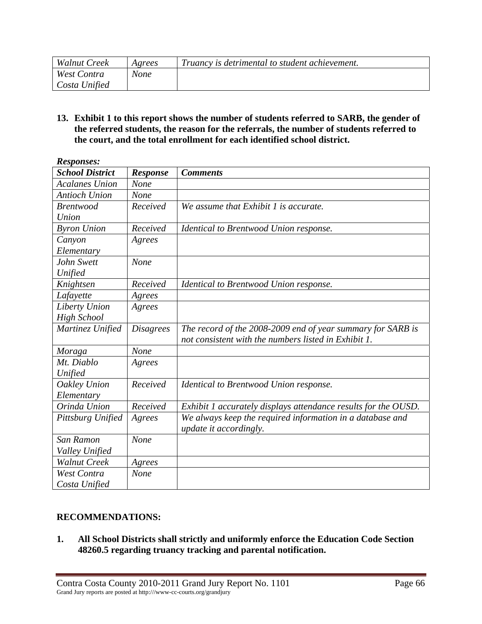| <b>Walnut Creek</b> | Agrees | Truancy is detrimental to student achievement. |
|---------------------|--------|------------------------------------------------|
| West Contra         | None   |                                                |
| Costa Unified       |        |                                                |

**13. Exhibit 1 to this report shows the number of students referred to SARB, the gender of the referred students, the reason for the referrals, the number of students referred to the court, and the total enrollment for each identified school district.** 

| <b>Responses:</b>      |                  |                                                                |
|------------------------|------------------|----------------------------------------------------------------|
| <b>School District</b> | <b>Response</b>  | <b>Comments</b>                                                |
| <b>Acalanes Union</b>  | None             |                                                                |
| <b>Antioch Union</b>   | None             |                                                                |
| <b>Brentwood</b>       | Received         | We assume that Exhibit 1 is accurate.                          |
| Union                  |                  |                                                                |
| <b>Byron Union</b>     | Received         | Identical to Brentwood Union response.                         |
| Canyon                 | Agrees           |                                                                |
| Elementary             |                  |                                                                |
| John Swett             | None             |                                                                |
| Unified                |                  |                                                                |
| Knightsen              | Received         | Identical to Brentwood Union response.                         |
| Lafayette              | Agrees           |                                                                |
| Liberty Union          | Agrees           |                                                                |
| <b>High School</b>     |                  |                                                                |
| Martinez Unified       | <i>Disagrees</i> | The record of the 2008-2009 end of year summary for SARB is    |
|                        |                  | not consistent with the numbers listed in Exhibit 1.           |
| Moraga                 | None             |                                                                |
| Mt. Diablo             | Agrees           |                                                                |
| Unified                |                  |                                                                |
| Oakley Union           | Received         | Identical to Brentwood Union response.                         |
| Elementary             |                  |                                                                |
| Orinda Union           | Received         | Exhibit 1 accurately displays attendance results for the OUSD. |
| Pittsburg Unified      | Agrees           | We always keep the required information in a database and      |
|                        |                  | update it accordingly.                                         |
| San Ramon              | None             |                                                                |
| Valley Unified         |                  |                                                                |
| <b>Walnut Creek</b>    | Agrees           |                                                                |
| <b>West Contra</b>     | None             |                                                                |
| Costa Unified          |                  |                                                                |

### **RECOMMENDATIONS:**

**1. All School Districts shall strictly and uniformly enforce the Education Code Section 48260.5 regarding truancy tracking and parental notification.**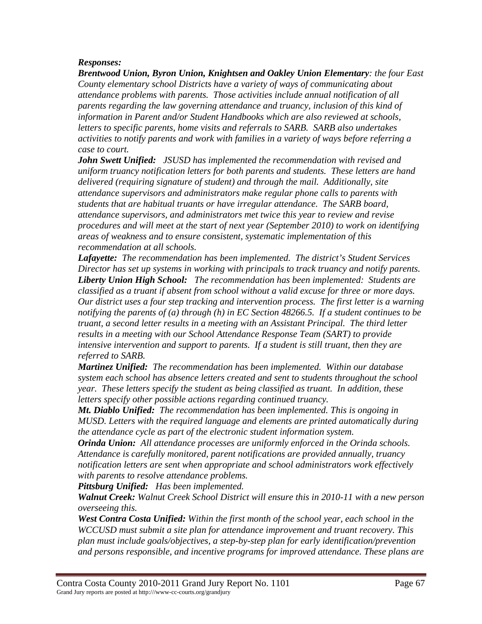### *Responses:*

*Brentwood Union, Byron Union, Knightsen and Oakley Union Elementary: the four East County elementary school Districts have a variety of ways of communicating about attendance problems with parents. Those activities include annual notification of all parents regarding the law governing attendance and truancy, inclusion of this kind of information in Parent and/or Student Handbooks which are also reviewed at schools, letters to specific parents, home visits and referrals to SARB. SARB also undertakes activities to notify parents and work with families in a variety of ways before referring a case to court.* 

*John Swett Unified: JSUSD has implemented the recommendation with revised and uniform truancy notification letters for both parents and students. These letters are hand delivered (requiring signature of student) and through the mail. Additionally, site attendance supervisors and administrators make regular phone calls to parents with students that are habitual truants or have irregular attendance. The SARB board, attendance supervisors, and administrators met twice this year to review and revise procedures and will meet at the start of next year (September 2010) to work on identifying areas of weakness and to ensure consistent, systematic implementation of this recommendation at all schools.* 

*Lafayette: The recommendation has been implemented. The district's Student Services Director has set up systems in working with principals to track truancy and notify parents. Liberty Union High School: The recommendation has been implemented: Students are classified as a truant if absent from school without a valid excuse for three or more days. Our district uses a four step tracking and intervention process. The first letter is a warning notifying the parents of (a) through (h) in EC Section 48266.5. If a student continues to be truant, a second letter results in a meeting with an Assistant Principal. The third letter results in a meeting with our School Attendance Response Team (SART) to provide intensive intervention and support to parents. If a student is still truant, then they are referred to SARB.* 

*Martinez Unified: The recommendation has been implemented. Within our database system each school has absence letters created and sent to students throughout the school year. These letters specify the student as being classified as truant. In addition, these letters specify other possible actions regarding continued truancy.* 

*Mt. Diablo Unified: The recommendation has been implemented. This is ongoing in MUSD. Letters with the required language and elements are printed automatically during the attendance cycle as part of the electronic student information system.* 

*Orinda Union: All attendance processes are uniformly enforced in the Orinda schools. Attendance is carefully monitored, parent notifications are provided annually, truancy notification letters are sent when appropriate and school administrators work effectively with parents to resolve attendance problems.* 

*Pittsburg Unified: Has been implemented.* 

*Walnut Creek: Walnut Creek School District will ensure this in 2010-11 with a new person overseeing this.*

*West Contra Costa Unified: Within the first month of the school year, each school in the WCCUSD must submit a site plan for attendance improvement and truant recovery. This plan must include goals/objectives, a step-by-step plan for early identification/prevention and persons responsible, and incentive programs for improved attendance. These plans are*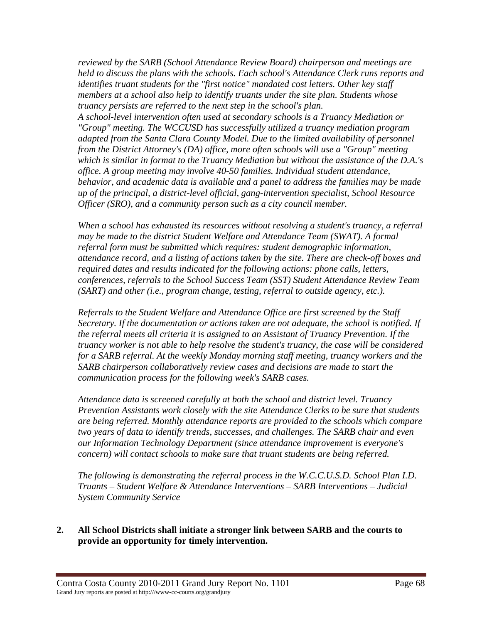*reviewed by the SARB (School Attendance Review Board) chairperson and meetings are held to discuss the plans with the schools. Each school's Attendance Clerk runs reports and identifies truant students for the "first notice" mandated cost letters. Other key staff members at a school also help to identify truants under the site plan. Students whose truancy persists are referred to the next step in the school's plan.* 

*A school-level intervention often used at secondary schools is a Truancy Mediation or "Group" meeting. The WCCUSD has successfully utilized a truancy mediation program adapted from the Santa Clara County Model. Due to the limited availability of personnel from the District Attorney's (DA) office, more often schools will use a "Group" meeting which is similar in format to the Truancy Mediation but without the assistance of the D.A.'s office. A group meeting may involve 40-50 families. Individual student attendance, behavior, and academic data is available and a panel to address the families may be made up of the principal, a district-level official, gang-intervention specialist, School Resource Officer (SRO), and a community person such as a city council member.* 

*When a school has exhausted its resources without resolving a student's truancy, a referral may be made to the district Student Welfare and Attendance Team (SWAT). A formal referral form must be submitted which requires: student demographic information, attendance record, and a listing of actions taken by the site. There are check-off boxes and required dates and results indicated for the following actions: phone calls, letters, conferences, referrals to the School Success Team (SST) Student Attendance Review Team (SART) and other (i.e., program change, testing, referral to outside agency, etc.).* 

*Referrals to the Student Welfare and Attendance Office are first screened by the Staff Secretary. If the documentation or actions taken are not adequate, the school is notified. If the referral meets all criteria it is assigned to an Assistant of Truancy Prevention. If the truancy worker is not able to help resolve the student's truancy, the case will be considered for a SARB referral. At the weekly Monday morning staff meeting, truancy workers and the SARB chairperson collaboratively review cases and decisions are made to start the communication process for the following week's SARB cases.* 

*Attendance data is screened carefully at both the school and district level. Truancy Prevention Assistants work closely with the site Attendance Clerks to be sure that students are being referred. Monthly attendance reports are provided to the schools which compare two years of data to identify trends, successes, and challenges. The SARB chair and even our Information Technology Department (since attendance improvement is everyone's concern) will contact schools to make sure that truant students are being referred.* 

*The following is demonstrating the referral process in the W.C.C.U.S.D. School Plan I.D. Truants – Student Welfare & Attendance Interventions – SARB Interventions – Judicial System Community Service* 

### **2. All School Districts shall initiate a stronger link between SARB and the courts to provide an opportunity for timely intervention.**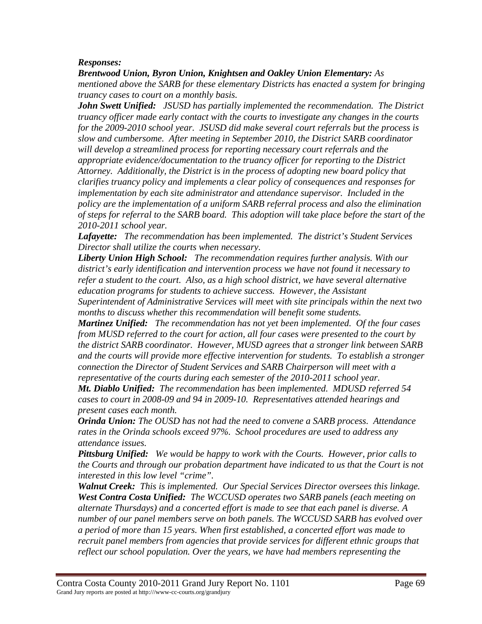### *Responses:*

*Brentwood Union, Byron Union, Knightsen and Oakley Union Elementary: As mentioned above the SARB for these elementary Districts has enacted a system for bringing truancy cases to court on a monthly basis.* 

*John Swett Unified: JSUSD has partially implemented the recommendation. The District truancy officer made early contact with the courts to investigate any changes in the courts for the 2009-2010 school year. JSUSD did make several court referrals but the process is slow and cumbersome. After meeting in September 2010, the District SARB coordinator will develop a streamlined process for reporting necessary court referrals and the appropriate evidence/documentation to the truancy officer for reporting to the District Attorney. Additionally, the District is in the process of adopting new board policy that clarifies truancy policy and implements a clear policy of consequences and responses for implementation by each site administrator and attendance supervisor. Included in the policy are the implementation of a uniform SARB referral process and also the elimination of steps for referral to the SARB board. This adoption will take place before the start of the 2010-2011 school year.* 

*Lafayette: The recommendation has been implemented. The district's Student Services Director shall utilize the courts when necessary.* 

*Liberty Union High School: The recommendation requires further analysis. With our district's early identification and intervention process we have not found it necessary to refer a student to the court. Also, as a high school district, we have several alternative education programs for students to achieve success. However, the Assistant Superintendent of Administrative Services will meet with site principals within the next two months to discuss whether this recommendation will benefit some students.* 

*Martinez Unified: The recommendation has not yet been implemented. Of the four cases from MUSD referred to the court for action, all four cases were presented to the court by the district SARB coordinator. However, MUSD agrees that a stronger link between SARB and the courts will provide more effective intervention for students. To establish a stronger connection the Director of Student Services and SARB Chairperson will meet with a representative of the courts during each semester of the 2010-2011 school year.* 

*Mt. Diablo Unified: The recommendation has been implemented. MDUSD referred 54 cases to court in 2008-09 and 94 in 2009-10. Representatives attended hearings and present cases each month.*

*Orinda Union: The OUSD has not had the need to convene a SARB process. Attendance rates in the Orinda schools exceed 97%. School procedures are used to address any attendance issues.* 

*Pittsburg Unified: We would be happy to work with the Courts. However, prior calls to the Courts and through our probation department have indicated to us that the Court is not interested in this low level "crime".* 

*Walnut Creek: This is implemented. Our Special Services Director oversees this linkage. West Contra Costa Unified: The WCCUSD operates two SARB panels (each meeting on alternate Thursdays) and a concerted effort is made to see that each panel is diverse. A number of our panel members serve on both panels. The WCCUSD SARB has evolved over a period of more than 15 years. When first established, a concerted effort was made to recruit panel members from agencies that provide services for different ethnic groups that reflect our school population. Over the years, we have had members representing the*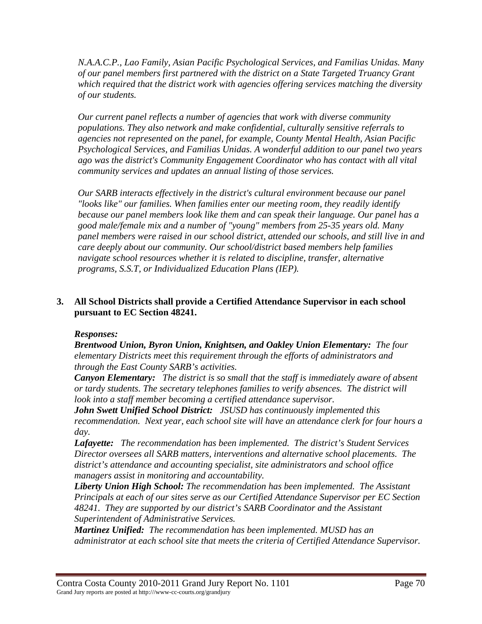*N.A.A.C.P., Lao Family, Asian Pacific Psychological Services, and Familias Unidas. Many of our panel members first partnered with the district on a State Targeted Truancy Grant which required that the district work with agencies offering services matching the diversity of our students.* 

*Our current panel reflects a number of agencies that work with diverse community populations. They also network and make confidential, culturally sensitive referrals to agencies not represented on the panel, for example, County Mental Health, Asian Pacific Psychological Services, and Familias Unidas. A wonderful addition to our panel two years ago was the district's Community Engagement Coordinator who has contact with all vital community services and updates an annual listing of those services.* 

*Our SARB interacts effectively in the district's cultural environment because our panel "looks like" our families. When families enter our meeting room, they readily identify because our panel members look like them and can speak their language. Our panel has a good male/female mix and a number of "young" members from 25-35 years old. Many panel members were raised in our school district, attended our schools, and still live in and care deeply about our community. Our school/district based members help families navigate school resources whether it is related to discipline, transfer, alternative programs, S.S.T, or Individualized Education Plans (IEP).* 

### **3. All School Districts shall provide a Certified Attendance Supervisor in each school pursuant to EC Section 48241.**

### *Responses:*

*Brentwood Union, Byron Union, Knightsen, and Oakley Union Elementary: The four elementary Districts meet this requirement through the efforts of administrators and through the East County SARB's activities.* 

*Canyon Elementary: The district is so small that the staff is immediately aware of absent or tardy students. The secretary telephones families to verify absences. The district will look into a staff member becoming a certified attendance supervisor.* 

*John Swett Unified School District: JSUSD has continuously implemented this recommendation. Next year, each school site will have an attendance clerk for four hours a day.* 

*Lafayette: The recommendation has been implemented. The district's Student Services Director oversees all SARB matters, interventions and alternative school placements. The district's attendance and accounting specialist, site administrators and school office managers assist in monitoring and accountability.* 

*Liberty Union High School: The recommendation has been implemented. The Assistant Principals at each of our sites serve as our Certified Attendance Supervisor per EC Section 48241. They are supported by our district's SARB Coordinator and the Assistant Superintendent of Administrative Services.* 

*Martinez Unified: The recommendation has been implemented. MUSD has an administrator at each school site that meets the criteria of Certified Attendance Supervisor.*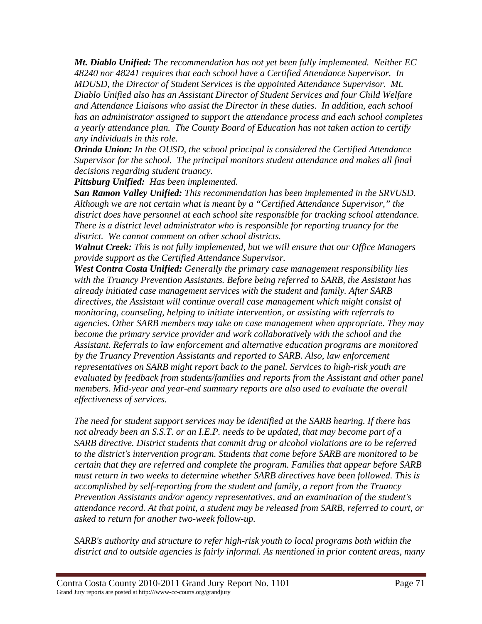*Mt. Diablo Unified: The recommendation has not yet been fully implemented. Neither EC 48240 nor 48241 requires that each school have a Certified Attendance Supervisor. In MDUSD, the Director of Student Services is the appointed Attendance Supervisor. Mt. Diablo Unified also has an Assistant Director of Student Services and four Child Welfare and Attendance Liaisons who assist the Director in these duties. In addition, each school has an administrator assigned to support the attendance process and each school completes a yearly attendance plan. The County Board of Education has not taken action to certify any individuals in this role.* 

*Orinda Union: In the OUSD, the school principal is considered the Certified Attendance Supervisor for the school. The principal monitors student attendance and makes all final decisions regarding student truancy.* 

*Pittsburg Unified: Has been implemented.* 

*San Ramon Valley Unified: This recommendation has been implemented in the SRVUSD. Although we are not certain what is meant by a "Certified Attendance Supervisor," the district does have personnel at each school site responsible for tracking school attendance. There is a district level administrator who is responsible for reporting truancy for the district. We cannot comment on other school districts.* 

*Walnut Creek: This is not fully implemented, but we will ensure that our Office Managers provide support as the Certified Attendance Supervisor.* 

*West Contra Costa Unified: Generally the primary case management responsibility lies with the Truancy Prevention Assistants. Before being referred to SARB, the Assistant has already initiated case management services with the student and family. After SARB directives, the Assistant will continue overall case management which might consist of monitoring, counseling, helping to initiate intervention, or assisting with referrals to agencies. Other SARB members may take on case management when appropriate. They may become the primary service provider and work collaboratively with the school and the Assistant. Referrals to law enforcement and alternative education programs are monitored by the Truancy Prevention Assistants and reported to SARB. Also, law enforcement representatives on SARB might report back to the panel. Services to high-risk youth are evaluated by feedback from students/families and reports from the Assistant and other panel members. Mid-year and year-end summary reports are also used to evaluate the overall effectiveness of services.* 

*The need for student support services may be identified at the SARB hearing. If there has not already been an S.S.T. or an I.E.P. needs to be updated, that may become part of a SARB directive. District students that commit drug or alcohol violations are to be referred to the district's intervention program. Students that come before SARB are monitored to be certain that they are referred and complete the program. Families that appear before SARB must return in two weeks to determine whether SARB directives have been followed. This is accomplished by self-reporting from the student and family, a report from the Truancy Prevention Assistants and/or agency representatives, and an examination of the student's attendance record. At that point, a student may be released from SARB, referred to court, or asked to return for another two-week follow-up.* 

*SARB's authority and structure to refer high-risk youth to local programs both within the district and to outside agencies is fairly informal. As mentioned in prior content areas, many*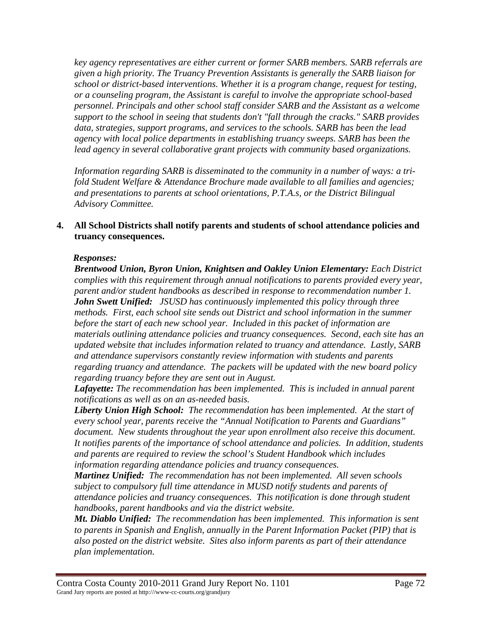*key agency representatives are either current or former SARB members. SARB referrals are given a high priority. The Truancy Prevention Assistants is generally the SARB liaison for school or district-based interventions. Whether it is a program change, request for testing, or a counseling program, the Assistant is careful to involve the appropriate school-based personnel. Principals and other school staff consider SARB and the Assistant as a welcome support to the school in seeing that students don't "fall through the cracks." SARB provides data, strategies, support programs, and services to the schools. SARB has been the lead agency with local police departments in establishing truancy sweeps. SARB has been the lead agency in several collaborative grant projects with community based organizations.* 

*Information regarding SARB is disseminated to the community in a number of ways: a trifold Student Welfare & Attendance Brochure made available to all families and agencies; and presentations to parents at school orientations, P.T.A.s, or the District Bilingual Advisory Committee.* 

#### **4. All School Districts shall notify parents and students of school attendance policies and truancy consequences.**

### *Responses:*

*Brentwood Union, Byron Union, Knightsen and Oakley Union Elementary: Each District complies with this requirement through annual notifications to parents provided every year, parent and/or student handbooks as described in response to recommendation number 1. John Swett Unified: JSUSD has continuously implemented this policy through three methods. First, each school site sends out District and school information in the summer before the start of each new school year. Included in this packet of information are materials outlining attendance policies and truancy consequences. Second, each site has an updated website that includes information related to truancy and attendance. Lastly, SARB and attendance supervisors constantly review information with students and parents regarding truancy and attendance. The packets will be updated with the new board policy regarding truancy before they are sent out in August.* 

*Lafayette: The recommendation has been implemented. This is included in annual parent notifications as well as on an as-needed basis.* 

*Liberty Union High School: The recommendation has been implemented. At the start of every school year, parents receive the "Annual Notification to Parents and Guardians" document. New students throughout the year upon enrollment also receive this document. It notifies parents of the importance of school attendance and policies. In addition, students and parents are required to review the school's Student Handbook which includes information regarding attendance policies and truancy consequences.* 

*Martinez Unified: The recommendation has not been implemented. All seven schools subject to compulsory full time attendance in MUSD notify students and parents of attendance policies and truancy consequences. This notification is done through student handbooks, parent handbooks and via the district website.* 

*Mt. Diablo Unified: The recommendation has been implemented. This information is sent to parents in Spanish and English, annually in the Parent Information Packet (PIP) that is also posted on the district website. Sites also inform parents as part of their attendance plan implementation.*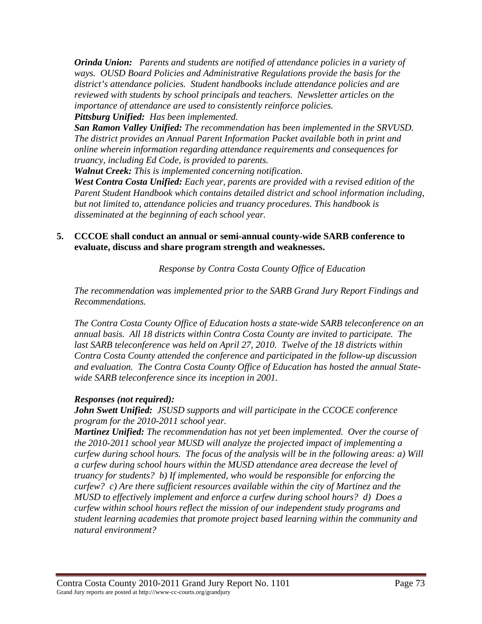*Orinda Union: Parents and students are notified of attendance policies in a variety of ways. OUSD Board Policies and Administrative Regulations provide the basis for the district's attendance policies. Student handbooks include attendance policies and are reviewed with students by school principals and teachers. Newsletter articles on the importance of attendance are used to consistently reinforce policies.*

*Pittsburg Unified: Has been implemented.* 

*San Ramon Valley Unified: The recommendation has been implemented in the SRVUSD. The district provides an Annual Parent Information Packet available both in print and online wherein information regarding attendance requirements and consequences for truancy, including Ed Code, is provided to parents.* 

*Walnut Creek: This is implemented concerning notification.* 

*West Contra Costa Unified: Each year, parents are provided with a revised edition of the Parent Student Handbook which contains detailed district and school information including, but not limited to, attendance policies and truancy procedures. This handbook is disseminated at the beginning of each school year.* 

# **5. CCCOE shall conduct an annual or semi-annual county-wide SARB conference to evaluate, discuss and share program strength and weaknesses.**

*Response by Contra Costa County Office of Education* 

*The recommendation was implemented prior to the SARB Grand Jury Report Findings and Recommendations.* 

*The Contra Costa County Office of Education hosts a state-wide SARB teleconference on an annual basis. All 18 districts within Contra Costa County are invited to participate. The last SARB teleconference was held on April 27, 2010. Twelve of the 18 districts within Contra Costa County attended the conference and participated in the follow-up discussion and evaluation. The Contra Costa County Office of Education has hosted the annual Statewide SARB teleconference since its inception in 2001.* 

# *Responses (not required):*

*John Swett Unified: JSUSD supports and will participate in the CCOCE conference program for the 2010-2011 school year.* 

*Martinez Unified: The recommendation has not yet been implemented. Over the course of the 2010-2011 school year MUSD will analyze the projected impact of implementing a curfew during school hours. The focus of the analysis will be in the following areas: a) Will a curfew during school hours within the MUSD attendance area decrease the level of truancy for students? b) If implemented, who would be responsible for enforcing the curfew? c) Are there sufficient resources available within the city of Martinez and the MUSD to effectively implement and enforce a curfew during school hours? d) Does a curfew within school hours reflect the mission of our independent study programs and student learning academies that promote project based learning within the community and natural environment?*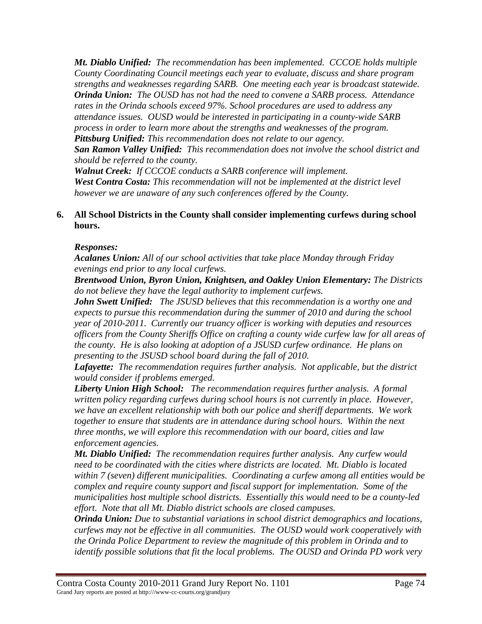*Mt. Diablo Unified: The recommendation has been implemented. CCCOE holds multiple County Coordinating Council meetings each year to evaluate, discuss and share program strengths and weaknesses regarding SARB. One meeting each year is broadcast statewide. Orinda Union: The OUSD has not had the need to convene a SARB process. Attendance rates in the Orinda schools exceed 97%. School procedures are used to address any attendance issues. OUSD would be interested in participating in a county-wide SARB process in order to learn more about the strengths and weaknesses of the program. Pittsburg Unified: This recommendation does not relate to our agency.* 

*San Ramon Valley Unified: This recommendation does not involve the school district and should be referred to the county.* 

*Walnut Creek: If CCCOE conducts a SARB conference will implement. West Contra Costa: This recommendation will not be implemented at the district level however we are unaware of any such conferences offered by the County.* 

# **6. All School Districts in the County shall consider implementing curfews during school hours.**

# *Responses:*

*Acalanes Union: All of our school activities that take place Monday through Friday evenings end prior to any local curfews.* 

*Brentwood Union, Byron Union, Knightsen, and Oakley Union Elementary: The Districts do not believe they have the legal authority to implement curfews.* 

*John Swett Unified: The JSUSD believes that this recommendation is a worthy one and expects to pursue this recommendation during the summer of 2010 and during the school year of 2010-2011. Currently our truancy officer is working with deputies and resources officers from the County Sheriffs Office on crafting a county wide curfew law for all areas of the county. He is also looking at adoption of a JSUSD curfew ordinance. He plans on presenting to the JSUSD school board during the fall of 2010.* 

*Lafayette: The recommendation requires further analysis. Not applicable, but the district would consider if problems emerged.* 

*Liberty Union High School: The recommendation requires further analysis. A formal written policy regarding curfews during school hours is not currently in place. However, we have an excellent relationship with both our police and sheriff departments. We work together to ensure that students are in attendance during school hours. Within the next three months, we will explore this recommendation with our board, cities and law enforcement agencies.* 

*Mt. Diablo Unified: The recommendation requires further analysis. Any curfew would need to be coordinated with the cities where districts are located. Mt. Diablo is located within 7 (seven) different municipalities. Coordinating a curfew among all entities would be complex and require county support and fiscal support for implementation. Some of the municipalities host multiple school districts. Essentially this would need to be a county-led effort. Note that all Mt. Diablo district schools are closed campuses.* 

*Orinda Union: Due to substantial variations in school district demographics and locations, curfews may not be effective in all communities. The OUSD would work cooperatively with the Orinda Police Department to review the magnitude of this problem in Orinda and to identify possible solutions that fit the local problems. The OUSD and Orinda PD work very*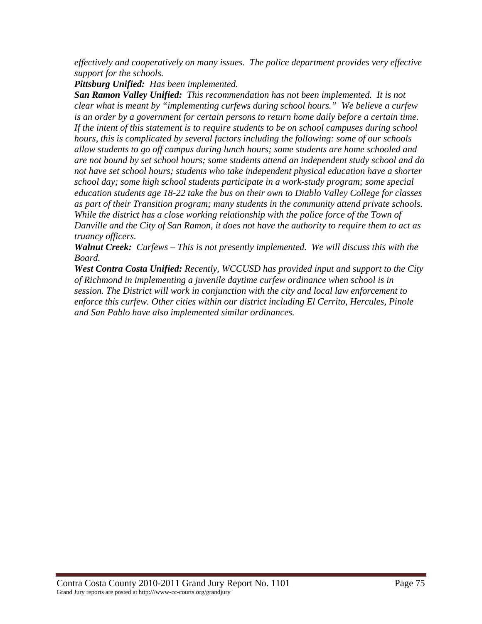*effectively and cooperatively on many issues. The police department provides very effective support for the schools.* 

*Pittsburg Unified: Has been implemented.* 

*San Ramon Valley Unified: This recommendation has not been implemented. It is not clear what is meant by "implementing curfews during school hours." We believe a curfew is an order by a government for certain persons to return home daily before a certain time. If the intent of this statement is to require students to be on school campuses during school hours, this is complicated by several factors including the following: some of our schools allow students to go off campus during lunch hours; some students are home schooled and are not bound by set school hours; some students attend an independent study school and do not have set school hours; students who take independent physical education have a shorter school day; some high school students participate in a work-study program; some special education students age 18-22 take the bus on their own to Diablo Valley College for classes as part of their Transition program; many students in the community attend private schools. While the district has a close working relationship with the police force of the Town of Danville and the City of San Ramon, it does not have the authority to require them to act as truancy officers.* 

*Walnut Creek: Curfews – This is not presently implemented. We will discuss this with the Board.*

*West Contra Costa Unified: Recently, WCCUSD has provided input and support to the City of Richmond in implementing a juvenile daytime curfew ordinance when school is in session. The District will work in conjunction with the city and local law enforcement to enforce this curfew. Other cities within our district including El Cerrito, Hercules, Pinole and San Pablo have also implemented similar ordinances.*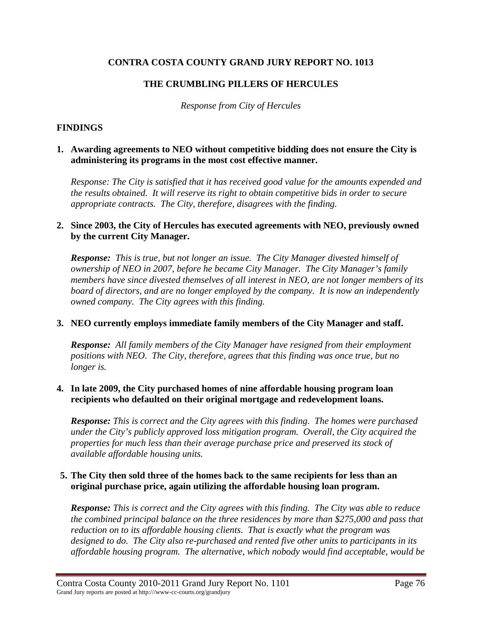# **CONTRA COSTA COUNTY GRAND JURY REPORT NO. 1013**

# **THE CRUMBLING PILLERS OF HERCULES**

*Response from City of Hercules* 

### **FINDINGS**

#### **1. Awarding agreements to NEO without competitive bidding does not ensure the City is administering its programs in the most cost effective manner.**

*Response: The City is satisfied that it has received good value for the amounts expended and the results obtained. It will reserve its right to obtain competitive bids in order to secure appropriate contracts. The City, therefore, disagrees with the finding.* 

### **2. Since 2003, the City of Hercules has executed agreements with NEO, previously owned by the current City Manager.**

*Response: This is true, but not longer an issue. The City Manager divested himself of ownership of NEO in 2007, before he became City Manager. The City Manager's family members have since divested themselves of all interest in NEO, are not longer members of its board of directors, and are no longer employed by the company. It is now an independently owned company. The City agrees with this finding.* 

# **3. NEO currently employs immediate family members of the City Manager and staff.**

*Response: All family members of the City Manager have resigned from their employment positions with NEO. The City, therefore, agrees that this finding was once true, but no longer is.* 

#### **4. In late 2009, the City purchased homes of nine affordable housing program loan recipients who defaulted on their original mortgage and redevelopment loans.**

*Response: This is correct and the City agrees with this finding. The homes were purchased under the City's publicly approved loss mitigation program. Overall, the City acquired the properties for much less than their average purchase price and preserved its stock of available affordable housing units.* 

#### **5. The City then sold three of the homes back to the same recipients for less than an original purchase price, again utilizing the affordable housing loan program.**

*Response: This is correct and the City agrees with this finding. The City was able to reduce the combined principal balance on the three residences by more than \$275,000 and pass that reduction on to its affordable housing clients. That is exactly what the program was designed to do. The City also re-purchased and rented five other units to participants in its affordable housing program. The alternative, which nobody would find acceptable, would be*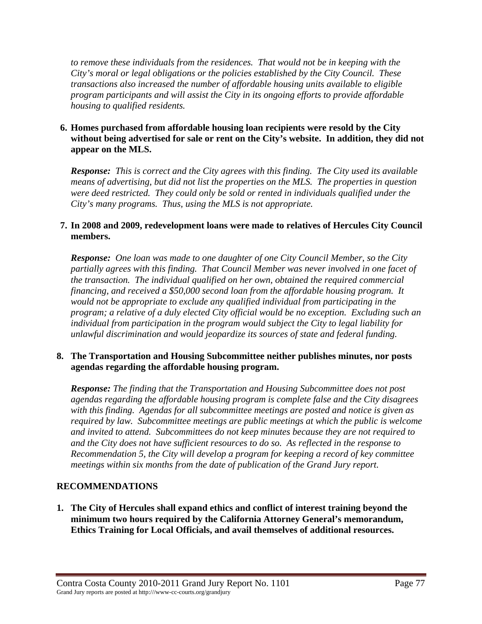*to remove these individuals from the residences. That would not be in keeping with the City's moral or legal obligations or the policies established by the City Council. These transactions also increased the number of affordable housing units available to eligible program participants and will assist the City in its ongoing efforts to provide affordable housing to qualified residents.* 

# **6. Homes purchased from affordable housing loan recipients were resold by the City without being advertised for sale or rent on the City's website. In addition, they did not appear on the MLS.**

*Response: This is correct and the City agrees with this finding. The City used its available means of advertising, but did not list the properties on the MLS. The properties in question were deed restricted. They could only be sold or rented in individuals qualified under the City's many programs. Thus, using the MLS is not appropriate.* 

# **7. In 2008 and 2009, redevelopment loans were made to relatives of Hercules City Council members.**

*Response: One loan was made to one daughter of one City Council Member, so the City partially agrees with this finding. That Council Member was never involved in one facet of the transaction. The individual qualified on her own, obtained the required commercial financing, and received a \$50,000 second loan from the affordable housing program. It would not be appropriate to exclude any qualified individual from participating in the program; a relative of a duly elected City official would be no exception. Excluding such an individual from participation in the program would subject the City to legal liability for unlawful discrimination and would jeopardize its sources of state and federal funding.* 

#### **8. The Transportation and Housing Subcommittee neither publishes minutes, nor posts agendas regarding the affordable housing program.**

*Response: The finding that the Transportation and Housing Subcommittee does not post agendas regarding the affordable housing program is complete false and the City disagrees with this finding. Agendas for all subcommittee meetings are posted and notice is given as required by law. Subcommittee meetings are public meetings at which the public is welcome and invited to attend. Subcommittees do not keep minutes because they are not required to and the City does not have sufficient resources to do so. As reflected in the response to Recommendation 5, the City will develop a program for keeping a record of key committee meetings within six months from the date of publication of the Grand Jury report.* 

# **RECOMMENDATIONS**

**1. The City of Hercules shall expand ethics and conflict of interest training beyond the minimum two hours required by the California Attorney General's memorandum, Ethics Training for Local Officials, and avail themselves of additional resources.**